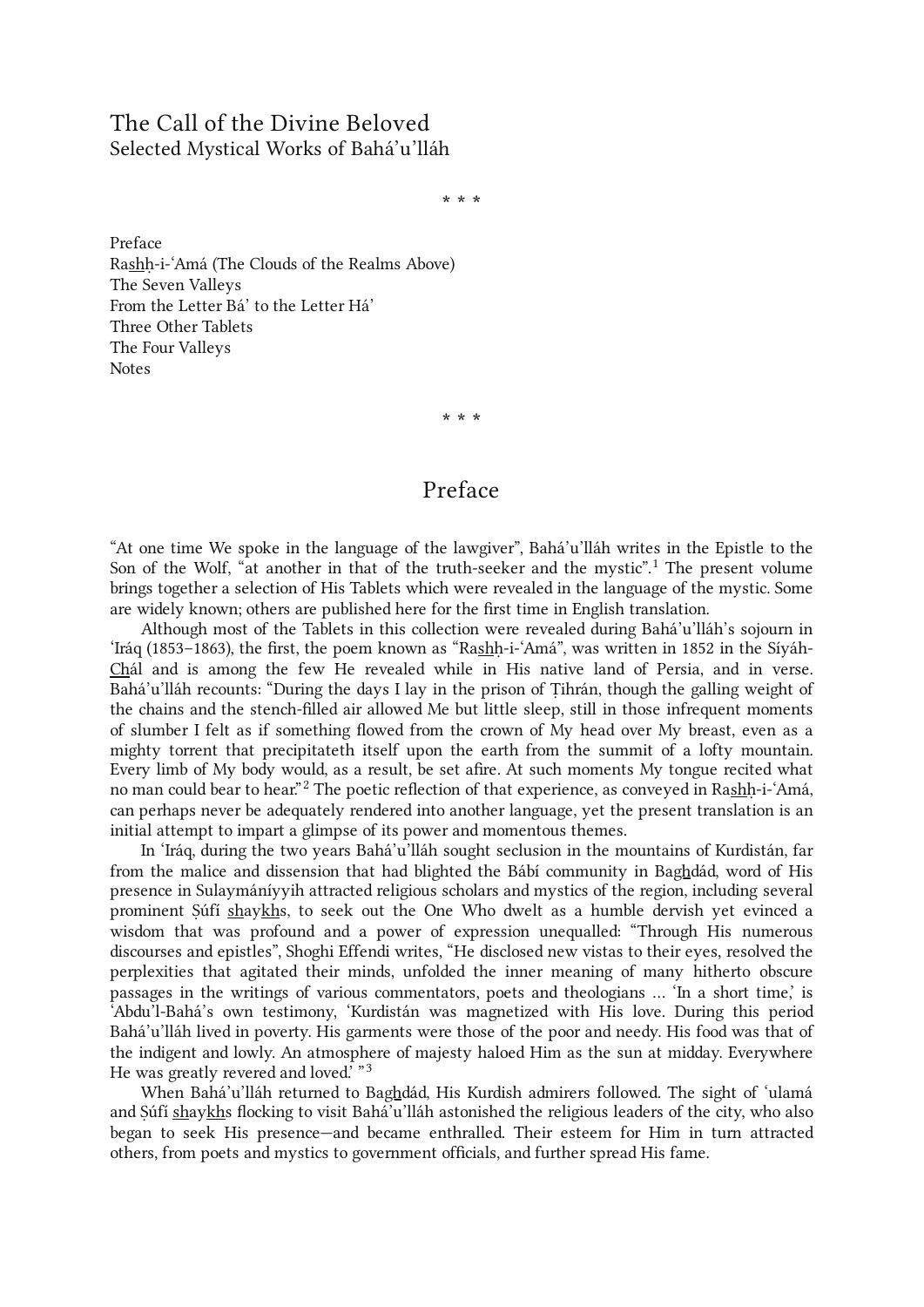### The Call of the Divine Beloved Selected Mystical Works of Bahá'u'lláh

\* \* \*

[Preface](#page-0-0) [Rashḥ-i-'Amá](#page-2-0) (The Clouds of the Realms Above) The Seven [Valleys](#page-4-0) From the Letter Bá' to the [Letter](#page-16-0) Há' Three Other [Tablets](#page-18-0) The Four [Valleys](#page-24-0) **[Notes](#page-30-0)** 

\* \* \*

# <span id="page-0-0"></span>Preface

<span id="page-0-1"></span>"At one time We spoke in the language of the lawgiver", Bahá'u'lláh writes in the Epistle to the Son of the Wolf, "at another in that of the truth-seeker and the mystic".<sup>[1](#page-30-1)</sup> The present volume brings together a selection of His Tablets which were revealed in the language of the mystic. Some are widely known; others are published here for the first time in English translation.

<span id="page-0-2"></span>Although most of the Tablets in this collection were revealed during Bahá'u'lláh's sojourn in 'Iráq (1853–1863), the first, the poem known as "Rashh-i-'Amá", was written in 1852 in the Síyáh-Chál and is among the few He revealed while in His native land of Persia, and in verse. Bahá'u'lláh recounts: "During the days I lay in the prison of Ṭihrán, though the galling weight of the chains and the stench-filled air allowed Me but little sleep, still in those infrequent moments of slumber I felt as if something flowed from the crown of My head over My breast, even as a mighty torrent that precipitateth itself upon the earth from the summit of a lofty mountain. Every limb of My body would, as a result, be set afire. At such moments My tongue recited what no man could bear to hear."<sup>[2](#page-30-2)</sup> The poetic reflection of that experience, as conveyed in Ra<u>sh</u>ḥ-i-ʿAmá, can perhaps never be adequately rendered into another language, yet the present translation is an initial attempt to impart a glimpse of its power and momentous themes.

<span id="page-0-3"></span>In 'Iráq, during the two years Bahá'u'lláh sought seclusion in the mountains of Kurdistán, far from the malice and dissension that had blighted the Bábí community in Baghdád, word of His presence in Sulaymáníyyih attracted religious scholars and mystics of the region, including several prominent Ṣúfí shaykhs, to seek out the One Who dwelt as a humble dervish yet evinced a wisdom that was profound and a power of expression unequalled: "Through His numerous discourses and epistles", Shoghi Effendi writes, "He disclosed new vistas to their eyes, resolved the perplexities that agitated their minds, unfolded the inner meaning of many hitherto obscure passages in the writings of various commentators, poets and theologians ... 'In a short time,' is 'Abdu'l‑Bahá's own testimony, 'Kurdistán was magnetized with His love. During this period Bahá'u'lláh lived in poverty. His garments were those of the poor and needy. His food was that of the indigent and lowly. An atmosphere of majesty haloed Him as the sun at midday. Everywhere He was greatly revered and loved.' " $3$ 

When Bahá'u'lláh returned to Baghdád, His Kurdish admirers followed. The sight of 'ulamá and Ṣúfí shaykhs flocking to visit Bahá'u'lláh astonished the religious leaders of the city, who also began to seek His presence—and became enthralled. Their esteem for Him in turn attracted others, from poets and mystics to government officials, and further spread His fame.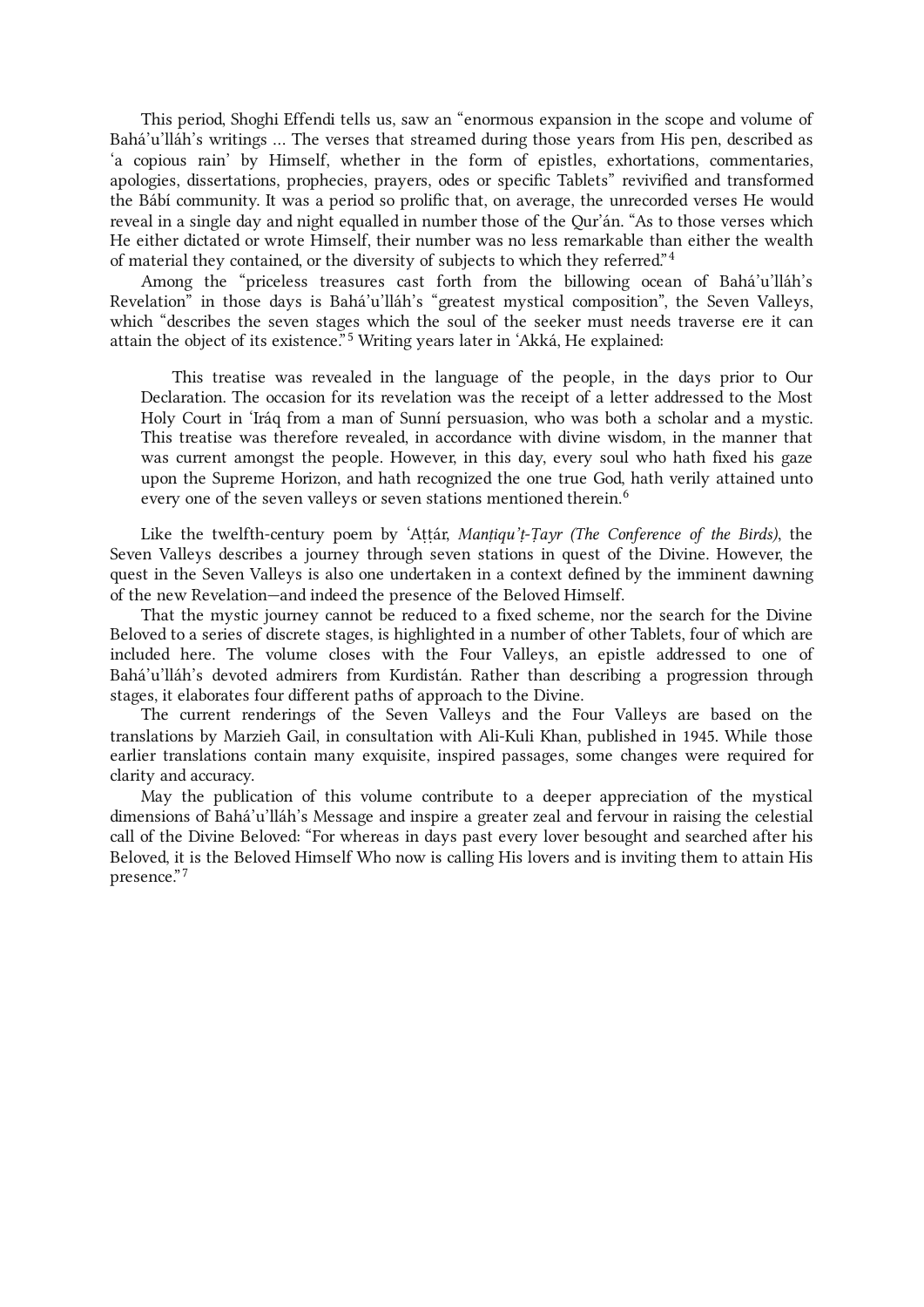<span id="page-1-0"></span>This period, Shoghi Effendi tells us, saw an "enormous expansion in the scope and volume of Bahá'u'lláh's writings ... The verses that streamed during those years from His pen, described as 'a copious rain' by Himself, whether in the form of epistles, exhortations, commentaries, apologies, dissertations, prophecies, prayers, odes or specific Tablets" revivified and transformed the Bábí community. It was a period so prolific that, on average, the unrecorded verses He would reveal in a single day and night equalled in number those of the Qur'án. "As to those verses which He either dictated or wrote Himself, their number was no less remarkable than either the wealth of material they contained, or the diversity of subjects to which they referred."<sup>[4](#page-30-4)</sup>

<span id="page-1-1"></span>Among the "priceless treasures cast forth from the billowing ocean of Bahá'u'lláh's Revelation" in those days is Bahá'u'lláh's "greatest mystical composition", the Seven Valleys, which "describes the seven stages which the soul of the seeker must needs traverse ere it can attain the object of its existence." [5](#page-30-5) Writing years later in 'Akká, He explained:

<span id="page-1-2"></span>This treatise was revealed in the language of the people, in the days prior to Our Declaration. The occasion for its revelation was the receipt of a letter addressed to the Most Holy Court in 'Iráq from a man of Sunní persuasion, who was both a scholar and a mystic. This treatise was therefore revealed, in accordance with divine wisdom, in the manner that was current amongst the people. However, in this day, every soul who hath fixed his gaze upon the Supreme Horizon, and hath recognized the one true God, hath verily attained unto every one of the seven valleys or seven stations mentioned therein.<sup>[6](#page-30-6)</sup>

Like the twelfth-century poem by 'Attár, Manțiqu't-Țayr (The Conference of the Birds), the Seven Valleys describes a journey through seven stations in quest of the Divine. However, the quest in the Seven Valleys is also one undertaken in a context defined by the imminent dawning of the new Revelation—and indeed the presence of the Beloved Himself.

That the mystic journey cannot be reduced to a fixed scheme, nor the search for the Divine Beloved to a series of discrete stages, is highlighted in a number of other Tablets, four of which are included here. The volume closes with the Four Valleys, an epistle addressed to one of Bahá'u'lláh's devoted admirers from Kurdistán. Rather than describing a progression through stages, it elaborates four different paths of approach to the Divine.

The current renderings of the Seven Valleys and the Four Valleys are based on the translations by Marzieh Gail, in consultation with Ali-Kuli Khan, published in 1945. While those earlier translations contain many exquisite, inspired passages, some changes were required for clarity and accuracy.

<span id="page-1-3"></span>May the publication of this volume contribute to a deeper appreciation of the mystical dimensions of Bahá'u'lláh's Message and inspire a greater zeal and fervour in raising the celestial call of the Divine Beloved: "For whereas in days past every lover besought and searched after his Beloved, it is the Beloved Himself Who now is calling His lovers and is inviting them to attain His presence."<sup>[7](#page-30-7)</sup>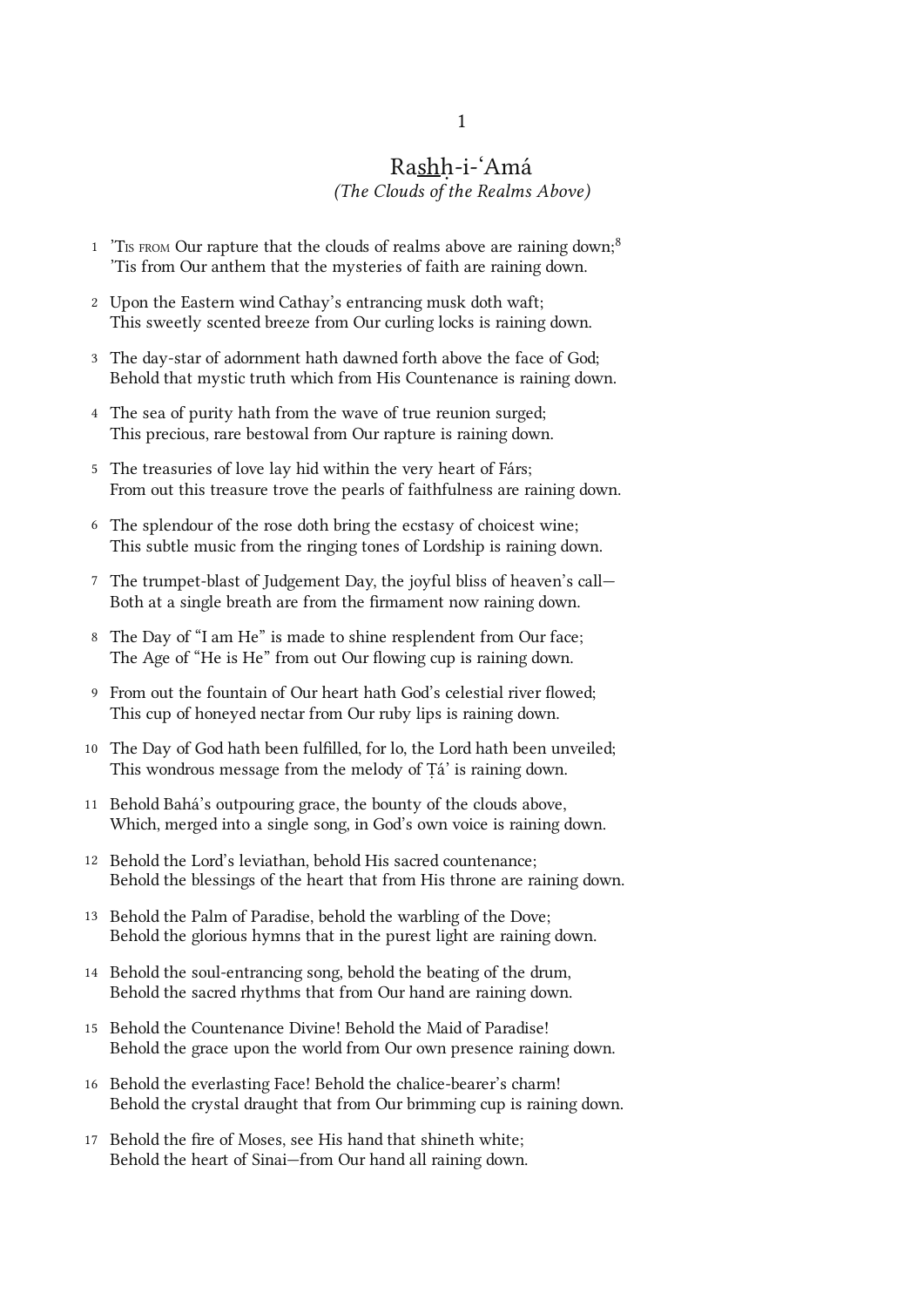# <span id="page-2-0"></span>Rashh-i-'Amá

(The Clouds of the Realms Above)

- <span id="page-2-1"></span><sup>1</sup> TIS FROM Our rapture that the clouds of realms above are raining down;<sup>[8](#page-30-8)</sup> 'Tis from Our anthem that the mysteries of faith are raining down.
- Upon the Eastern wind Cathay's entrancing musk doth waft; 2 This sweetly scented breeze from Our curling locks is raining down.
- The day-star of adornment hath dawned forth above the face of God; 3 Behold that mystic truth which from His Countenance is raining down.
- The sea of purity hath from the wave of true reunion surged; 4 This precious, rare bestowal from Our rapture is raining down.
- The treasuries of love lay hid within the very heart of Fárs; 5 From out this treasure trove the pearls of faithfulness are raining down.
- The splendour of the rose doth bring the ecstasy of choicest wine; 6 This subtle music from the ringing tones of Lordship is raining down.
- The trumpet-blast of Judgement Day, the joyful bliss of heaven's call— 7 Both at a single breath are from the firmament now raining down.
- The Day of "I am He" is made to shine resplendent from Our face; 8 The Age of "He is He" from out Our flowing cup is raining down.
- From out the fountain of Our heart hath God's celestial river flowed; 9 This cup of honeyed nectar from Our ruby lips is raining down.
- The Day of God hath been fulfilled, for lo, the Lord hath been unveiled; 10 This wondrous message from the melody of Ṭá' is raining down.
- 11 Behold Bahá's outpouring grace, the bounty of the clouds above, Which, merged into a single song, in God's own voice is raining down.
- Behold the Lord's leviathan, behold His sacred countenance; 12 Behold the blessings of the heart that from His throne are raining down.
- 13 Behold the Palm of Paradise, behold the warbling of the Dove; Behold the glorious hymns that in the purest light are raining down.
- 14 Behold the soul-entrancing song, behold the beating of the drum, Behold the sacred rhythms that from Our hand are raining down.
- 15 Behold the Countenance Divine! Behold the Maid of Paradise! Behold the grace upon the world from Our own presence raining down.
- 16 Behold the everlasting Face! Behold the chalice-bearer's charm! Behold the crystal draught that from Our brimming cup is raining down.
- 17 Behold the fire of Moses, see His hand that shineth white; Behold the heart of Sinai—from Our hand all raining down.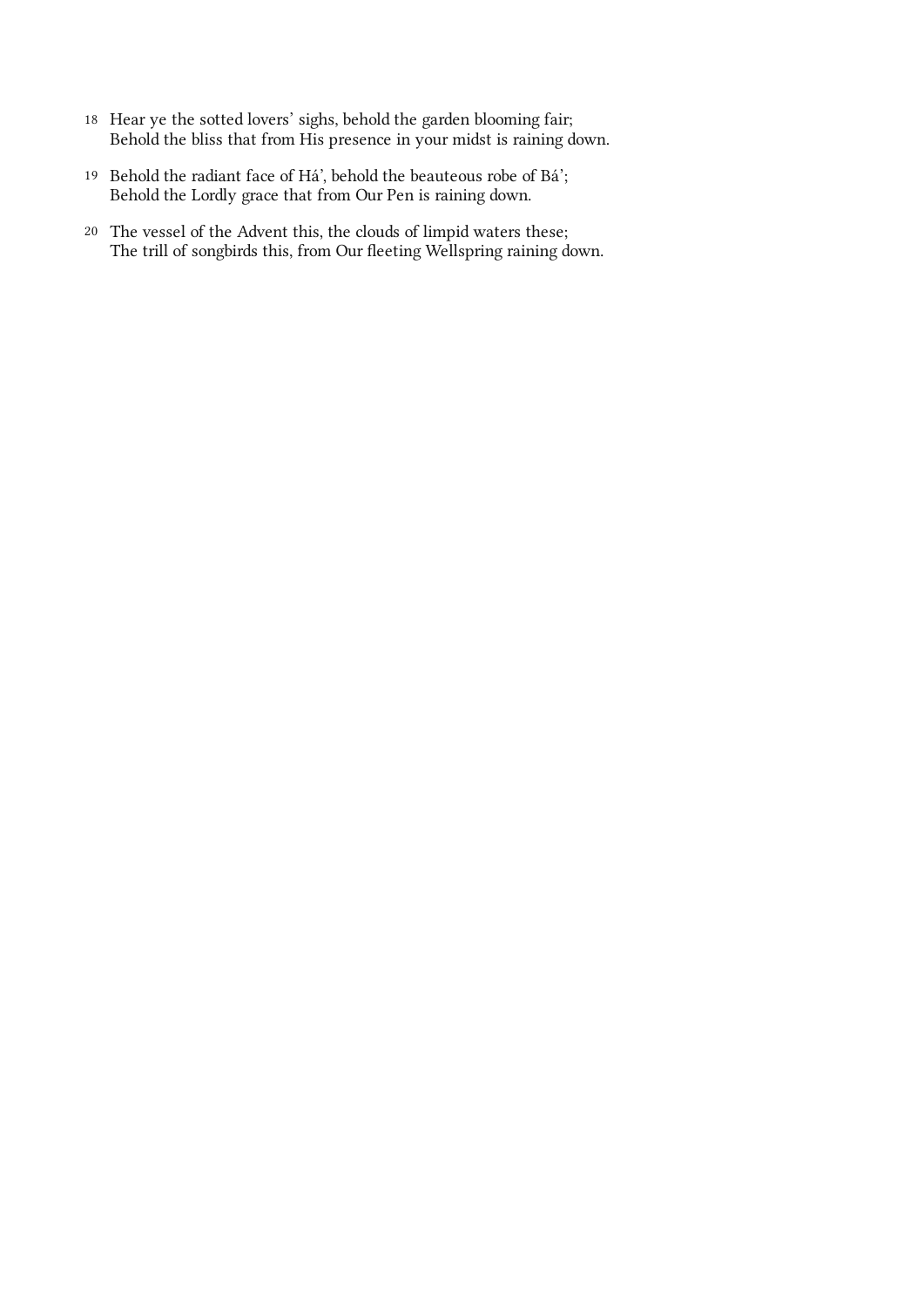- Hear ye the sotted lovers' sighs, behold the garden blooming fair; 18 Behold the bliss that from His presence in your midst is raining down.
- Behold the radiant face of Há', behold the beauteous robe of Bá'; 19 Behold the Lordly grace that from Our Pen is raining down.
- The vessel of the Advent this, the clouds of limpid waters these; 20The trill of songbirds this, from Our fleeting Wellspring raining down.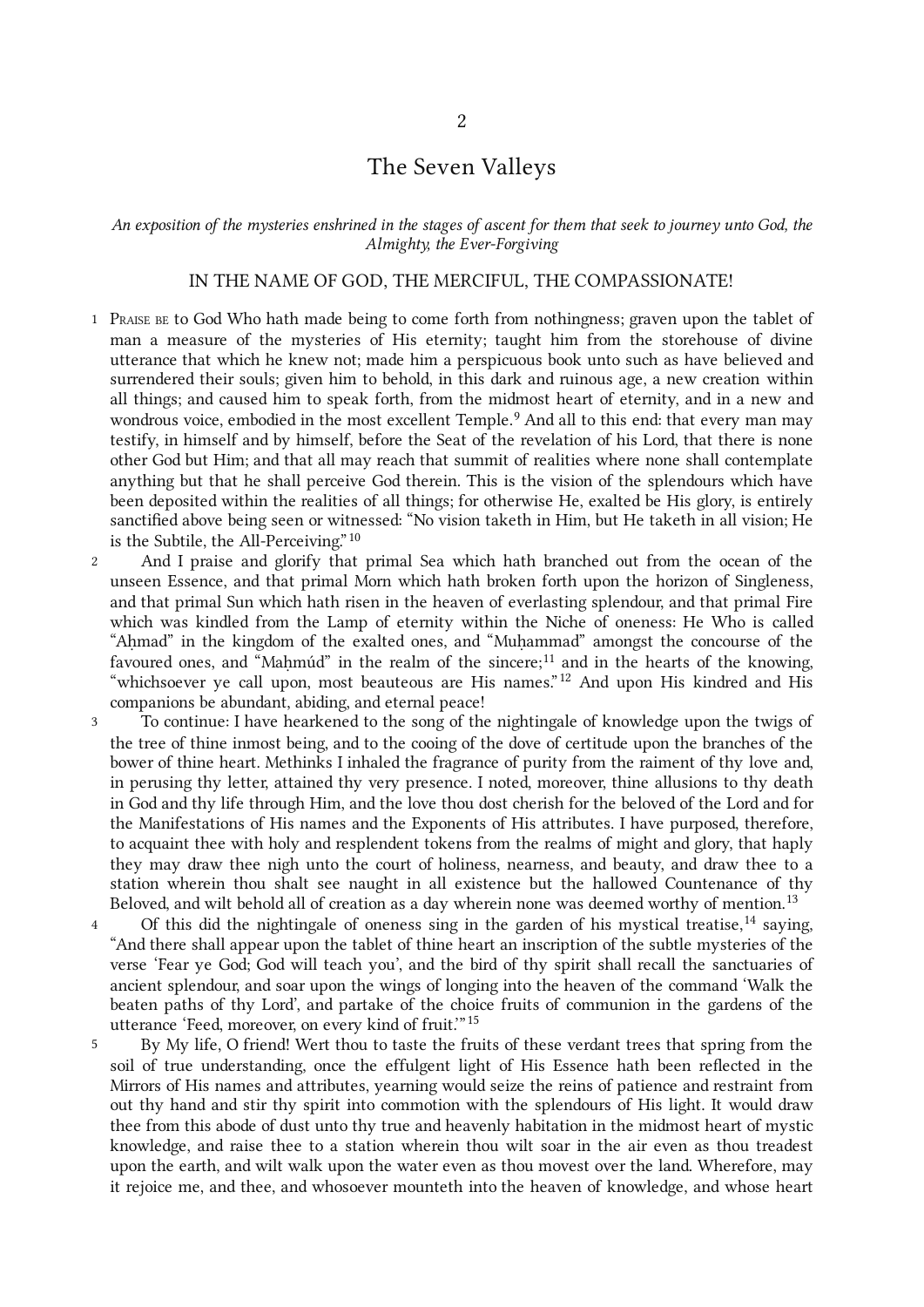### <span id="page-4-0"></span>The Seven Valleys

An exposition of the mysteries enshrined in the stages of ascent for them that seek to journey unto God, the Almighty, the Ever-Forgiving

#### IN THE NAME OF GOD, THE MERCIFUL, THE COMPASSIONATE!

- <span id="page-4-1"></span>Praise be to God Who hath made being to come forth from nothingness; graven upon the tablet of 1 man a measure of the mysteries of His eternity; taught him from the storehouse of divine utterance that which he knew not; made him a perspicuous book unto such as have believed and surrendered their souls; given him to behold, in this dark and ruinous age, a new creation within all things; and caused him to speak forth, from the midmost heart of eternity, and in a new and wondrous voice, embodied in the most excellent Temple. [9](#page-30-9) And all to this end: that every man may testify, in himself and by himself, before the Seat of the revelation of his Lord, that there is none other God but Him; and that all may reach that summit of realities where none shall contemplate anything but that he shall perceive God therein. This is the vision of the splendours which have been deposited within the realities of all things; for otherwise He, exalted be His glory, is entirely sanctified above being seen or witnessed: "No vision taketh in Him, but He taketh in all vision; He is the Subtile, the All-Perceiving."<sup>[10](#page-30-10)</sup>
- <span id="page-4-2"></span>And I praise and glorify that primal Sea which hath branched out from the ocean of the unseen Essence, and that primal Morn which hath broken forth upon the horizon of Singleness, and that primal Sun which hath risen in the heaven of everlasting splendour, and that primal Fire which was kindled from the Lamp of eternity within the Niche of oneness: He Who is called "Ahmad" in the kingdom of the exalted ones, and "Muhammad" amongst the concourse of the favoured ones, and "Maḥmúd" in the realm of the sincere;<sup>[11](#page-30-11)</sup> and in the hearts of the knowing, "whichsoever ye call upon, most beauteous are His names."<sup>[12](#page-30-12)</sup> And upon His kindred and His companions be abundant, abiding, and eternal peace! 2
- <span id="page-4-3"></span>To continue: I have hearkened to the song of the nightingale of knowledge upon the twigs of the tree of thine inmost being, and to the cooing of the dove of certitude upon the branches of the bower of thine heart. Methinks I inhaled the fragrance of purity from the raiment of thy love and, in perusing thy letter, attained thy very presence. I noted, moreover, thine allusions to thy death in God and thy life through Him, and the love thou dost cherish for the beloved of the Lord and for the Manifestations of His names and the Exponents of His attributes. I have purposed, therefore, to acquaint thee with holy and resplendent tokens from the realms of might and glory, that haply they may draw thee nigh unto the court of holiness, nearness, and beauty, and draw thee to a station wherein thou shalt see naught in all existence but the hallowed Countenance of thy Beloved, and wilt behold all of creation as a day wherein none was deemed worthy of mention.<sup>[13](#page-30-13)</sup> 3
- <span id="page-4-4"></span>Of this did the nightingale of oneness sing in the garden of his mystical treatise,  $14$  saying, "And there shall appear upon the tablet of thine heart an inscription of the subtle mysteries of the verse 'Fear ye God; God will teach you', and the bird of thy spirit shall recall the sanctuaries of ancient splendour, and soar upon the wings of longing into the heaven of the command 'Walk the beaten paths of thy Lord', and partake of the choice fruits of communion in the gardens of the utterance 'Feed, moreover, on every kind of fruit.'"<sup>[15](#page-30-15)</sup> 4
- <span id="page-4-5"></span>By My life, O friend! Wert thou to taste the fruits of these verdant trees that spring from the soil of true understanding, once the effulgent light of His Essence hath been reflected in the Mirrors of His names and attributes, yearning would seize the reins of patience and restraint from out thy hand and stir thy spirit into commotion with the splendours of His light. It would draw thee from this abode of dust unto thy true and heavenly habitation in the midmost heart of mystic knowledge, and raise thee to a station wherein thou wilt soar in the air even as thou treadest upon the earth, and wilt walk upon the water even as thou movest over the land. Wherefore, may it rejoice me, and thee, and whosoever mounteth into the heaven of knowledge, and whose heart 5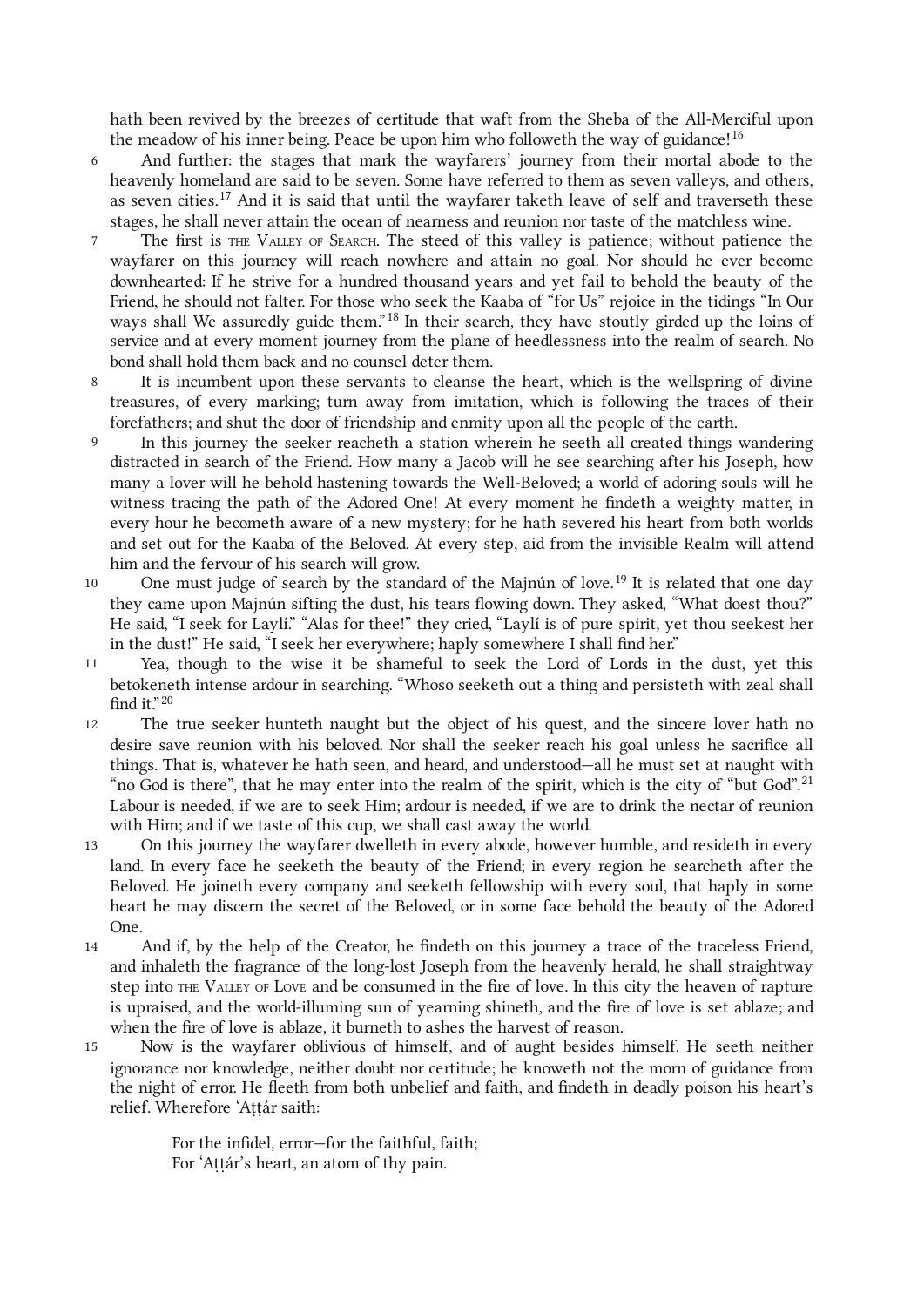<span id="page-5-0"></span>hath been revived by the breezes of certitude that waft from the Sheba of the All-Merciful upon the meadow of his inner being. Peace be upon him who followeth the way of guidance!<sup>[16](#page-30-16)</sup>

- And further: the stages that mark the wayfarers' journey from their mortal abode to the heavenly homeland are said to be seven. Some have referred to them as seven valleys, and others, as seven cities.<sup>[17](#page-30-17)</sup> And it is said that until the wayfarer taketh leave of self and traverseth these stages, he shall never attain the ocean of nearness and reunion nor taste of the matchless wine. 6
- <span id="page-5-1"></span>The first is the Valley of Search. The steed of this valley is patience; without patience the wayfarer on this journey will reach nowhere and attain no goal. Nor should he ever become downhearted: If he strive for a hundred thousand years and yet fail to behold the beauty of the Friend, he should not falter. For those who seek the Kaaba of "for Us" rejoice in the tidings "In Our ways shall We assuredly guide them."<sup>[18](#page-30-18)</sup> In their search, they have stoutly girded up the loins of service and at every moment journey from the plane of heedlessness into the realm of search. No bond shall hold them back and no counsel deter them. 7
- It is incumbent upon these servants to cleanse the heart, which is the wellspring of divine treasures, of every marking; turn away from imitation, which is following the traces of their forefathers; and shut the door of friendship and enmity upon all the people of the earth. 8
- In this journey the seeker reacheth a station wherein he seeth all created things wandering distracted in search of the Friend. How many a Jacob will he see searching after his Joseph, how many a lover will he behold hastening towards the Well-Beloved; a world of adoring souls will he witness tracing the path of the Adored One! At every moment he findeth a weighty matter, in every hour he becometh aware of a new mystery; for he hath severed his heart from both worlds and set out for the Kaaba of the Beloved. At every step, aid from the invisible Realm will attend him and the fervour of his search will grow. 9
- <span id="page-5-2"></span>One must judge of search by the standard of the Majnún of love.<sup>[19](#page-30-19)</sup> It is related that one day they came upon Majnún sifting the dust, his tears flowing down. They asked, "What doest thou?" He said, "I seek for Laylí." "Alas for thee!" they cried, "Laylí is of pure spirit, yet thou seekest her in the dust!" He said, "I seek her everywhere; haply somewhere I shall find her." 10
- <span id="page-5-3"></span>Yea, though to the wise it be shameful to seek the Lord of Lords in the dust, yet this betokeneth intense ardour in searching. "Whoso seeketh out a thing and persisteth with zeal shall find it." $^{20}$  $^{20}$  $^{20}$ 11
- <span id="page-5-4"></span>The true seeker hunteth naught but the object of his quest, and the sincere lover hath no desire save reunion with his beloved. Nor shall the seeker reach his goal unless he sacrifice all things. That is, whatever he hath seen, and heard, and understood—all he must set at naught with "no God is there", that he may enter into the realm of the spirit, which is the city of "but God".<sup>[21](#page-30-21)</sup> Labour is needed, if we are to seek Him; ardour is needed, if we are to drink the nectar of reunion with Him; and if we taste of this cup, we shall cast away the world. 12
- On this journey the wayfarer dwelleth in every abode, however humble, and resideth in every land. In every face he seeketh the beauty of the Friend; in every region he searcheth after the Beloved. He joineth every company and seeketh fellowship with every soul, that haply in some heart he may discern the secret of the Beloved, or in some face behold the beauty of the Adored One. 13
- And if, by the help of the Creator, he findeth on this journey a trace of the traceless Friend, and inhaleth the fragrance of the long-lost Joseph from the heavenly herald, he shall straightway step into the Valley of Love and be consumed in the fire of love. In this city the heaven of rapture is upraised, and the world-illuming sun of yearning shineth, and the fire of love is set ablaze; and when the fire of love is ablaze, it burneth to ashes the harvest of reason. 14
- Now is the wayfarer oblivious of himself, and of aught besides himself. He seeth neither ignorance nor knowledge, neither doubt nor certitude; he knoweth not the morn of guidance from the night of error. He fleeth from both unbelief and faith, and findeth in deadly poison his heart's relief. Wherefore 'Aṭṭár saith: 15

For the infidel, error—for the faithful, faith; For 'Aṭṭár's heart, an atom of thy pain.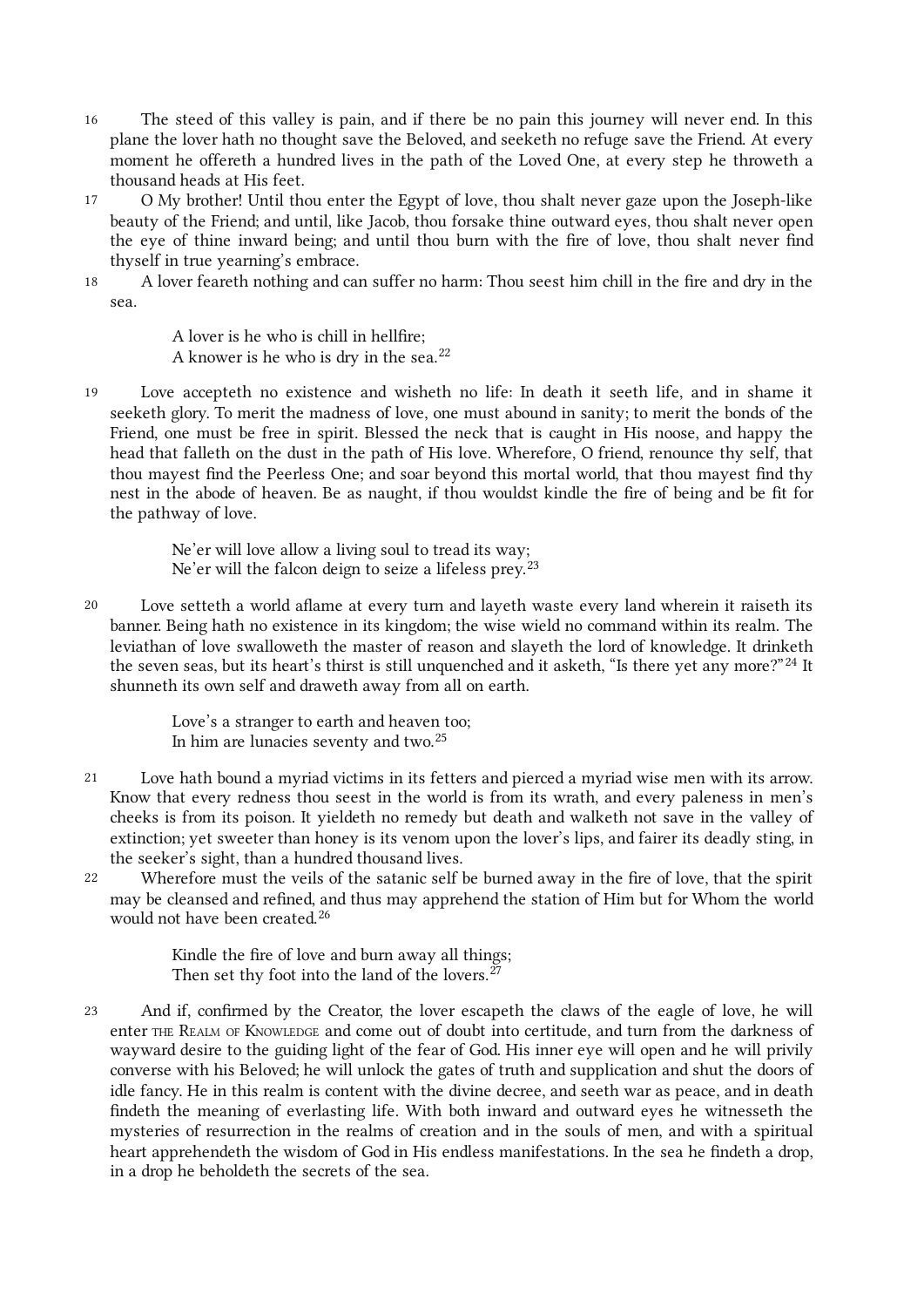- The steed of this valley is pain, and if there be no pain this journey will never end. In this plane the lover hath no thought save the Beloved, and seeketh no refuge save the Friend. At every moment he offereth a hundred lives in the path of the Loved One, at every step he throweth a thousand heads at His feet. 16
- O My brother! Until thou enter the Egypt of love, thou shalt never gaze upon the Joseph-like beauty of the Friend; and until, like Jacob, thou forsake thine outward eyes, thou shalt never open the eye of thine inward being; and until thou burn with the fire of love, thou shalt never find thyself in true yearning's embrace. 17
- <span id="page-6-0"></span>A lover feareth nothing and can suffer no harm: Thou seest him chill in the fire and dry in the sea. 18

A lover is he who is chill in hellfire;

<span id="page-6-1"></span>A knower is he who is dry in the sea.<sup>[22](#page-30-22)</sup>

Love accepteth no existence and wisheth no life: In death it seeth life, and in shame it seeketh glory. To merit the madness of love, one must abound in sanity; to merit the bonds of the Friend, one must be free in spirit. Blessed the neck that is caught in His noose, and happy the head that falleth on the dust in the path of His love. Wherefore, O friend, renounce thy self, that thou mayest find the Peerless One; and soar beyond this mortal world, that thou mayest find thy nest in the abode of heaven. Be as naught, if thou wouldst kindle the fire of being and be fit for the pathway of love. 19

> Ne'er will love allow a living soul to tread its way; Ne'er will the falcon deign to seize a lifeless prey. $^{23}$  $^{23}$  $^{23}$

<span id="page-6-2"></span>Love setteth a world aflame at every turn and layeth waste every land wherein it raiseth its banner. Being hath no existence in its kingdom; the wise wield no command within its realm. The leviathan of love swalloweth the master of reason and slayeth the lord of knowledge. It drinketh the seven seas, but its heart's thirst is still unquenched and it asketh, "Is there yet any more?" $^{24}$  $^{24}$  $^{24}$  It shunneth its own self and draweth away from all on earth. 20

> Love's a stranger to earth and heaven too; In him are lunacies seventy and two. [25](#page-30-25)

- Love hath bound a myriad victims in its fetters and pierced a myriad wise men with its arrow. Know that every redness thou seest in the world is from its wrath, and every paleness in men's cheeks is from its poison. It yieldeth no remedy but death and walketh not save in the valley of extinction; yet sweeter than honey is its venom upon the lover's lips, and fairer its deadly sting, in the seeker's sight, than a hundred thousand lives. 21
- <span id="page-6-3"></span>Wherefore must the veils of the satanic self be burned away in the fire of love, that the spirit may be cleansed and refined, and thus may apprehend the station of Him but for Whom the world would not have been created. [26](#page-30-26) 22

Kindle the fire of love and burn away all things; Then set thy foot into the land of the lovers.<sup>[27](#page-30-27)</sup>

<span id="page-6-4"></span>And if, confirmed by the Creator, the lover escapeth the claws of the eagle of love, he will enter the Realm of Knowledge and come out of doubt into certitude, and turn from the darkness of wayward desire to the guiding light of the fear of God. His inner eye will open and he will privily converse with his Beloved; he will unlock the gates of truth and supplication and shut the doors of idle fancy. He in this realm is content with the divine decree, and seeth war as peace, and in death findeth the meaning of everlasting life. With both inward and outward eyes he witnesseth the mysteries of resurrection in the realms of creation and in the souls of men, and with a spiritual heart apprehendeth the wisdom of God in His endless manifestations. In the sea he findeth a drop, in a drop he beholdeth the secrets of the sea. 23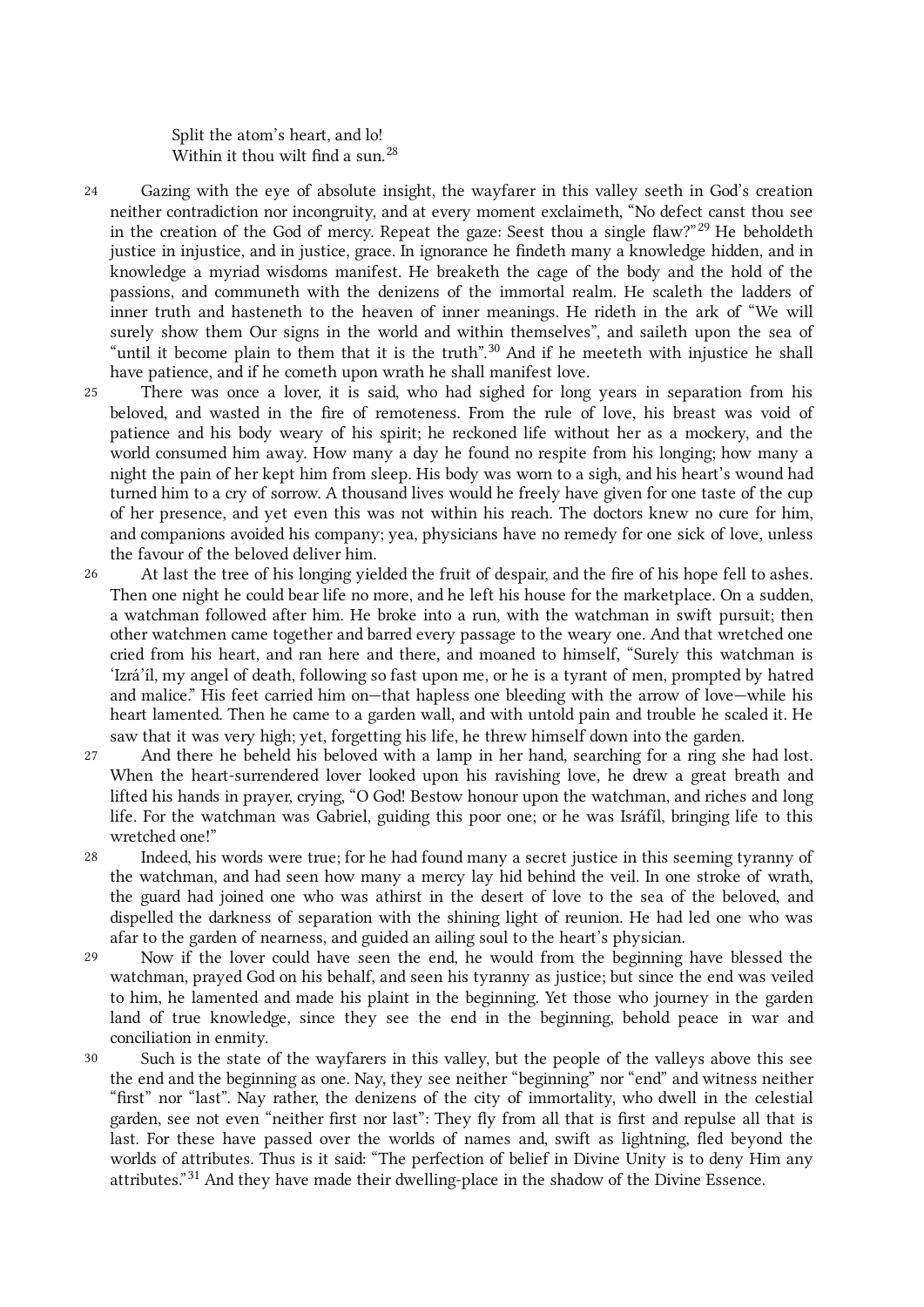Split the atom's heart, and lo! Within it thou wilt find a sun. [28](#page-30-28)

- <span id="page-7-0"></span>Gazing with the eye of absolute insight, the wayfarer in this valley seeth in God's creation neither contradiction nor incongruity, and at every moment exclaimeth, "No defect canst thou see in the creation of the God of mercy. Repeat the gaze: Seest thou a single flaw?"<sup>[29](#page-30-29)</sup> He beholdeth justice in injustice, and in justice, grace. In ignorance he findeth many a knowledge hidden, and in knowledge a myriad wisdoms manifest. He breaketh the cage of the body and the hold of the passions, and communeth with the denizens of the immortal realm. He scaleth the ladders of inner truth and hasteneth to the heaven of inner meanings. He rideth in the ark of "We will surely show them Our signs in the world and within themselves", and saileth upon the sea of "until it become plain to them that it is the truth".<sup>[30](#page-30-30)</sup> And if he meeteth with injustice he shall have patience, and if he cometh upon wrath he shall manifest love. 24
- There was once a lover, it is said, who had sighed for long years in separation from his beloved, and wasted in the fire of remoteness. From the rule of love, his breast was void of patience and his body weary of his spirit; he reckoned life without her as a mockery, and the world consumed him away. How many a day he found no respite from his longing; how many a night the pain of her kept him from sleep. His body was worn to a sigh, and his heart's wound had turned him to a cry of sorrow. A thousand lives would he freely have given for one taste of the cup of her presence, and yet even this was not within his reach. The doctors knew no cure for him, and companions avoided his company; yea, physicians have no remedy for one sick of love, unless the favour of the beloved deliver him. 25
- At last the tree of his longing yielded the fruit of despair, and the fire of his hope fell to ashes. Then one night he could bear life no more, and he left his house for the marketplace. On a sudden, a watchman followed after him. He broke into a run, with the watchman in swift pursuit; then other watchmen came together and barred every passage to the weary one. And that wretched one cried from his heart, and ran here and there, and moaned to himself, "Surely this watchman is 'Izrá'íl, my angel of death, following so fast upon me, or he is a tyrant of men, prompted by hatred and malice." His feet carried him on—that hapless one bleeding with the arrow of love—while his heart lamented. Then he came to a garden wall, and with untold pain and trouble he scaled it. He saw that it was very high; yet, forgetting his life, he threw himself down into the garden. 26
- And there he beheld his beloved with a lamp in her hand, searching for a ring she had lost. When the heart-surrendered lover looked upon his ravishing love, he drew a great breath and lifted his hands in prayer, crying, "O God! Bestow honour upon the watchman, and riches and long life. For the watchman was Gabriel, guiding this poor one; or he was Isráfíl, bringing life to this wretched one!" 27
- Indeed, his words were true; for he had found many a secret justice in this seeming tyranny of the watchman, and had seen how many a mercy lay hid behind the veil. In one stroke of wrath, the guard had joined one who was athirst in the desert of love to the sea of the beloved, and dispelled the darkness of separation with the shining light of reunion. He had led one who was afar to the garden of nearness, and guided an ailing soul to the heart's physician. 28
- Now if the lover could have seen the end, he would from the beginning have blessed the watchman, prayed God on his behalf, and seen his tyranny as justice; but since the end was veiled to him, he lamented and made his plaint in the beginning. Yet those who journey in the garden land of true knowledge, since they see the end in the beginning, behold peace in war and conciliation in enmity.  $29$
- <span id="page-7-1"></span>Such is the state of the wayfarers in this valley, but the people of the valleys above this see the end and the beginning as one. Nay, they see neither "beginning" nor "end" and witness neither "first" nor "last". Nay rather, the denizens of the city of immortality, who dwell in the celestial garden, see not even "neither first nor last": They fly from all that is first and repulse all that is last. For these have passed over the worlds of names and, swift as lightning, fled beyond the worlds of attributes. Thus is it said: "The perfection of belief in Divine Unity is to deny Him any attributes."<sup>[31](#page-30-31)</sup> And they have made their dwelling-place in the shadow of the Divine Essence. 30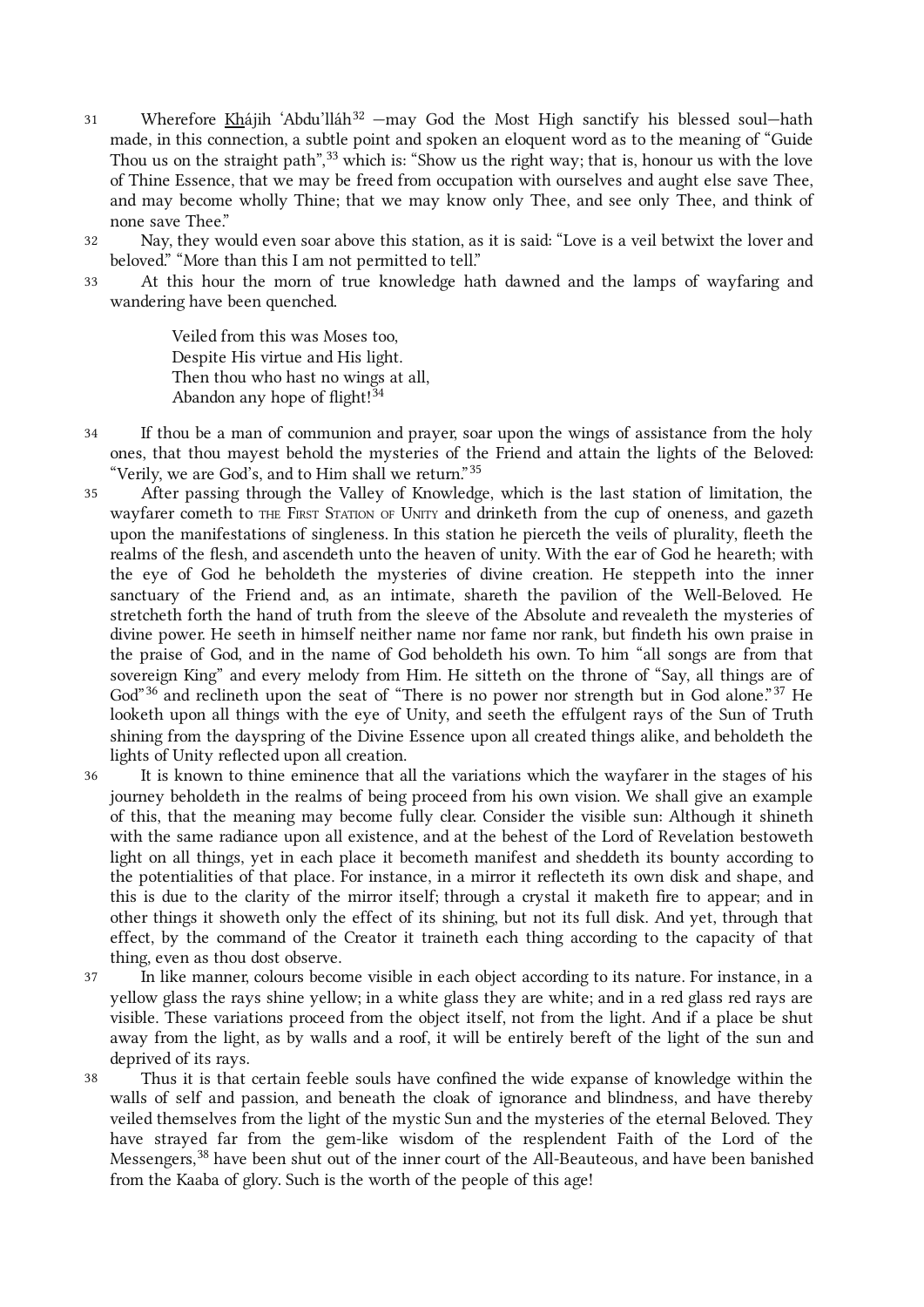- <span id="page-8-0"></span>Wherefore Khájih 'Abdu'lláh<sup>[32](#page-31-0)</sup> –may God the Most High sanctify his blessed soul–hath made, in this connection, a subtle point and spoken an eloquent word as to the meaning of "Guide Thou us on the straight path",<sup>[33](#page-31-1)</sup> which is: "Show us the right way; that is, honour us with the love of Thine Essence, that we may be freed from occupation with ourselves and aught else save Thee, and may become wholly Thine; that we may know only Thee, and see only Thee, and think of none save Thee." 31
- Nay, they would even soar above this station, as it is said: "Love is a veil betwixt the lover and beloved." "More than this I am not permitted to tell." 32
- <span id="page-8-1"></span>At this hour the morn of true knowledge hath dawned and the lamps of wayfaring and wandering have been quenched. 33

Veiled from this was Moses too, Despite His virtue and His light. Then thou who hast no wings at all, Abandon any hope of flight!<sup>[34](#page-31-2)</sup>

- <span id="page-8-2"></span>If thou be a man of communion and prayer, soar upon the wings of assistance from the holy ones, that thou mayest behold the mysteries of the Friend and attain the lights of the Beloved: "Verily, we are God's, and to Him shall we return." [35](#page-31-3) 34
- After passing through the Valley of Knowledge, which is the last station of limitation, the wayfarer cometh to THE FIRST STATION OF UNITY and drinketh from the cup of oneness, and gazeth upon the manifestations of singleness. In this station he pierceth the veils of plurality, fleeth the realms of the flesh, and ascendeth unto the heaven of unity. With the ear of God he heareth; with the eye of God he beholdeth the mysteries of divine creation. He steppeth into the inner sanctuary of the Friend and, as an intimate, shareth the pavilion of the Well-Beloved. He stretcheth forth the hand of truth from the sleeve of the Absolute and revealeth the mysteries of divine power. He seeth in himself neither name nor fame nor rank, but findeth his own praise in the praise of God, and in the name of God beholdeth his own. To him "all songs are from that sovereign King" and every melody from Him. He sitteth on the throne of "Say, all things are of God"<sup>[36](#page-31-4)</sup> and reclineth upon the seat of "There is no power nor strength but in God alone."<sup>[37](#page-31-5)</sup> He looketh upon all things with the eye of Unity, and seeth the effulgent rays of the Sun of Truth shining from the dayspring of the Divine Essence upon all created things alike, and beholdeth the lights of Unity reflected upon all creation. 35
- It is known to thine eminence that all the variations which the wayfarer in the stages of his journey beholdeth in the realms of being proceed from his own vision. We shall give an example of this, that the meaning may become fully clear. Consider the visible sun: Although it shineth with the same radiance upon all existence, and at the behest of the Lord of Revelation bestoweth light on all things, yet in each place it becometh manifest and sheddeth its bounty according to the potentialities of that place. For instance, in a mirror it reflecteth its own disk and shape, and this is due to the clarity of the mirror itself; through a crystal it maketh fire to appear; and in other things it showeth only the effect of its shining, but not its full disk. And yet, through that effect, by the command of the Creator it traineth each thing according to the capacity of that thing, even as thou dost observe. 36
- In like manner, colours become visible in each object according to its nature. For instance, in a yellow glass the rays shine yellow; in a white glass they are white; and in a red glass red rays are visible. These variations proceed from the object itself, not from the light. And if a place be shut away from the light, as by walls and a roof, it will be entirely bereft of the light of the sun and deprived of its rays. 37
- <span id="page-8-4"></span>Thus it is that certain feeble souls have confined the wide expanse of knowledge within the walls of self and passion, and beneath the cloak of ignorance and blindness, and have thereby veiled themselves from the light of the mystic Sun and the mysteries of the eternal Beloved. They have strayed far from the gem-like wisdom of the resplendent Faith of the Lord of the Messengers,<sup>[38](#page-31-6)</sup> have been shut out of the inner court of the All-Beauteous, and have been banished from the Kaaba of glory. Such is the worth of the people of this age! 38

<span id="page-8-3"></span>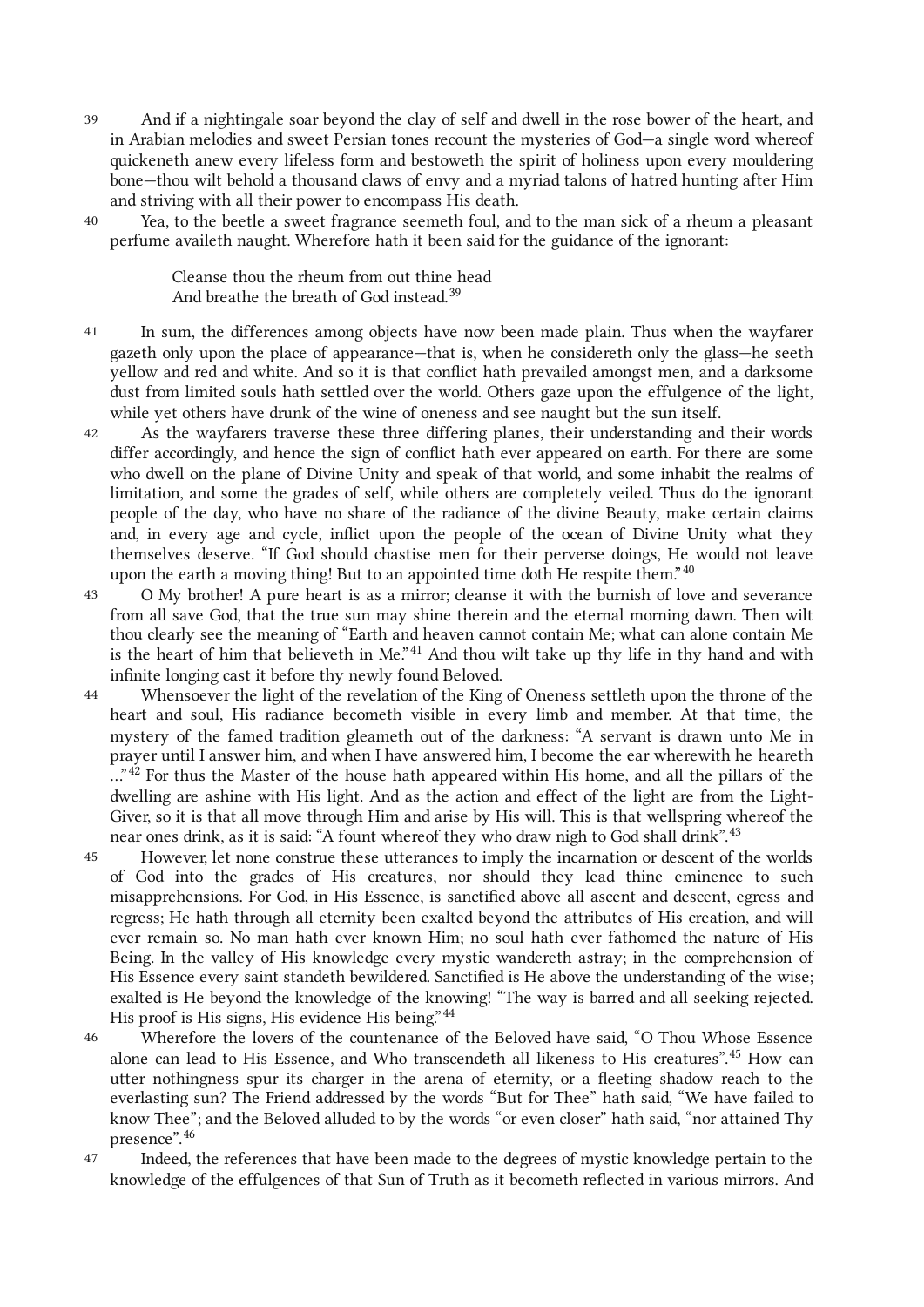- And if a nightingale soar beyond the clay of self and dwell in the rose bower of the heart, and in Arabian melodies and sweet Persian tones recount the mysteries of God—a single word whereof quickeneth anew every lifeless form and bestoweth the spirit of holiness upon every mouldering bone—thou wilt behold a thousand claws of envy and a myriad talons of hatred hunting after Him and striving with all their power to encompass His death. 39
- <span id="page-9-0"></span>Yea, to the beetle a sweet fragrance seemeth foul, and to the man sick of a rheum a pleasant perfume availeth naught. Wherefore hath it been said for the guidance of the ignorant: 40

Cleanse thou the rheum from out thine head And breathe the breath of God instead. [39](#page-31-7)

- In sum, the differences among objects have now been made plain. Thus when the wayfarer gazeth only upon the place of appearance—that is, when he considereth only the glass—he seeth yellow and red and white. And so it is that conflict hath prevailed amongst men, and a darksome dust from limited souls hath settled over the world. Others gaze upon the effulgence of the light, while yet others have drunk of the wine of oneness and see naught but the sun itself. 41
- <span id="page-9-1"></span>As the wayfarers traverse these three differing planes, their understanding and their words differ accordingly, and hence the sign of conflict hath ever appeared on earth. For there are some who dwell on the plane of Divine Unity and speak of that world, and some inhabit the realms of limitation, and some the grades of self, while others are completely veiled. Thus do the ignorant people of the day, who have no share of the radiance of the divine Beauty, make certain claims and, in every age and cycle, inflict upon the people of the ocean of Divine Unity what they themselves deserve. "If God should chastise men for their perverse doings, He would not leave upon the earth a moving thing! But to an appointed time doth He respite them." $40$ 42
- <span id="page-9-2"></span>O My brother! A pure heart is as a mirror; cleanse it with the burnish of love and severance from all save God, that the true sun may shine therein and the eternal morning dawn. Then wilt thou clearly see the meaning of "Earth and heaven cannot contain Me; what can alone contain Me is the heart of him that believeth in Me."<sup>[41](#page-31-9)</sup> And thou wilt take up thy life in thy hand and with infinite longing cast it before thy newly found Beloved. 43
- <span id="page-9-3"></span>Whensoever the light of the revelation of the King of Oneness settleth upon the throne of the heart and soul, His radiance becometh visible in every limb and member. At that time, the mystery of the famed tradition gleameth out of the darkness: "A servant is drawn unto Me in prayer until I answer him, and when I have answered him, I become the ear wherewith he heareth ..."<sup>[42](#page-31-10)</sup> For thus the Master of the house hath appeared within His home, and all the pillars of the dwelling are ashine with His light. And as the action and effect of the light are from the Light-Giver, so it is that all move through Him and arise by His will. This is that wellspring whereof the near ones drink, as it is said: "A fount whereof they who draw nigh to God shall drink".<sup>[43](#page-31-11)</sup> 44
- <span id="page-9-4"></span>However, let none construe these utterances to imply the incarnation or descent of the worlds of God into the grades of His creatures, nor should they lead thine eminence to such misapprehensions. For God, in His Essence, is sanctified above all ascent and descent, egress and regress; He hath through all eternity been exalted beyond the attributes of His creation, and will ever remain so. No man hath ever known Him; no soul hath ever fathomed the nature of His Being. In the valley of His knowledge every mystic wandereth astray; in the comprehension of His Essence every saint standeth bewildered. Sanctified is He above the understanding of the wise; exalted is He beyond the knowledge of the knowing! "The way is barred and all seeking rejected. His proof is His signs, His evidence His being." <sup>[44](#page-31-12)</sup> 45
- <span id="page-9-5"></span>Wherefore the lovers of the countenance of the Beloved have said, "O Thou Whose Essence alone can lead to His Essence, and Who transcendeth all likeness to His creatures". [45](#page-31-13) How can utter nothingness spur its charger in the arena of eternity, or a fleeting shadow reach to the everlasting sun? The Friend addressed by the words "But for Thee" hath said, "We have failed to know Thee"; and the Beloved alluded to by the words "or even closer" hath said, "nor attained Thy presence". [46](#page-31-14) 46
- Indeed, the references that have been made to the degrees of mystic knowledge pertain to the knowledge of the effulgences of that Sun of Truth as it becometh reflected in various mirrors. And 47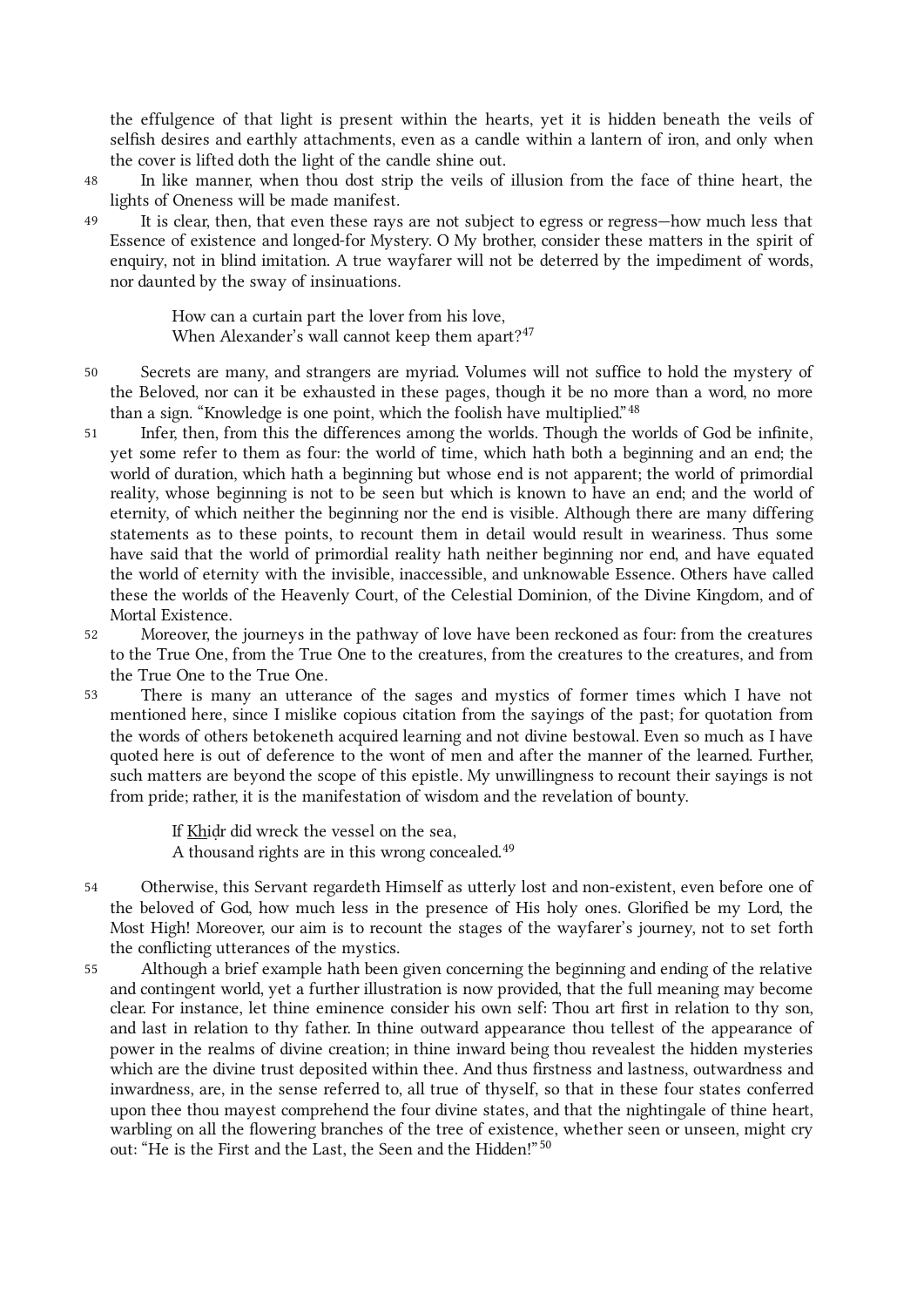the effulgence of that light is present within the hearts, yet it is hidden beneath the veils of selfish desires and earthly attachments, even as a candle within a lantern of iron, and only when the cover is lifted doth the light of the candle shine out.

- In like manner, when thou dost strip the veils of illusion from the face of thine heart, the lights of Oneness will be made manifest. 48
- It is clear, then, that even these rays are not subject to egress or regress—how much less that Essence of existence and longed-for Mystery. O My brother, consider these matters in the spirit of enquiry, not in blind imitation. A true wayfarer will not be deterred by the impediment of words, nor daunted by the sway of insinuations. 49

How can a curtain part the lover from his love, When Alexander's wall cannot keep them apart?<sup>[47](#page-31-15)</sup>

- <span id="page-10-1"></span>Secrets are many, and strangers are myriad. Volumes will not suffice to hold the mystery of the Beloved, nor can it be exhausted in these pages, though it be no more than a word, no more than a sign. "Knowledge is one point, which the foolish have multiplied."<sup>[48](#page-31-16)</sup> 50
- Infer, then, from this the differences among the worlds. Though the worlds of God be infinite, yet some refer to them as four: the world of time, which hath both a beginning and an end; the world of duration, which hath a beginning but whose end is not apparent; the world of primordial reality, whose beginning is not to be seen but which is known to have an end; and the world of eternity, of which neither the beginning nor the end is visible. Although there are many differing statements as to these points, to recount them in detail would result in weariness. Thus some have said that the world of primordial reality hath neither beginning nor end, and have equated the world of eternity with the invisible, inaccessible, and unknowable Essence. Others have called these the worlds of the Heavenly Court, of the Celestial Dominion, of the Divine Kingdom, and of Mortal Existence. 51
- Moreover, the journeys in the pathway of love have been reckoned as four: from the creatures to the True One, from the True One to the creatures, from the creatures to the creatures, and from the True One to the True One. 52
- <span id="page-10-2"></span>There is many an utterance of the sages and mystics of former times which I have not mentioned here, since I mislike copious citation from the sayings of the past; for quotation from the words of others betokeneth acquired learning and not divine bestowal. Even so much as I have quoted here is out of deference to the wont of men and after the manner of the learned. Further, such matters are beyond the scope of this epistle. My unwillingness to recount their sayings is not from pride; rather, it is the manifestation of wisdom and the revelation of bounty. 53

If Khidr did wreck the vessel on the sea, A thousand rights are in this wrong concealed.<sup>[49](#page-31-17)</sup>

- Otherwise, this Servant regardeth Himself as utterly lost and non-existent, even before one of the beloved of God, how much less in the presence of His holy ones. Glorified be my Lord, the Most High! Moreover, our aim is to recount the stages of the wayfarer's journey, not to set forth the conflicting utterances of the mystics. 54
- <span id="page-10-3"></span>Although a brief example hath been given concerning the beginning and ending of the relative and contingent world, yet a further illustration is now provided, that the full meaning may become clear. For instance, let thine eminence consider his own self: Thou art first in relation to thy son, and last in relation to thy father. In thine outward appearance thou tellest of the appearance of power in the realms of divine creation; in thine inward being thou revealest the hidden mysteries which are the divine trust deposited within thee. And thus firstness and lastness, outwardness and inwardness, are, in the sense referred to, all true of thyself, so that in these four states conferred upon thee thou mayest comprehend the four divine states, and that the nightingale of thine heart, warbling on all the flowering branches of the tree of existence, whether seen or unseen, might cry out: "He is the First and the Last, the Seen and the Hidden!" [50](#page-31-18) 55

<span id="page-10-0"></span>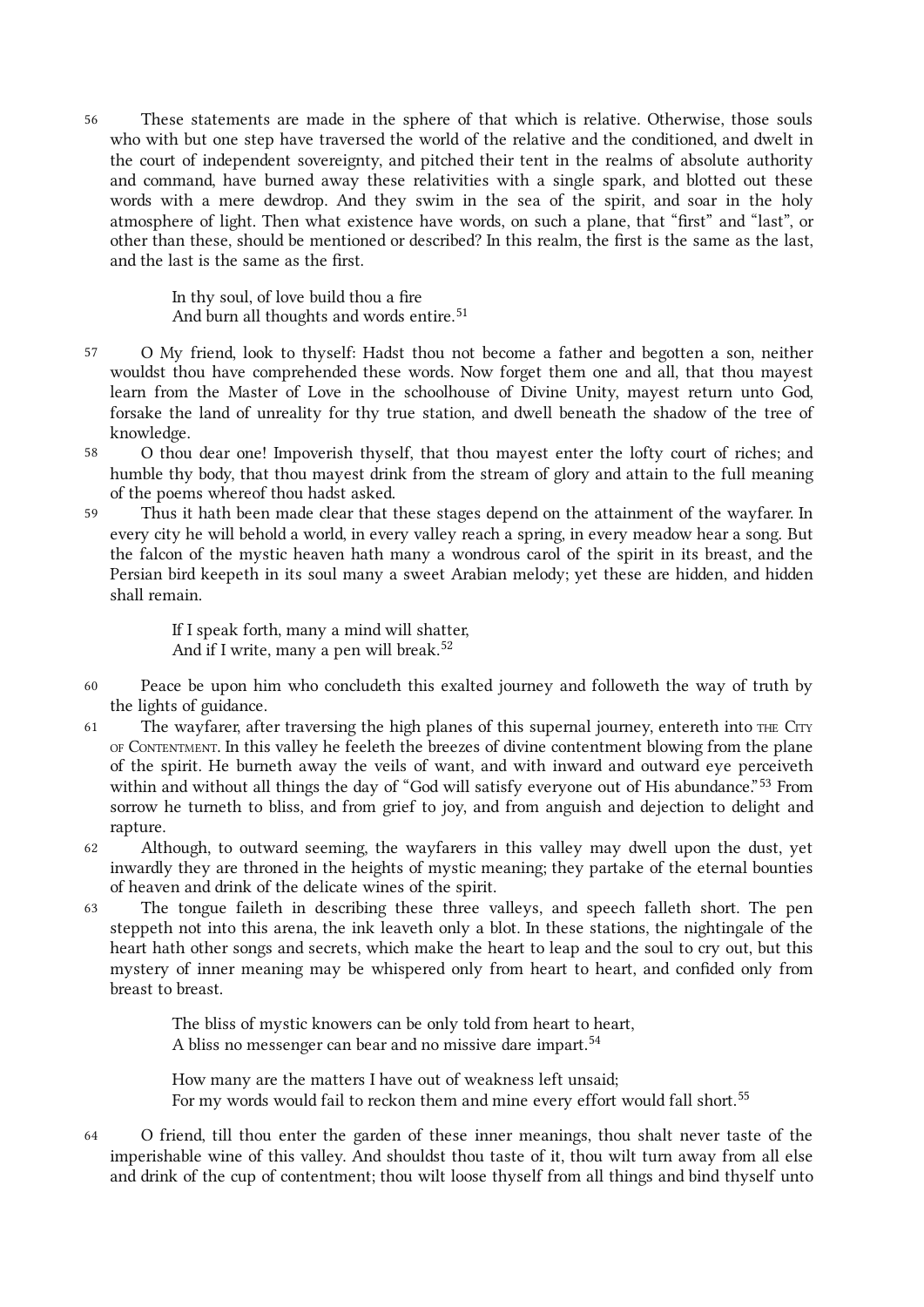<span id="page-11-0"></span>These statements are made in the sphere of that which is relative. Otherwise, those souls who with but one step have traversed the world of the relative and the conditioned, and dwelt in the court of independent sovereignty, and pitched their tent in the realms of absolute authority and command, have burned away these relativities with a single spark, and blotted out these words with a mere dewdrop. And they swim in the sea of the spirit, and soar in the holy atmosphere of light. Then what existence have words, on such a plane, that "first" and "last", or other than these, should be mentioned or described? In this realm, the first is the same as the last, and the last is the same as the first. 56

> In thy soul, of love build thou a fire And burn all thoughts and words entire. [51](#page-31-19)

- O My friend, look to thyself: Hadst thou not become a father and begotten a son, neither wouldst thou have comprehended these words. Now forget them one and all, that thou mayest learn from the Master of Love in the schoolhouse of Divine Unity, mayest return unto God, forsake the land of unreality for thy true station, and dwell beneath the shadow of the tree of knowledge. 57
- O thou dear one! Impoverish thyself, that thou mayest enter the lofty court of riches; and humble thy body, that thou mayest drink from the stream of glory and attain to the full meaning of the poems whereof thou hadst asked. 58
- <span id="page-11-1"></span>Thus it hath been made clear that these stages depend on the attainment of the wayfarer. In every city he will behold a world, in every valley reach a spring, in every meadow hear a song. But the falcon of the mystic heaven hath many a wondrous carol of the spirit in its breast, and the Persian bird keepeth in its soul many a sweet Arabian melody; yet these are hidden, and hidden shall remain. 59

If I speak forth, many a mind will shatter, And if I write, many a pen will break.<sup>[52](#page-31-20)</sup>

- Peace be upon him who concludeth this exalted journey and followeth the way of truth by the lights of guidance. 60
- <span id="page-11-2"></span>The wayfarer, after traversing the high planes of this supernal journey, entereth into THE CITY of Contentment. In this valley he feeleth the breezes of divine contentment blowing from the plane of the spirit. He burneth away the veils of want, and with inward and outward eye perceiveth within and without all things the day of "God will satisfy everyone out of His abundance."<sup>[53](#page-31-21)</sup> From sorrow he turneth to bliss, and from grief to joy, and from anguish and dejection to delight and rapture. 61
- Although, to outward seeming, the wayfarers in this valley may dwell upon the dust, yet inwardly they are throned in the heights of mystic meaning; they partake of the eternal bounties of heaven and drink of the delicate wines of the spirit. 62
- <span id="page-11-3"></span>The tongue faileth in describing these three valleys, and speech falleth short. The pen steppeth not into this arena, the ink leaveth only a blot. In these stations, the nightingale of the heart hath other songs and secrets, which make the heart to leap and the soul to cry out, but this mystery of inner meaning may be whispered only from heart to heart, and confided only from breast to breast. 63

The bliss of mystic knowers can be only told from heart to heart, A bliss no messenger can bear and no missive dare impart.<sup>[54](#page-31-22)</sup>

How many are the matters I have out of weakness left unsaid; For my words would fail to reckon them and mine every effort would fall short.<sup>[55](#page-31-23)</sup>

<span id="page-11-4"></span>O friend, till thou enter the garden of these inner meanings, thou shalt never taste of the imperishable wine of this valley. And shouldst thou taste of it, thou wilt turn away from all else and drink of the cup of contentment; thou wilt loose thyself from all things and bind thyself unto 64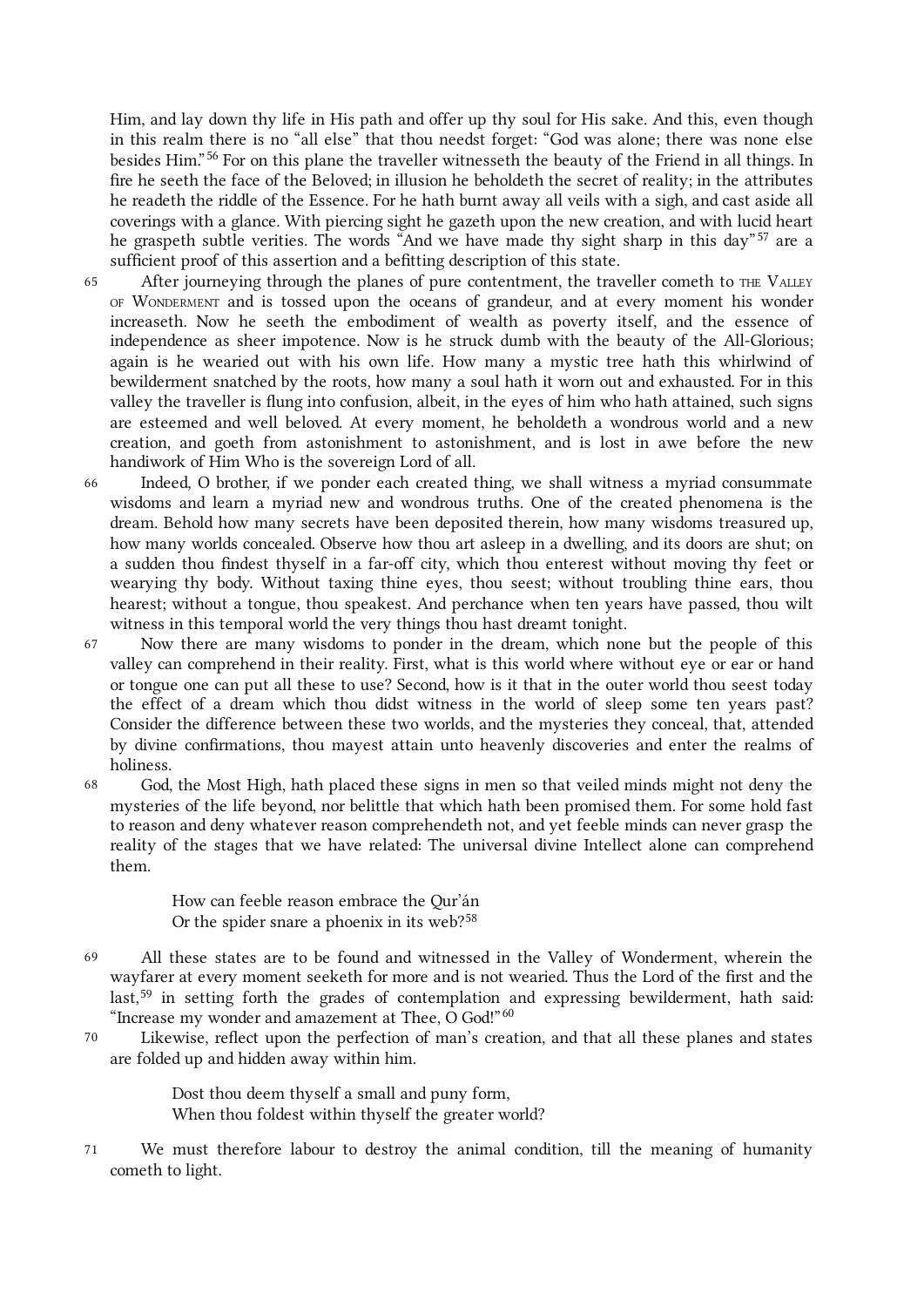Him, and lay down thy life in His path and offer up thy soul for His sake. And this, even though in this realm there is no "all else" that thou needst forget: "God was alone; there was none else besides Him." [56](#page-31-24) For on this plane the traveller witnesseth the beauty of the Friend in all things. In fire he seeth the face of the Beloved; in illusion he beholdeth the secret of reality; in the attributes he readeth the riddle of the Essence. For he hath burnt away all veils with a sigh, and cast aside all coverings with a glance. With piercing sight he gazeth upon the new creation, and with lucid heart he graspeth subtle verities. The words "And we have made thy sight sharp in this day"<sup>[57](#page-31-25)</sup> are a sufficient proof of this assertion and a befitting description of this state.

- After journeying through the planes of pure contentment, the traveller cometh to THE VALLEY OF WONDERMENT and is tossed upon the oceans of grandeur, and at every moment his wonder increaseth. Now he seeth the embodiment of wealth as poverty itself, and the essence of independence as sheer impotence. Now is he struck dumb with the beauty of the All-Glorious; again is he wearied out with his own life. How many a mystic tree hath this whirlwind of bewilderment snatched by the roots, how many a soul hath it worn out and exhausted. For in this valley the traveller is flung into confusion, albeit, in the eyes of him who hath attained, such signs are esteemed and well beloved. At every moment, he beholdeth a wondrous world and a new creation, and goeth from astonishment to astonishment, and is lost in awe before the new handiwork of Him Who is the sovereign Lord of all. 65
- Indeed, O brother, if we ponder each created thing, we shall witness a myriad consummate wisdoms and learn a myriad new and wondrous truths. One of the created phenomena is the dream. Behold how many secrets have been deposited therein, how many wisdoms treasured up, how many worlds concealed. Observe how thou art asleep in a dwelling, and its doors are shut; on a sudden thou findest thyself in a far-off city, which thou enterest without moving thy feet or wearying thy body. Without taxing thine eyes, thou seest; without troubling thine ears, thou hearest; without a tongue, thou speakest. And perchance when ten years have passed, thou wilt witness in this temporal world the very things thou hast dreamt tonight. 66
- Now there are many wisdoms to ponder in the dream, which none but the people of this valley can comprehend in their reality. First, what is this world where without eye or ear or hand or tongue one can put all these to use? Second, how is it that in the outer world thou seest today the effect of a dream which thou didst witness in the world of sleep some ten years past? Consider the difference between these two worlds, and the mysteries they conceal, that, attended by divine confirmations, thou mayest attain unto heavenly discoveries and enter the realms of holiness. 67
- <span id="page-12-0"></span>God, the Most High, hath placed these signs in men so that veiled minds might not deny the mysteries of the life beyond, nor belittle that which hath been promised them. For some hold fast to reason and deny whatever reason comprehendeth not, and yet feeble minds can never grasp the reality of the stages that we have related: The universal divine Intellect alone can comprehend them. 68

How can feeble reason embrace the Qur'án Or the spider snare a phoenix in its web? [58](#page-31-26)

- <span id="page-12-1"></span>All these states are to be found and witnessed in the Valley of Wonderment, wherein the wayfarer at every moment seeketh for more and is not wearied. Thus the Lord of the first and the last,<sup>[59](#page-31-27)</sup> in setting forth the grades of contemplation and expressing bewilderment, hath said: "Increase my wonder and amazement at Thee, O God!"<sup>[60](#page-31-28)</sup> 69
- Likewise, reflect upon the perfection of man's creation, and that all these planes and states are folded up and hidden away within him. 70

Dost thou deem thyself a small and puny form, When thou foldest within thyself the greater world?

We must therefore labour to destroy the animal condition, till the meaning of humanity cometh to light. 71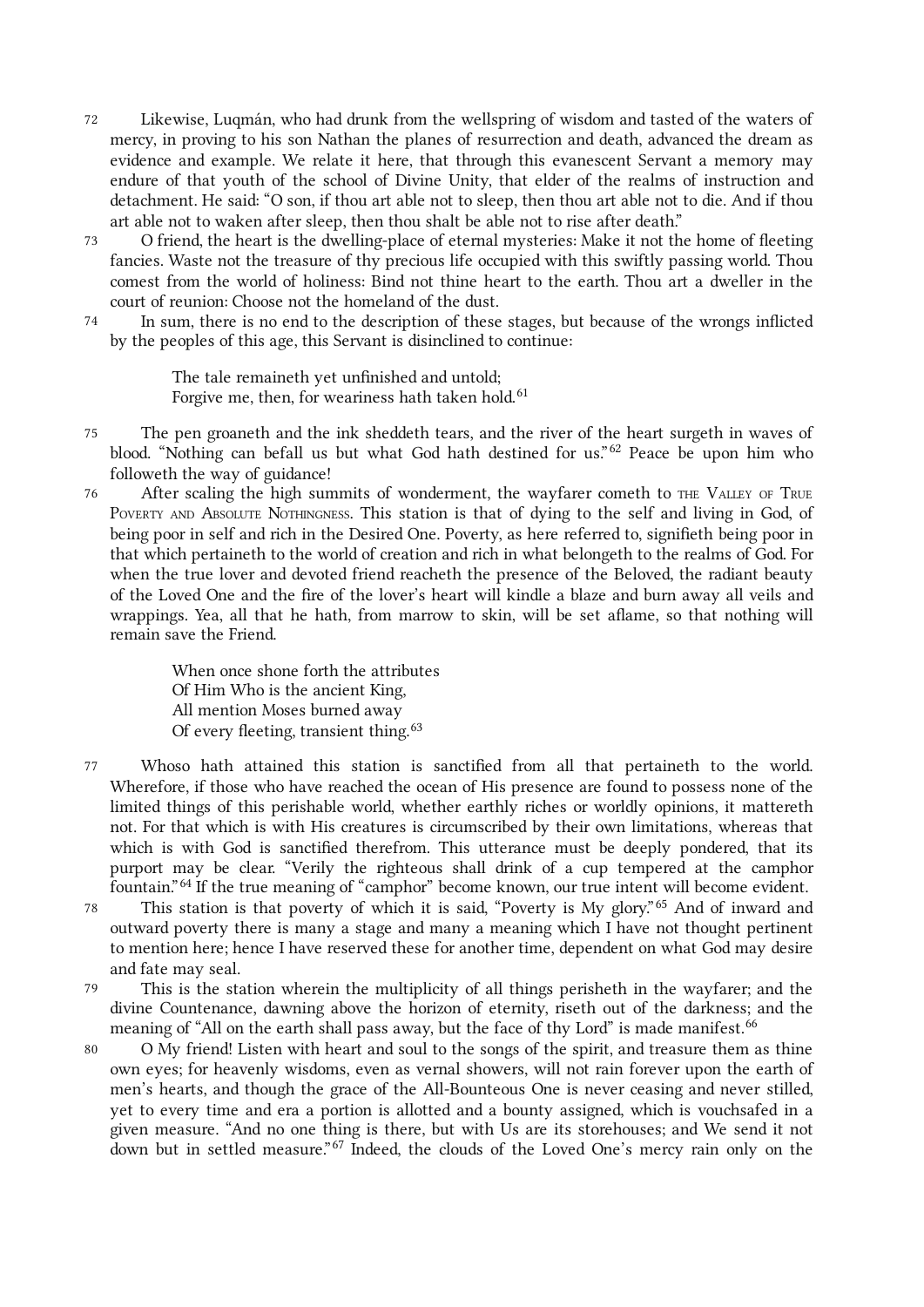- Likewise, Luqmán, who had drunk from the wellspring of wisdom and tasted of the waters of mercy, in proving to his son Nathan the planes of resurrection and death, advanced the dream as evidence and example. We relate it here, that through this evanescent Servant a memory may endure of that youth of the school of Divine Unity, that elder of the realms of instruction and detachment. He said: "O son, if thou art able not to sleep, then thou art able not to die. And if thou art able not to waken after sleep, then thou shalt be able not to rise after death." 72
- O friend, the heart is the dwelling-place of eternal mysteries: Make it not the home of fleeting fancies. Waste not the treasure of thy precious life occupied with this swiftly passing world. Thou comest from the world of holiness: Bind not thine heart to the earth. Thou art a dweller in the court of reunion: Choose not the homeland of the dust. 73
- <span id="page-13-0"></span>In sum, there is no end to the description of these stages, but because of the wrongs inflicted by the peoples of this age, this Servant is disinclined to continue: 74

The tale remaineth yet unfinished and untold; Forgive me, then, for weariness hath taken hold.<sup>[61](#page-31-29)</sup>

- <span id="page-13-1"></span>The pen groaneth and the ink sheddeth tears, and the river of the heart surgeth in waves of blood. "Nothing can befall us but what God hath destined for us." [62](#page-31-30) Peace be upon him who followeth the way of guidance! 75
- <span id="page-13-2"></span>After scaling the high summits of wonderment, the wayfarer cometh to THE VALLEY OF TRUE POVERTY AND ABSOLUTE NOTHINGNESS. This station is that of dying to the self and living in God, of being poor in self and rich in the Desired One. Poverty, as here referred to, signifieth being poor in that which pertaineth to the world of creation and rich in what belongeth to the realms of God. For when the true lover and devoted friend reacheth the presence of the Beloved, the radiant beauty of the Loved One and the fire of the lover's heart will kindle a blaze and burn away all veils and wrappings. Yea, all that he hath, from marrow to skin, will be set aflame, so that nothing will remain save the Friend. 76

When once shone forth the attributes Of Him Who is the ancient King, All mention Moses burned away Of every fleeting, transient thing. [63](#page-31-31)

- <span id="page-13-3"></span>Whoso hath attained this station is sanctified from all that pertaineth to the world. Wherefore, if those who have reached the ocean of His presence are found to possess none of the limited things of this perishable world, whether earthly riches or worldly opinions, it mattereth not. For that which is with His creatures is circumscribed by their own limitations, whereas that which is with God is sanctified therefrom. This utterance must be deeply pondered, that its purport may be clear. "Verily the righteous shall drink of a cup tempered at the camphor fountain."<sup>[64](#page-31-32)</sup> If the true meaning of "camphor" become known, our true intent will become evident. 77
- <span id="page-13-4"></span>This station is that poverty of which it is said, "Poverty is My glory."<sup>[65](#page-31-33)</sup> And of inward and outward poverty there is many a stage and many a meaning which I have not thought pertinent to mention here; hence I have reserved these for another time, dependent on what God may desire and fate may seal. 78
- <span id="page-13-5"></span>This is the station wherein the multiplicity of all things perisheth in the wayfarer; and the divine Countenance, dawning above the horizon of eternity, riseth out of the darkness; and the meaning of "All on the earth shall pass away, but the face of thy Lord" is made manifest.<sup>[66](#page-31-34)</sup> 79
- <span id="page-13-6"></span>O My friend! Listen with heart and soul to the songs of the spirit, and treasure them as thine own eyes; for heavenly wisdoms, even as vernal showers, will not rain forever upon the earth of men's hearts, and though the grace of the All-Bounteous One is never ceasing and never stilled, yet to every time and era a portion is allotted and a bounty assigned, which is vouchsafed in a given measure. "And no one thing is there, but with Us are its storehouses; and We send it not down but in settled measure."<sup>[67](#page-31-35)</sup> Indeed, the clouds of the Loved One's mercy rain only on the 80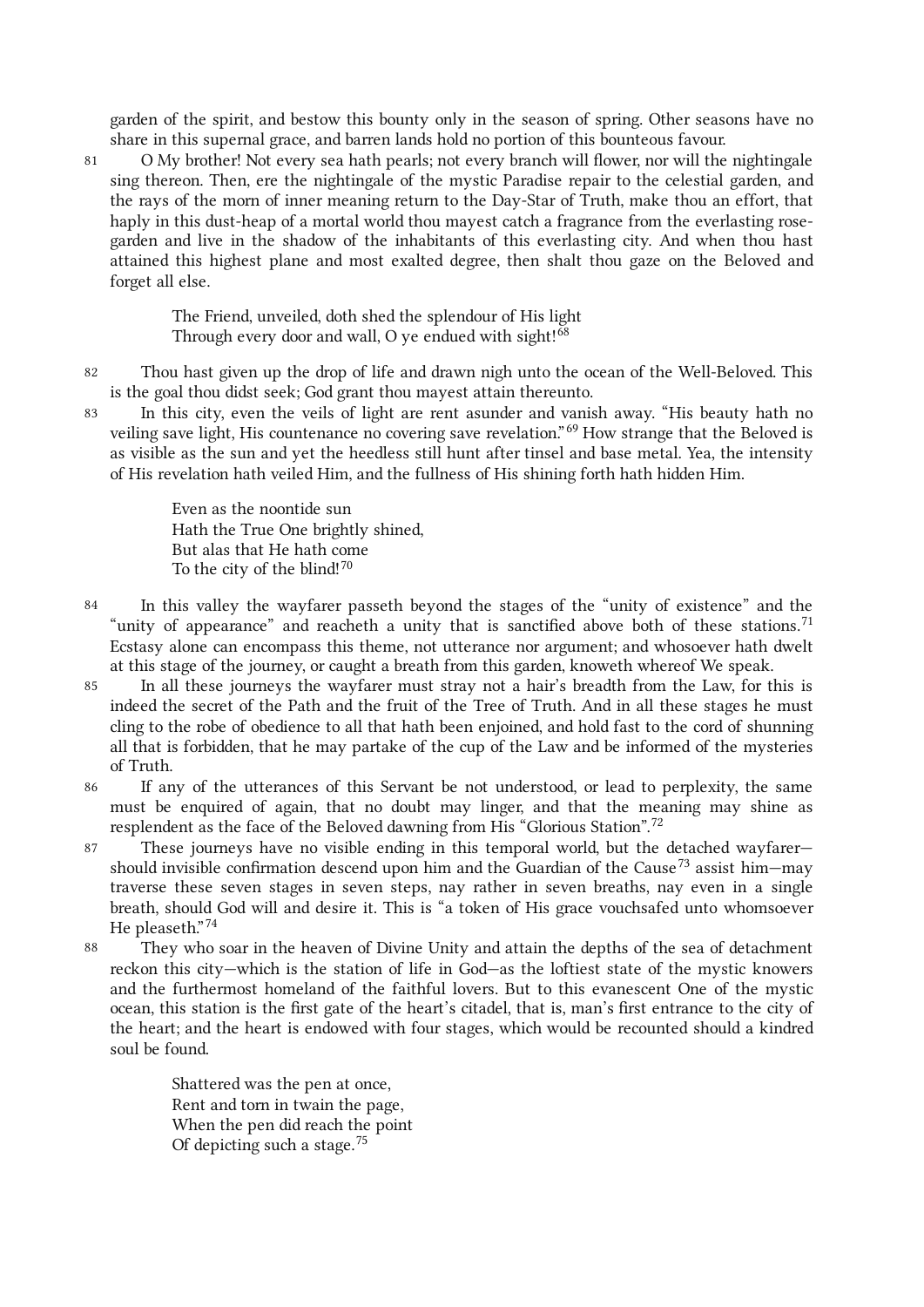<span id="page-14-0"></span>garden of the spirit, and bestow this bounty only in the season of spring. Other seasons have no share in this supernal grace, and barren lands hold no portion of this bounteous favour.

O My brother! Not every sea hath pearls; not every branch will flower, nor will the nightingale sing thereon. Then, ere the nightingale of the mystic Paradise repair to the celestial garden, and the rays of the morn of inner meaning return to the Day-Star of Truth, make thou an effort, that haply in this dust-heap of a mortal world thou mayest catch a fragrance from the everlasting rosegarden and live in the shadow of the inhabitants of this everlasting city. And when thou hast attained this highest plane and most exalted degree, then shalt thou gaze on the Beloved and forget all else. 81

> The Friend, unveiled, doth shed the splendour of His light Through every door and wall, O ye endued with sight!<sup>[68](#page-31-36)</sup>

- Thou hast given up the drop of life and drawn nigh unto the ocean of the Well-Beloved. This is the goal thou didst seek; God grant thou mayest attain thereunto. 82
- <span id="page-14-1"></span>In this city, even the veils of light are rent asunder and vanish away. "His beauty hath no veiling save light, His countenance no covering save revelation." [69](#page-31-37) How strange that the Beloved is as visible as the sun and yet the heedless still hunt after tinsel and base metal. Yea, the intensity of His revelation hath veiled Him, and the fullness of His shining forth hath hidden Him. 83

Even as the noontide sun Hath the True One brightly shined, But alas that He hath come To the city of the blind!<sup>[70](#page-31-38)</sup>

- <span id="page-14-2"></span>In this valley the wayfarer passeth beyond the stages of the "unity of existence" and the "unity of appearance" and reacheth a unity that is sanctified above both of these stations.<sup>[71](#page-31-39)</sup> Ecstasy alone can encompass this theme, not utterance nor argument; and whosoever hath dwelt at this stage of the journey, or caught a breath from this garden, knoweth whereof We speak. 84
- In all these journeys the wayfarer must stray not a hair's breadth from the Law, for this is indeed the secret of the Path and the fruit of the Tree of Truth. And in all these stages he must cling to the robe of obedience to all that hath been enjoined, and hold fast to the cord of shunning all that is forbidden, that he may partake of the cup of the Law and be informed of the mysteries of Truth. 85
- <span id="page-14-3"></span>If any of the utterances of this Servant be not understood, or lead to perplexity, the same must be enquired of again, that no doubt may linger, and that the meaning may shine as resplendent as the face of the Beloved dawning from His "Glorious Station".<sup>[72](#page-31-40)</sup> 86
- <span id="page-14-4"></span>These journeys have no visible ending in this temporal world, but the detached wayfarer— should invisible confirmation descend upon him and the Guardian of the Cause<sup>[73](#page-31-41)</sup> assist him—may traverse these seven stages in seven steps, nay rather in seven breaths, nay even in a single breath, should God will and desire it. This is "a token of His grace vouchsafed unto whomsoever He pleaseth." [74](#page-31-42) 87
- <span id="page-14-5"></span>They who soar in the heaven of Divine Unity and attain the depths of the sea of detachment reckon this city—which is the station of life in God—as the loftiest state of the mystic knowers and the furthermost homeland of the faithful lovers. But to this evanescent One of the mystic ocean, this station is the first gate of the heart's citadel, that is, man's first entrance to the city of the heart; and the heart is endowed with four stages, which would be recounted should a kindred soul be found.  $88$

Shattered was the pen at once, Rent and torn in twain the page, When the pen did reach the point Of depicting such a stage. [75](#page-31-43)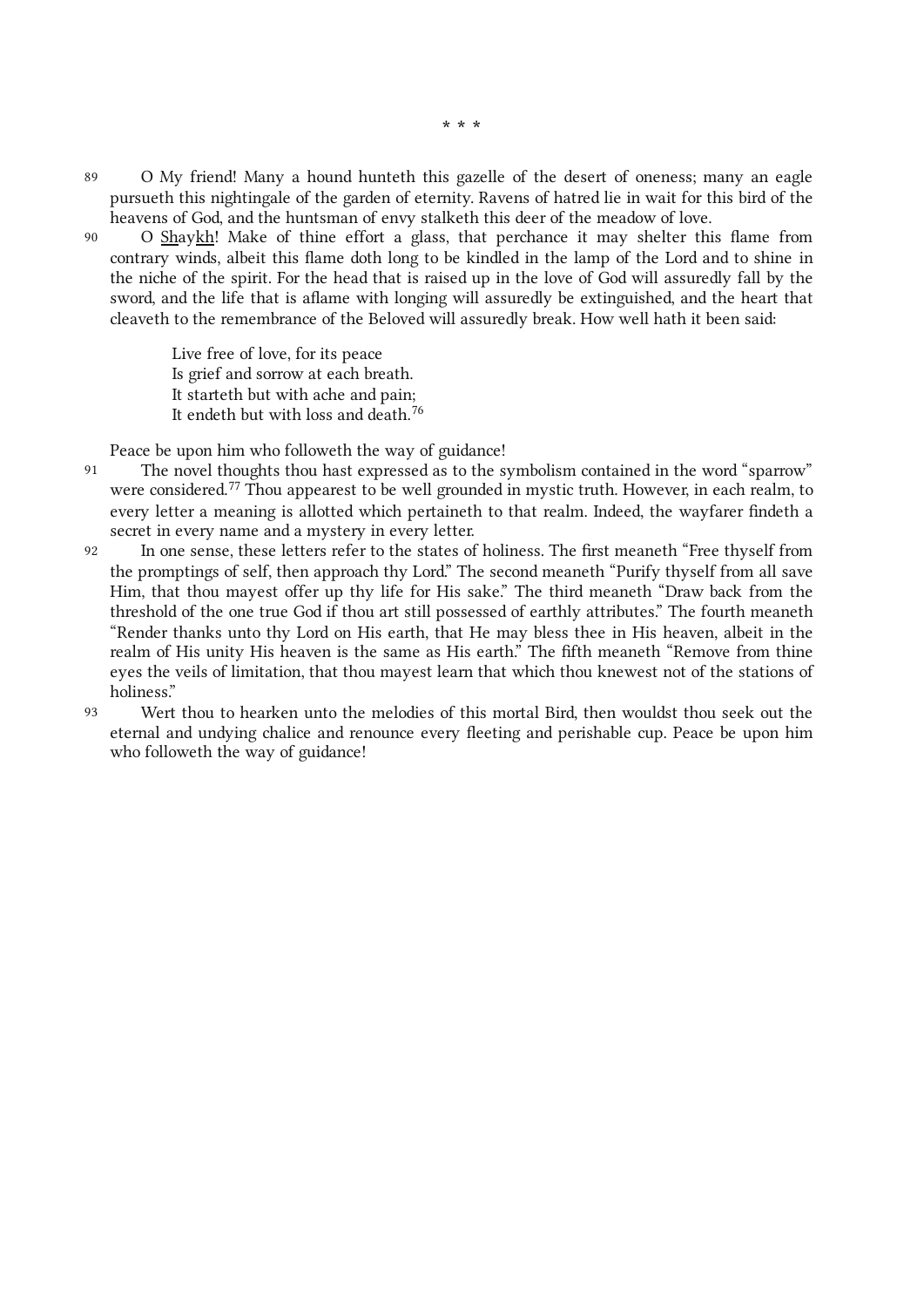- O My friend! Many a hound hunteth this gazelle of the desert of oneness; many an eagle pursueth this nightingale of the garden of eternity. Ravens of hatred lie in wait for this bird of the heavens of God, and the huntsman of envy stalketh this deer of the meadow of love. 89
- <span id="page-15-0"></span>O Shaykh! Make of thine effort a glass, that perchance it may shelter this flame from contrary winds, albeit this flame doth long to be kindled in the lamp of the Lord and to shine in the niche of the spirit. For the head that is raised up in the love of God will assuredly fall by the sword, and the life that is aflame with longing will assuredly be extinguished, and the heart that cleaveth to the remembrance of the Beloved will assuredly break. How well hath it been said:  $90$

Live free of love, for its peace Is grief and sorrow at each breath. It starteth but with ache and pain; It endeth but with loss and death. [76](#page-31-44)

<span id="page-15-1"></span>Peace be upon him who followeth the way of guidance!

- The novel thoughts thou hast expressed as to the symbolism contained in the word "sparrow" were considered.<sup>[77](#page-31-45)</sup> Thou appearest to be well grounded in mystic truth. However, in each realm, to every letter a meaning is allotted which pertaineth to that realm. Indeed, the wayfarer findeth a secret in every name and a mystery in every letter. 91
- In one sense, these letters refer to the states of holiness. The first meaneth "Free thyself from the promptings of self, then approach thy Lord." The second meaneth "Purify thyself from all save Him, that thou mayest offer up thy life for His sake." The third meaneth "Draw back from the threshold of the one true God if thou art still possessed of earthly attributes." The fourth meaneth "Render thanks unto thy Lord on His earth, that He may bless thee in His heaven, albeit in the realm of His unity His heaven is the same as His earth." The fifth meaneth "Remove from thine eyes the veils of limitation, that thou mayest learn that which thou knewest not of the stations of holiness." 92
- Wert thou to hearken unto the melodies of this mortal Bird, then wouldst thou seek out the eternal and undying chalice and renounce every fleeting and perishable cup. Peace be upon him who followeth the way of guidance!  $93$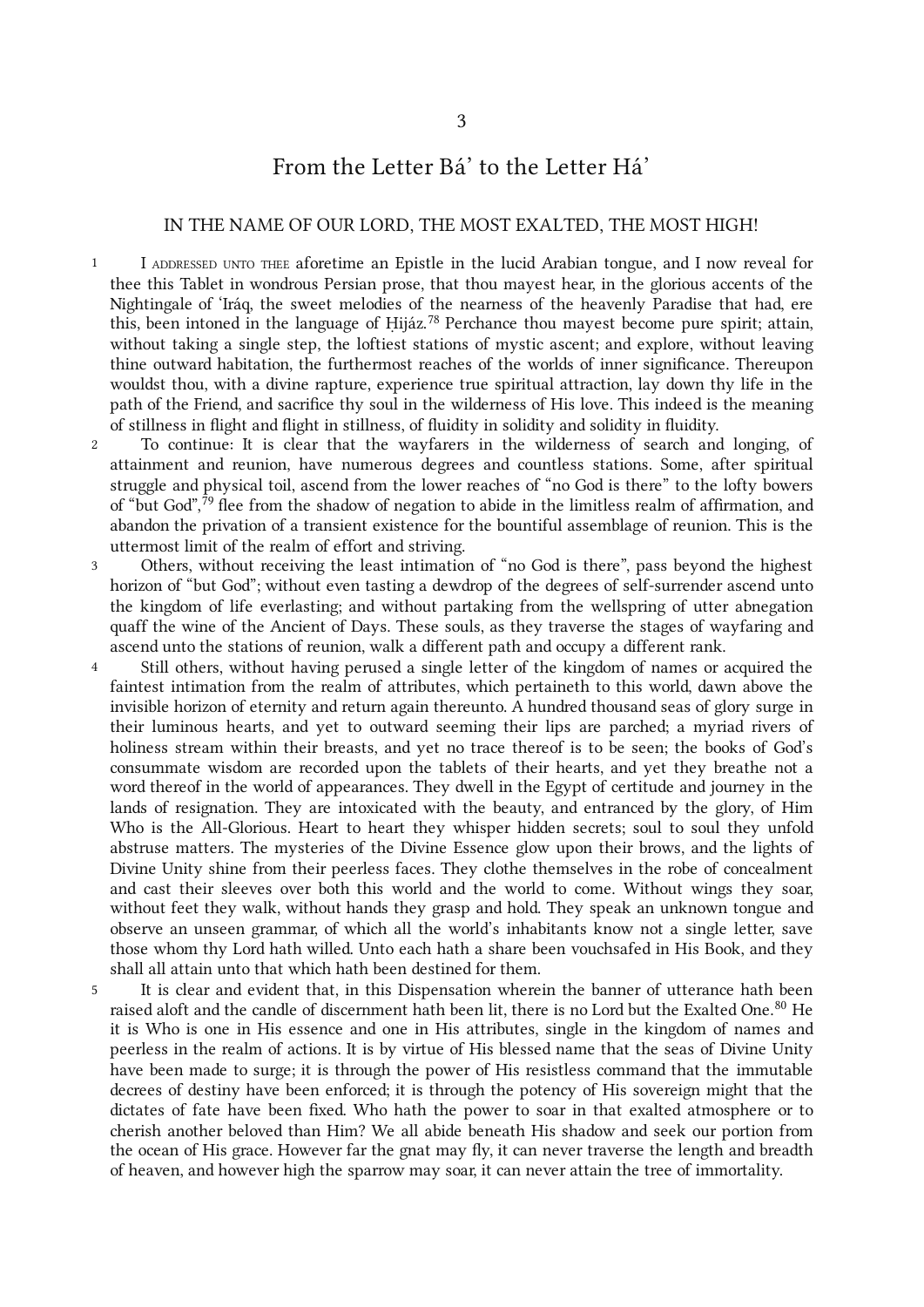### <span id="page-16-0"></span>From the Letter Bá' to the Letter Há'

#### IN THE NAME OF OUR LORD, THE MOST EXALTED, THE MOST HIGH!

- I ADDRESSED UNTO THEE aforetime an Epistle in the lucid Arabian tongue, and I now reveal for thee this Tablet in wondrous Persian prose, that thou mayest hear, in the glorious accents of the Nightingale of 'Iráq, the sweet melodies of the nearness of the heavenly Paradise that had, ere this, been intoned in the language of Hijáz.<sup>[78](#page-31-46)</sup> Perchance thou mayest become pure spirit; attain, without taking a single step, the loftiest stations of mystic ascent; and explore, without leaving thine outward habitation, the furthermost reaches of the worlds of inner significance. Thereupon wouldst thou, with a divine rapture, experience true spiritual attraction, lay down thy life in the path of the Friend, and sacrifice thy soul in the wilderness of His love. This indeed is the meaning of stillness in flight and flight in stillness, of fluidity in solidity and solidity in fluidity. 1
- <span id="page-16-1"></span>To continue: It is clear that the wayfarers in the wilderness of search and longing, of attainment and reunion, have numerous degrees and countless stations. Some, after spiritual struggle and physical toil, ascend from the lower reaches of "no God is there" to the lofty bowers of "but God",<sup>[79](#page-32-0)</sup> flee from the shadow of negation to abide in the limitless realm of affirmation, and abandon the privation of a transient existence for the bountiful assemblage of reunion. This is the uttermost limit of the realm of effort and striving. 2
- Others, without receiving the least intimation of "no God is there", pass beyond the highest horizon of "but God"; without even tasting a dewdrop of the degrees of self-surrender ascend unto the kingdom of life everlasting; and without partaking from the wellspring of utter abnegation quaff the wine of the Ancient of Days. These souls, as they traverse the stages of wayfaring and ascend unto the stations of reunion, walk a different path and occupy a different rank. 3
- Still others, without having perused a single letter of the kingdom of names or acquired the faintest intimation from the realm of attributes, which pertaineth to this world, dawn above the invisible horizon of eternity and return again thereunto. A hundred thousand seas of glory surge in their luminous hearts, and yet to outward seeming their lips are parched; a myriad rivers of holiness stream within their breasts, and yet no trace thereof is to be seen; the books of God's consummate wisdom are recorded upon the tablets of their hearts, and yet they breathe not a word thereof in the world of appearances. They dwell in the Egypt of certitude and journey in the lands of resignation. They are intoxicated with the beauty, and entranced by the glory, of Him Who is the All-Glorious. Heart to heart they whisper hidden secrets; soul to soul they unfold abstruse matters. The mysteries of the Divine Essence glow upon their brows, and the lights of Divine Unity shine from their peerless faces. They clothe themselves in the robe of concealment and cast their sleeves over both this world and the world to come. Without wings they soar, without feet they walk, without hands they grasp and hold. They speak an unknown tongue and observe an unseen grammar, of which all the world's inhabitants know not a single letter, save those whom thy Lord hath willed. Unto each hath a share been vouchsafed in His Book, and they shall all attain unto that which hath been destined for them. 4
- <span id="page-16-2"></span>It is clear and evident that, in this Dispensation wherein the banner of utterance hath been raised aloft and the candle of discernment hath been lit, there is no Lord but the Exalted One. [80](#page-32-1) He it is Who is one in His essence and one in His attributes, single in the kingdom of names and peerless in the realm of actions. It is by virtue of His blessed name that the seas of Divine Unity have been made to surge; it is through the power of His resistless command that the immutable decrees of destiny have been enforced; it is through the potency of His sovereign might that the dictates of fate have been fixed. Who hath the power to soar in that exalted atmosphere or to cherish another beloved than Him? We all abide beneath His shadow and seek our portion from the ocean of His grace. However far the gnat may fly, it can never traverse the length and breadth of heaven, and however high the sparrow may soar, it can never attain the tree of immortality. 5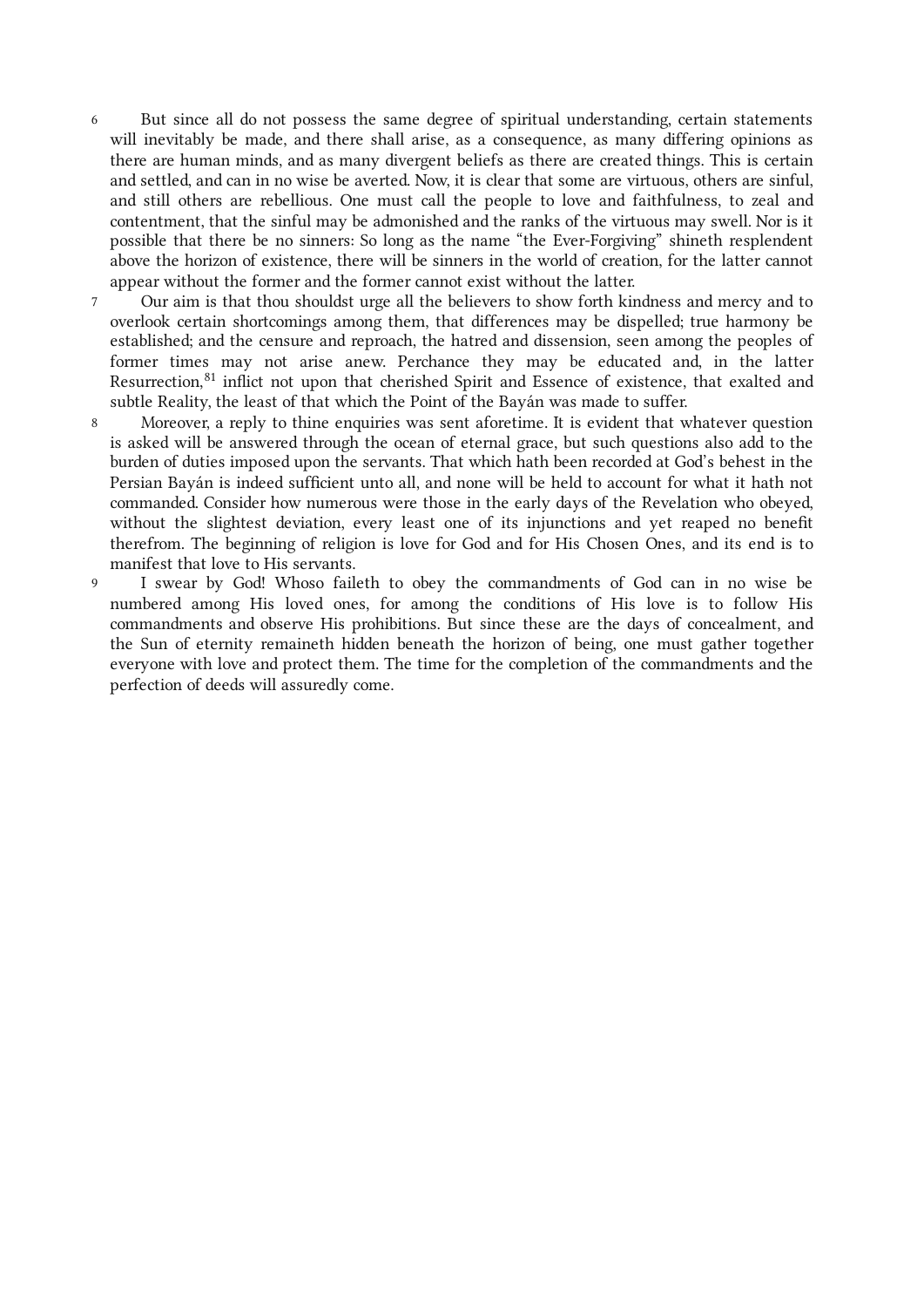- But since all do not possess the same degree of spiritual understanding, certain statements will inevitably be made, and there shall arise, as a consequence, as many differing opinions as there are human minds, and as many divergent beliefs as there are created things. This is certain and settled, and can in no wise be averted. Now, it is clear that some are virtuous, others are sinful, and still others are rebellious. One must call the people to love and faithfulness, to zeal and contentment, that the sinful may be admonished and the ranks of the virtuous may swell. Nor is it possible that there be no sinners: So long as the name "the Ever-Forgiving" shineth resplendent above the horizon of existence, there will be sinners in the world of creation, for the latter cannot appear without the former and the former cannot exist without the latter. 6
- <span id="page-17-0"></span>Our aim is that thou shouldst urge all the believers to show forth kindness and mercy and to overlook certain shortcomings among them, that differences may be dispelled; true harmony be established; and the censure and reproach, the hatred and dissension, seen among the peoples of former times may not arise anew. Perchance they may be educated and, in the latter Resurrection, <sup>[81](#page-32-2)</sup> inflict not upon that cherished Spirit and Essence of existence, that exalted and subtle Reality, the least of that which the Point of the Bayán was made to suffer. 7
- Moreover, a reply to thine enquiries was sent aforetime. It is evident that whatever question is asked will be answered through the ocean of eternal grace, but such questions also add to the burden of duties imposed upon the servants. That which hath been recorded at God's behest in the Persian Bayán is indeed sufficient unto all, and none will be held to account for what it hath not commanded. Consider how numerous were those in the early days of the Revelation who obeyed, without the slightest deviation, every least one of its injunctions and yet reaped no benefit therefrom. The beginning of religion is love for God and for His Chosen Ones, and its end is to manifest that love to His servants. 8
- I swear by God! Whoso faileth to obey the commandments of God can in no wise be numbered among His loved ones, for among the conditions of His love is to follow His commandments and observe His prohibitions. But since these are the days of concealment, and the Sun of eternity remaineth hidden beneath the horizon of being, one must gather together everyone with love and protect them. The time for the completion of the commandments and the perfection of deeds will assuredly come. 9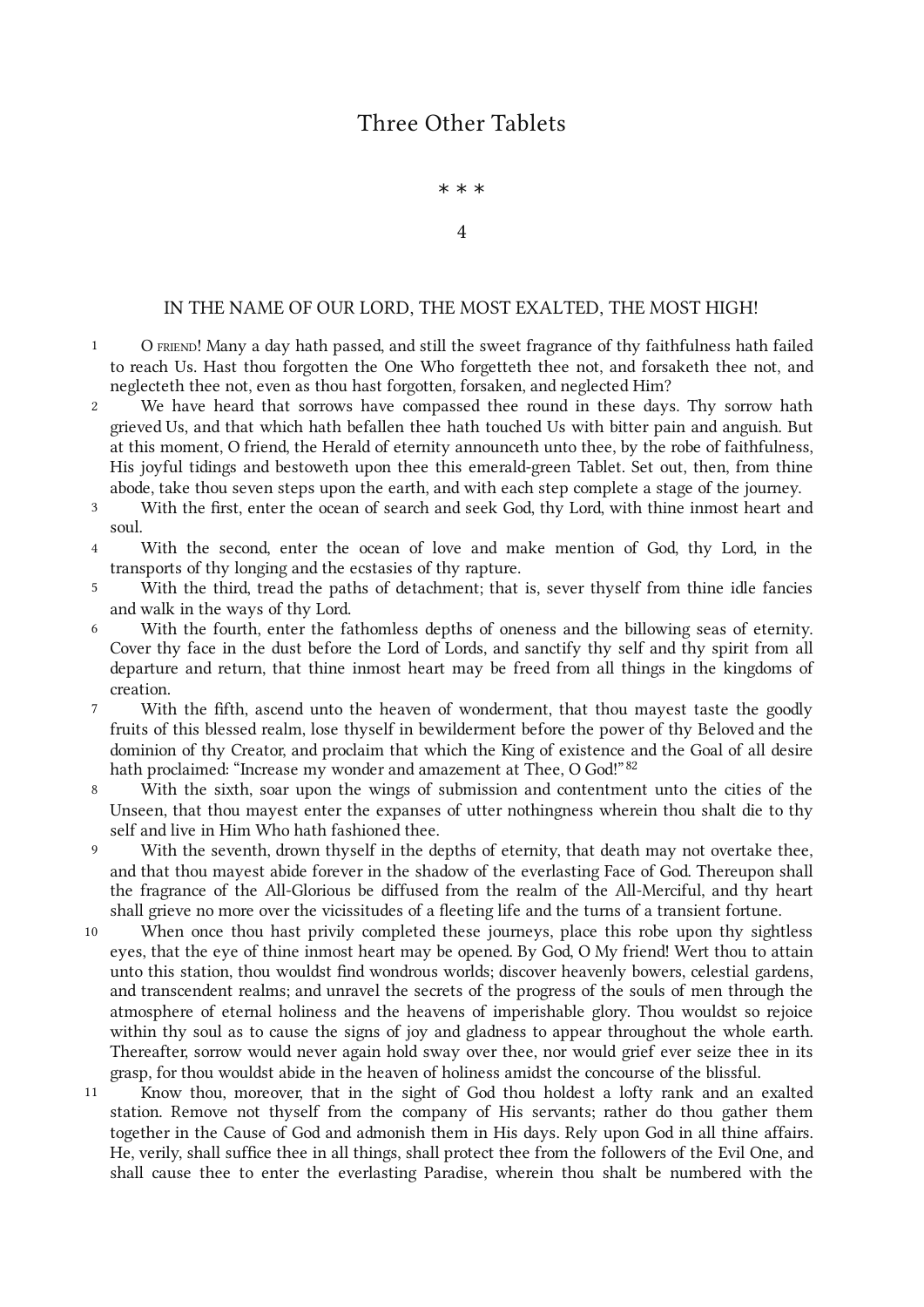## <span id="page-18-0"></span>Three Other Tablets

4

### IN THE NAME OF OUR LORD, THE MOST EXALTED, THE MOST HIGH!

- O friend! Many a day hath passed, and still the sweet fragrance of thy faithfulness hath failed to reach Us. Hast thou forgotten the One Who forgetteth thee not, and forsaketh thee not, and neglecteth thee not, even as thou hast forgotten, forsaken, and neglected Him? 1
- We have heard that sorrows have compassed thee round in these days. Thy sorrow hath grieved Us, and that which hath befallen thee hath touched Us with bitter pain and anguish. But at this moment, O friend, the Herald of eternity announceth unto thee, by the robe of faithfulness, His joyful tidings and bestoweth upon thee this emerald-green Tablet. Set out, then, from thine abode, take thou seven steps upon the earth, and with each step complete a stage of the journey. 2
- With the first, enter the ocean of search and seek God, thy Lord, with thine inmost heart and soul. 3
- With the second, enter the ocean of love and make mention of God, thy Lord, in the transports of thy longing and the ecstasies of thy rapture. 4
- With the third, tread the paths of detachment; that is, sever thyself from thine idle fancies and walk in the ways of thy Lord. 5
- With the fourth, enter the fathomless depths of oneness and the billowing seas of eternity. Cover thy face in the dust before the Lord of Lords, and sanctify thy self and thy spirit from all departure and return, that thine inmost heart may be freed from all things in the kingdoms of creation. 6
- <span id="page-18-1"></span>With the fifth, ascend unto the heaven of wonderment, that thou mayest taste the goodly fruits of this blessed realm, lose thyself in bewilderment before the power of thy Beloved and the dominion of thy Creator, and proclaim that which the King of existence and the Goal of all desire hath proclaimed: "Increase my wonder and amazement at Thee, O God!"<sup>[82](#page-32-3)</sup> 7
- With the sixth, soar upon the wings of submission and contentment unto the cities of the Unseen, that thou mayest enter the expanses of utter nothingness wherein thou shalt die to thy self and live in Him Who hath fashioned thee. 8
- With the seventh, drown thyself in the depths of eternity, that death may not overtake thee, and that thou mayest abide forever in the shadow of the everlasting Face of God. Thereupon shall the fragrance of the All-Glorious be diffused from the realm of the All-Merciful, and thy heart shall grieve no more over the vicissitudes of a fleeting life and the turns of a transient fortune. 9
- When once thou hast privily completed these journeys, place this robe upon thy sightless eyes, that the eye of thine inmost heart may be opened. By God, O My friend! Wert thou to attain unto this station, thou wouldst find wondrous worlds; discover heavenly bowers, celestial gardens, and transcendent realms; and unravel the secrets of the progress of the souls of men through the atmosphere of eternal holiness and the heavens of imperishable glory. Thou wouldst so rejoice within thy soul as to cause the signs of joy and gladness to appear throughout the whole earth. Thereafter, sorrow would never again hold sway over thee, nor would grief ever seize thee in its grasp, for thou wouldst abide in the heaven of holiness amidst the concourse of the blissful. 10
- Know thou, moreover, that in the sight of God thou holdest a lofty rank and an exalted station. Remove not thyself from the company of His servants; rather do thou gather them together in the Cause of God and admonish them in His days. Rely upon God in all thine affairs. He, verily, shall suffice thee in all things, shall protect thee from the followers of the Evil One, and shall cause thee to enter the everlasting Paradise, wherein thou shalt be numbered with the 11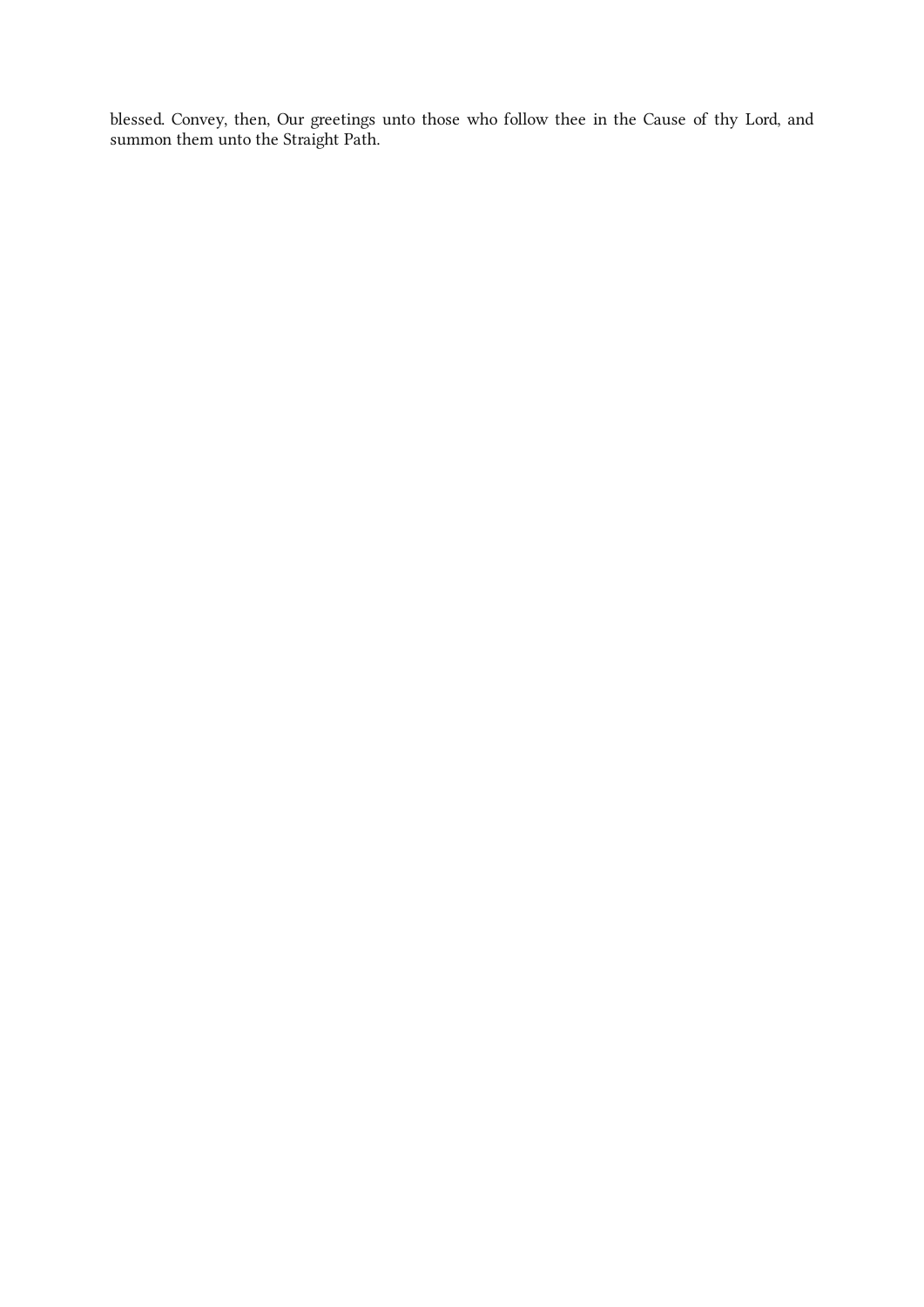blessed. Convey, then, Our greetings unto those who follow thee in the Cause of thy Lord, and summon them unto the Straight Path.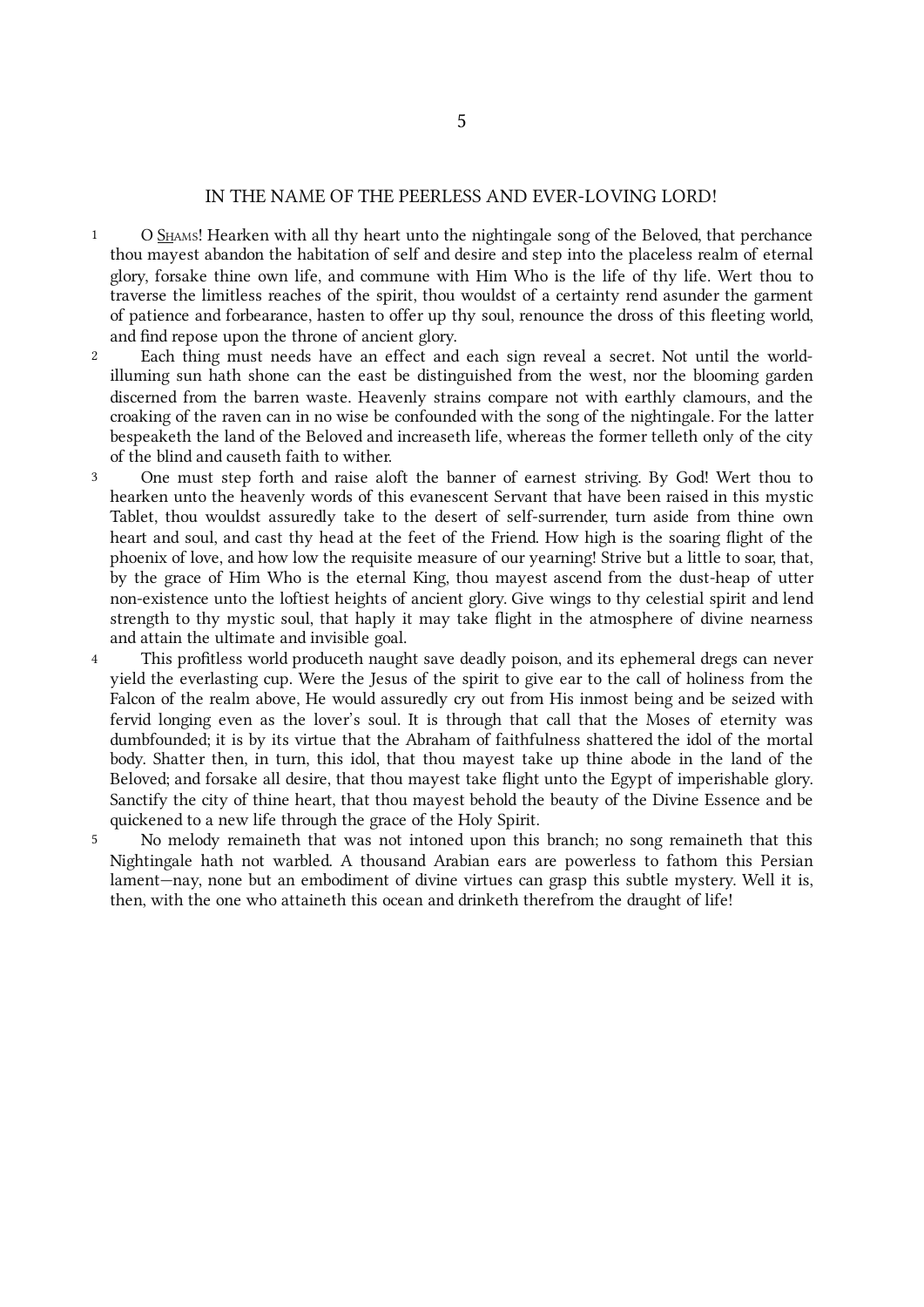#### IN THE NAME OF THE PEERLESS AND EVER-LOVING LORD!

- O Shams! Hearken with all thy heart unto the nightingale song of the Beloved, that perchance thou mayest abandon the habitation of self and desire and step into the placeless realm of eternal glory, forsake thine own life, and commune with Him Who is the life of thy life. Wert thou to traverse the limitless reaches of the spirit, thou wouldst of a certainty rend asunder the garment of patience and forbearance, hasten to offer up thy soul, renounce the dross of this fleeting world, and find repose upon the throne of ancient glory. 1
- Each thing must needs have an effect and each sign reveal a secret. Not until the worldilluming sun hath shone can the east be distinguished from the west, nor the blooming garden discerned from the barren waste. Heavenly strains compare not with earthly clamours, and the croaking of the raven can in no wise be confounded with the song of the nightingale. For the latter bespeaketh the land of the Beloved and increaseth life, whereas the former telleth only of the city of the blind and causeth faith to wither. 2
- One must step forth and raise aloft the banner of earnest striving. By God! Wert thou to hearken unto the heavenly words of this evanescent Servant that have been raised in this mystic Tablet, thou wouldst assuredly take to the desert of self-surrender, turn aside from thine own heart and soul, and cast thy head at the feet of the Friend. How high is the soaring flight of the phoenix of love, and how low the requisite measure of our yearning! Strive but a little to soar, that, by the grace of Him Who is the eternal King, thou mayest ascend from the dust-heap of utter non-existence unto the loftiest heights of ancient glory. Give wings to thy celestial spirit and lend strength to thy mystic soul, that haply it may take flight in the atmosphere of divine nearness and attain the ultimate and invisible goal. 3
- This profitless world produceth naught save deadly poison, and its ephemeral dregs can never yield the everlasting cup. Were the Jesus of the spirit to give ear to the call of holiness from the Falcon of the realm above, He would assuredly cry out from His inmost being and be seized with fervid longing even as the lover's soul. It is through that call that the Moses of eternity was dumbfounded; it is by its virtue that the Abraham of faithfulness shattered the idol of the mortal body. Shatter then, in turn, this idol, that thou mayest take up thine abode in the land of the Beloved; and forsake all desire, that thou mayest take flight unto the Egypt of imperishable glory. Sanctify the city of thine heart, that thou mayest behold the beauty of the Divine Essence and be quickened to a new life through the grace of the Holy Spirit. 4
- No melody remaineth that was not intoned upon this branch; no song remaineth that this Nightingale hath not warbled. A thousand Arabian ears are powerless to fathom this Persian lament—nay, none but an embodiment of divine virtues can grasp this subtle mystery. Well it is, then, with the one who attaineth this ocean and drinketh therefrom the draught of life! 5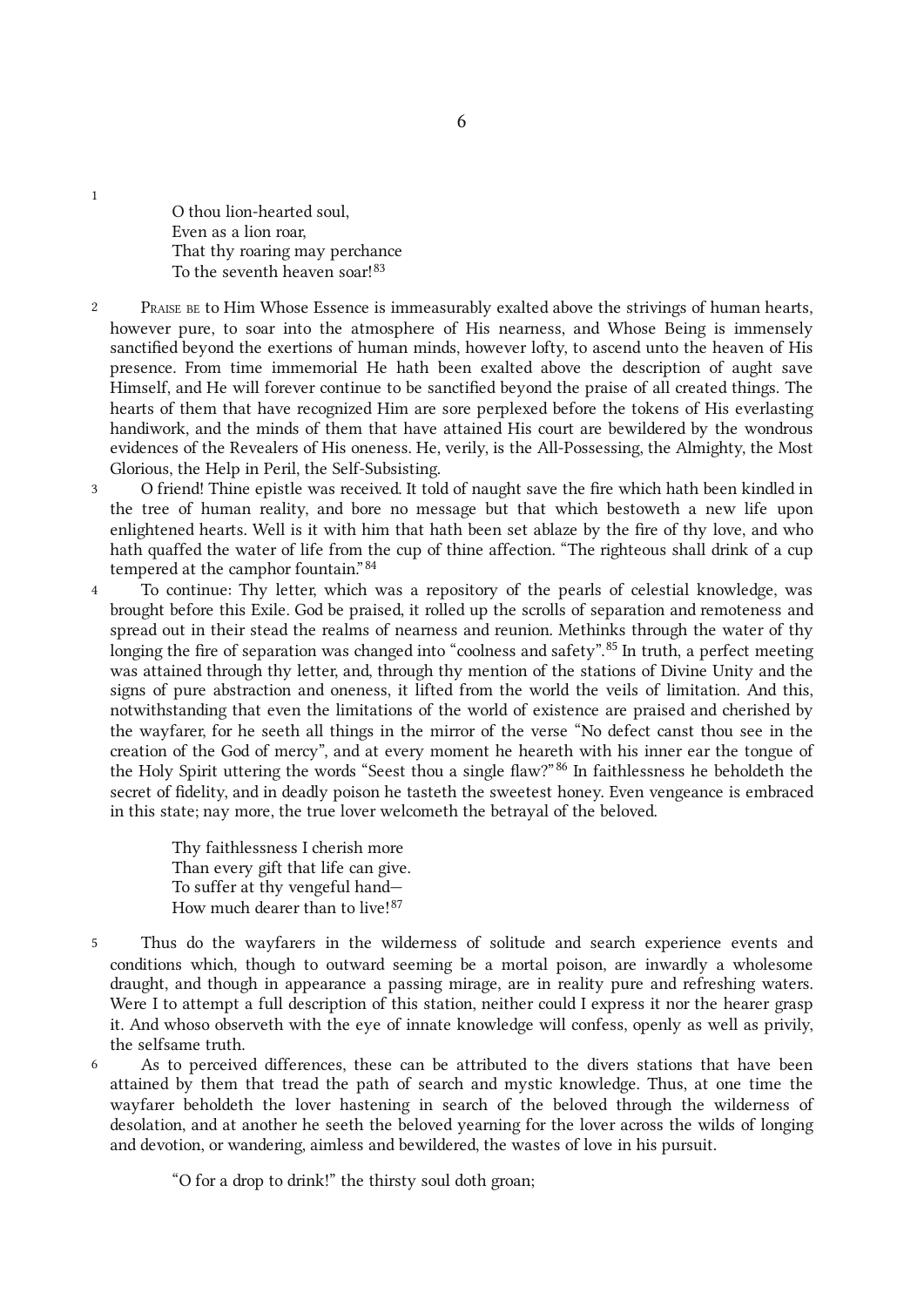O thou lion-hearted soul, Even as a lion roar, That thy roaring may perchance To the seventh heaven soar!<sup>[83](#page-32-4)</sup>

<span id="page-21-0"></span>1

- Praise be to Him Whose Essence is immeasurably exalted above the strivings of human hearts, however pure, to soar into the atmosphere of His nearness, and Whose Being is immensely sanctified beyond the exertions of human minds, however lofty, to ascend unto the heaven of His presence. From time immemorial He hath been exalted above the description of aught save Himself, and He will forever continue to be sanctified beyond the praise of all created things. The hearts of them that have recognized Him are sore perplexed before the tokens of His everlasting handiwork, and the minds of them that have attained His court are bewildered by the wondrous evidences of the Revealers of His oneness. He, verily, is the All-Possessing, the Almighty, the Most Glorious, the Help in Peril, the Self-Subsisting. 2
- <span id="page-21-1"></span>O friend! Thine epistle was received. It told of naught save the fire which hath been kindled in the tree of human reality, and bore no message but that which bestoweth a new life upon enlightened hearts. Well is it with him that hath been set ablaze by the fire of thy love, and who hath quaffed the water of life from the cup of thine affection. "The righteous shall drink of a cup tempered at the camphor fountain."<sup>[84](#page-32-5)</sup> 3
- <span id="page-21-2"></span>To continue: Thy letter, which was a repository of the pearls of celestial knowledge, was brought before this Exile. God be praised, it rolled up the scrolls of separation and remoteness and spread out in their stead the realms of nearness and reunion. Methinks through the water of thy longing the fire of separation was changed into "coolness and safety".<sup>[85](#page-32-6)</sup> In truth, a perfect meeting was attained through thy letter, and, through thy mention of the stations of Divine Unity and the signs of pure abstraction and oneness, it lifted from the world the veils of limitation. And this, notwithstanding that even the limitations of the world of existence are praised and cherished by the wayfarer, for he seeth all things in the mirror of the verse "No defect canst thou see in the creation of the God of mercy", and at every moment he heareth with his inner ear the tongue of the Holy Spirit uttering the words "Seest thou a single flaw?" [86](#page-32-7) In faithlessness he beholdeth the secret of fidelity, and in deadly poison he tasteth the sweetest honey. Even vengeance is embraced in this state; nay more, the true lover welcometh the betrayal of the beloved. 4

Thy faithlessness I cherish more Than every gift that life can give. To suffer at thy vengeful hand— How much dearer than to live!<sup>[87](#page-32-8)</sup>

- Thus do the wayfarers in the wilderness of solitude and search experience events and conditions which, though to outward seeming be a mortal poison, are inwardly a wholesome draught, and though in appearance a passing mirage, are in reality pure and refreshing waters. Were I to attempt a full description of this station, neither could I express it nor the hearer grasp it. And whoso observeth with the eye of innate knowledge will confess, openly as well as privily, the selfsame truth. 5
- <span id="page-21-3"></span>As to perceived differences, these can be attributed to the divers stations that have been attained by them that tread the path of search and mystic knowledge. Thus, at one time the wayfarer beholdeth the lover hastening in search of the beloved through the wilderness of desolation, and at another he seeth the beloved yearning for the lover across the wilds of longing and devotion, or wandering, aimless and bewildered, the wastes of love in his pursuit. 6

"O for a drop to drink!" the thirsty soul doth groan;

6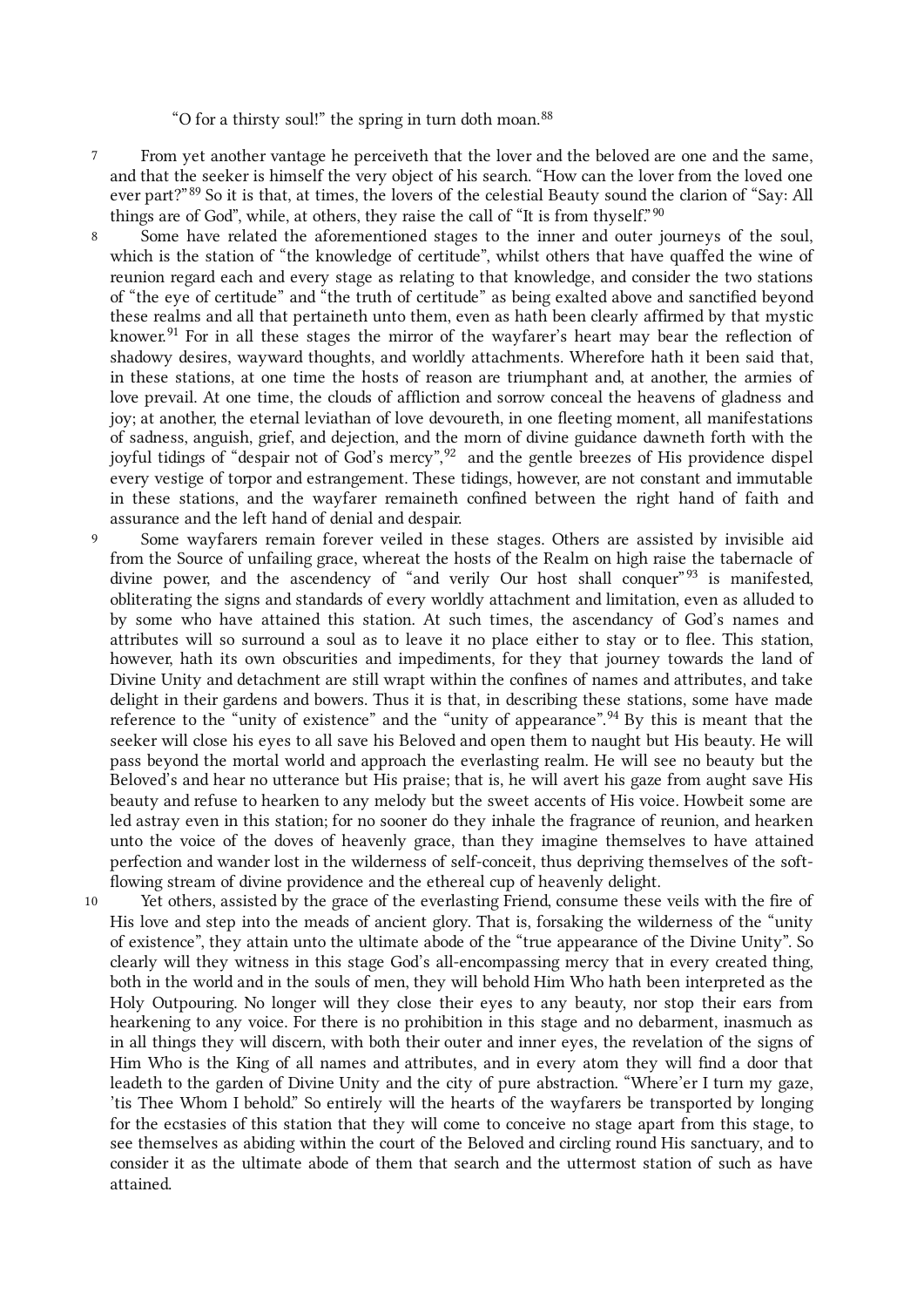<span id="page-22-0"></span>"O for a thirsty soul!" the spring in turn doth moan.<sup>[88](#page-32-9)</sup>

- From yet another vantage he perceiveth that the lover and the beloved are one and the same, and that the seeker is himself the very object of his search. "How can the lover from the loved one ever part?"<sup>[89](#page-32-10)</sup> So it is that, at times, the lovers of the celestial Beauty sound the clarion of "Say: All things are of God", while, at others, they raise the call of "It is from thyself."  $90$ 7
- <span id="page-22-1"></span>Some have related the aforementioned stages to the inner and outer journeys of the soul, which is the station of "the knowledge of certitude", whilst others that have quaffed the wine of reunion regard each and every stage as relating to that knowledge, and consider the two stations of "the eye of certitude" and "the truth of certitude" as being exalted above and sanctified beyond these realms and all that pertaineth unto them, even as hath been clearly affirmed by that mystic knower.<sup>[91](#page-32-12)</sup> For in all these stages the mirror of the wayfarer's heart may bear the reflection of shadowy desires, wayward thoughts, and worldly attachments. Wherefore hath it been said that, in these stations, at one time the hosts of reason are triumphant and, at another, the armies of love prevail. At one time, the clouds of affliction and sorrow conceal the heavens of gladness and joy; at another, the eternal leviathan of love devoureth, in one fleeting moment, all manifestations of sadness, anguish, grief, and dejection, and the morn of divine guidance dawneth forth with the joyful tidings of "despair not of God's mercy",<sup>[92](#page-32-13)</sup> and the gentle breezes of His providence dispel every vestige of torpor and estrangement. These tidings, however, are not constant and immutable in these stations, and the wayfarer remaineth confined between the right hand of faith and assurance and the left hand of denial and despair.
- <span id="page-22-2"></span>Some wayfarers remain forever veiled in these stages. Others are assisted by invisible aid from the Source of unfailing grace, whereat the hosts of the Realm on high raise the tabernacle of divine power, and the ascendency of "and verily Our host shall conquer"<sup>[93](#page-32-14)</sup> is manifested, obliterating the signs and standards of every worldly attachment and limitation, even as alluded to by some who have attained this station. At such times, the ascendancy of God's names and attributes will so surround a soul as to leave it no place either to stay or to flee. This station, however, hath its own obscurities and impediments, for they that journey towards the land of Divine Unity and detachment are still wrapt within the confines of names and attributes, and take delight in their gardens and bowers. Thus it is that, in describing these stations, some have made reference to the "unity of existence" and the "unity of appearance".<sup>[94](#page-32-15)</sup> By this is meant that the seeker will close his eyes to all save his Beloved and open them to naught but His beauty. He will pass beyond the mortal world and approach the everlasting realm. He will see no beauty but the Beloved's and hear no utterance but His praise; that is, he will avert his gaze from aught save His beauty and refuse to hearken to any melody but the sweet accents of His voice. Howbeit some are led astray even in this station; for no sooner do they inhale the fragrance of reunion, and hearken unto the voice of the doves of heavenly grace, than they imagine themselves to have attained perfection and wander lost in the wilderness of self-conceit, thus depriving themselves of the softflowing stream of divine providence and the ethereal cup of heavenly delight.  $\overline{9}$

10

Yet others, assisted by the grace of the everlasting Friend, consume these veils with the fire of His love and step into the meads of ancient glory. That is, forsaking the wilderness of the "unity of existence", they attain unto the ultimate abode of the "true appearance of the Divine Unity". So clearly will they witness in this stage God's all-encompassing mercy that in every created thing, both in the world and in the souls of men, they will behold Him Who hath been interpreted as the Holy Outpouring. No longer will they close their eyes to any beauty, nor stop their ears from hearkening to any voice. For there is no prohibition in this stage and no debarment, inasmuch as in all things they will discern, with both their outer and inner eyes, the revelation of the signs of Him Who is the King of all names and attributes, and in every atom they will find a door that leadeth to the garden of Divine Unity and the city of pure abstraction. "Where'er I turn my gaze, 'tis Thee Whom I behold." So entirely will the hearts of the wayfarers be transported by longing for the ecstasies of this station that they will come to conceive no stage apart from this stage, to see themselves as abiding within the court of the Beloved and circling round His sanctuary, and to consider it as the ultimate abode of them that search and the uttermost station of such as have attained.

8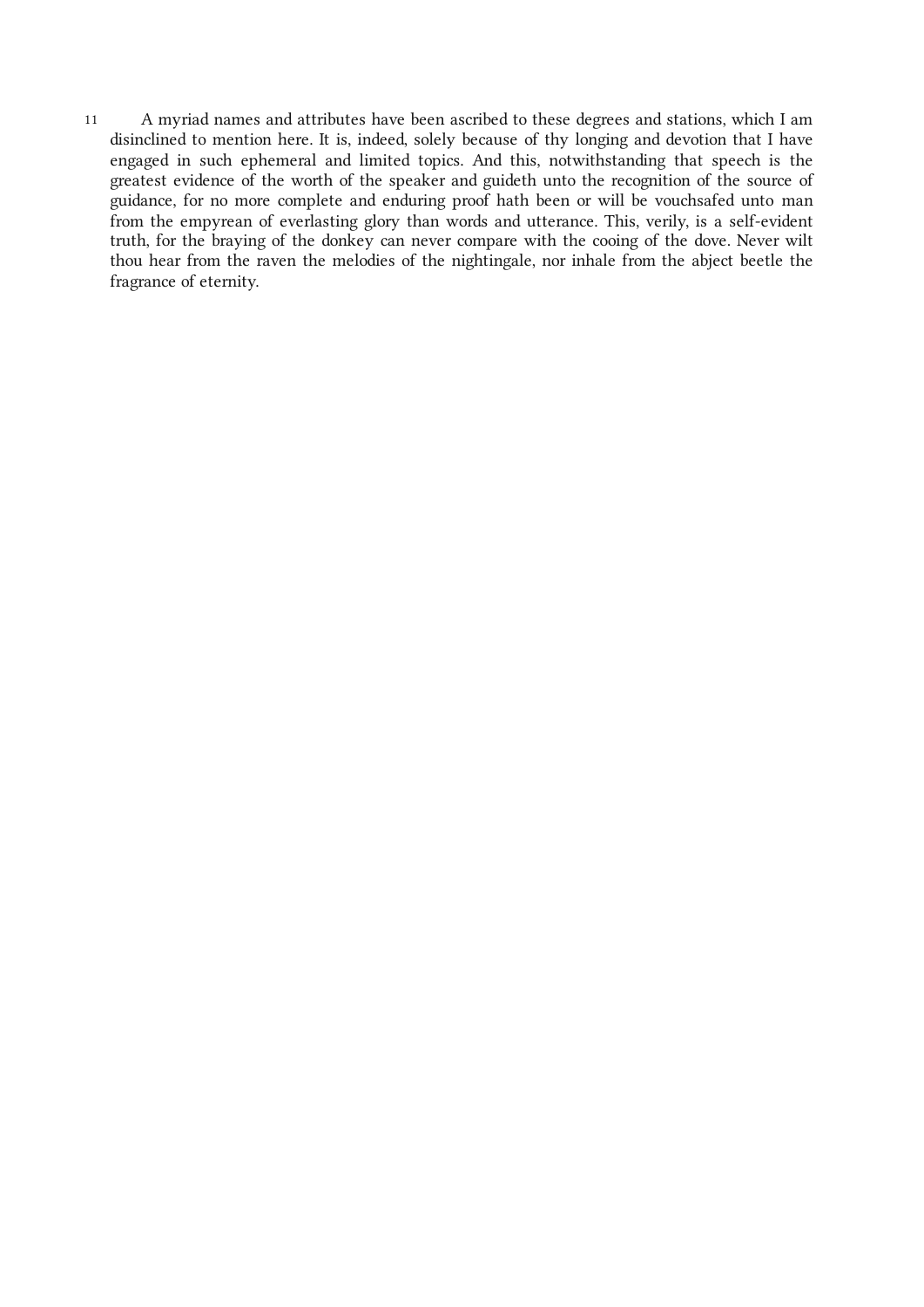A myriad names and attributes have been ascribed to these degrees and stations, which I am disinclined to mention here. It is, indeed, solely because of thy longing and devotion that I have engaged in such ephemeral and limited topics. And this, notwithstanding that speech is the greatest evidence of the worth of the speaker and guideth unto the recognition of the source of guidance, for no more complete and enduring proof hath been or will be vouchsafed unto man from the empyrean of everlasting glory than words and utterance. This, verily, is a self-evident truth, for the braying of the donkey can never compare with the cooing of the dove. Never wilt thou hear from the raven the melodies of the nightingale, nor inhale from the abject beetle the fragrance of eternity. 11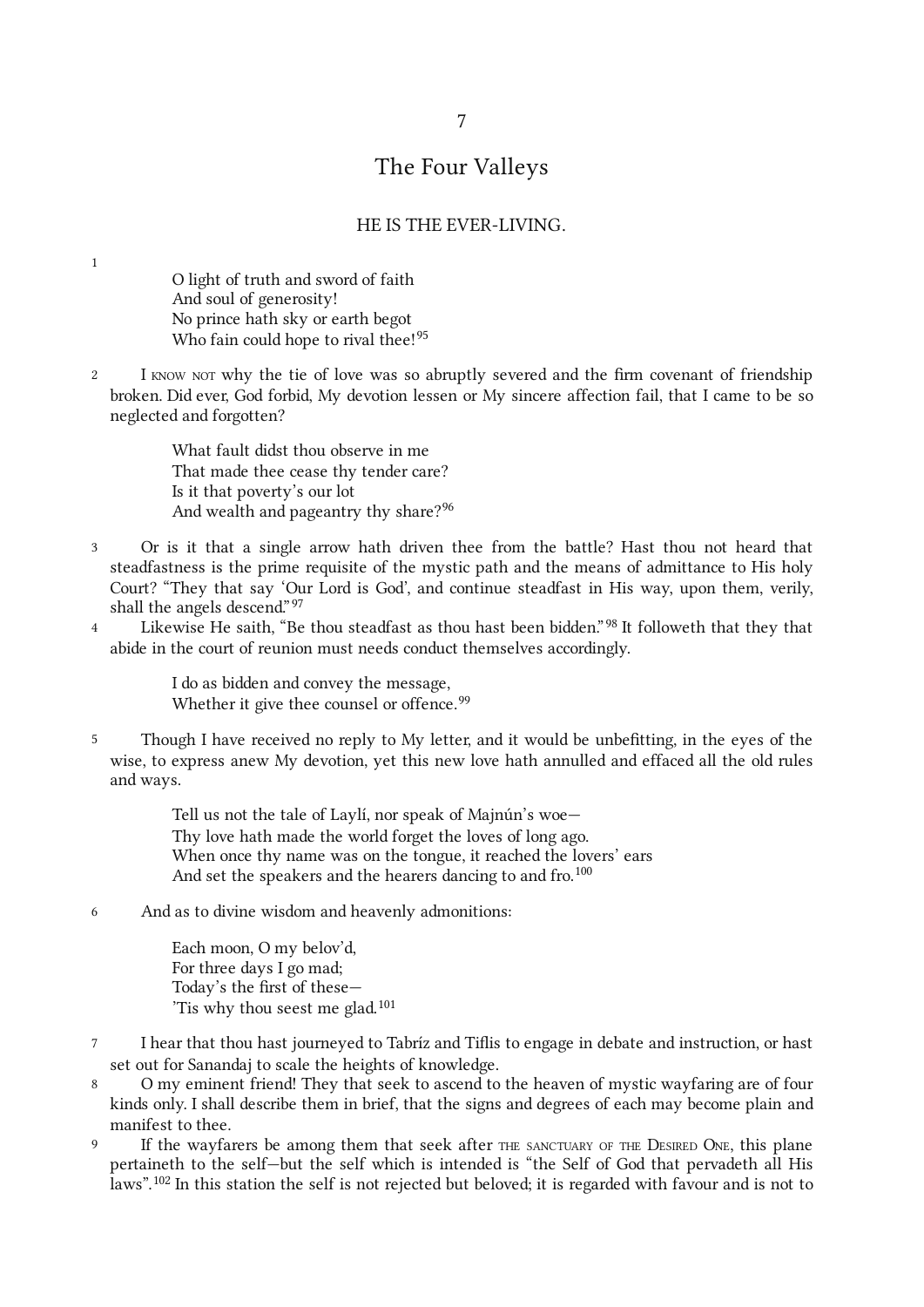# <span id="page-24-0"></span>The Four Valleys

#### HE IS THE EVER-LIVING.

O light of truth and sword of faith And soul of generosity! No prince hath sky or earth begot Who fain could hope to rival thee!<sup>[95](#page-32-16)</sup>

<span id="page-24-1"></span>1

<span id="page-24-2"></span>I know not why the tie of love was so abruptly severed and the firm covenant of friendship broken. Did ever, God forbid, My devotion lessen or My sincere affection fail, that I came to be so neglected and forgotten? 2

> What fault didst thou observe in me That made thee cease thy tender care? Is it that poverty's our lot And wealth and pageantry thy share?<sup>[96](#page-32-17)</sup>

- <span id="page-24-3"></span>Or is it that a single arrow hath driven thee from the battle? Hast thou not heard that steadfastness is the prime requisite of the mystic path and the means of admittance to His holy Court? "They that say 'Our Lord is God', and continue steadfast in His way, upon them, verily, shall the angels descend."<sup>[97](#page-32-18)</sup> 3
- <span id="page-24-4"></span>Likewise He saith, "Be thou steadfast as thou hast been bidden."<sup>[98](#page-32-19)</sup> It followeth that they that abide in the court of reunion must needs conduct themselves accordingly. 4

I do as bidden and convey the message, Whether it give thee counsel or offence.<sup>[99](#page-32-20)</sup>

<span id="page-24-5"></span>Though I have received no reply to My letter, and it would be unbefitting, in the eyes of the wise, to express anew My devotion, yet this new love hath annulled and effaced all the old rules and ways. 5

> Tell us not the tale of Laylí, nor speak of Majnún's woe— Thy love hath made the world forget the loves of long ago. When once thy name was on the tongue, it reached the lovers' ears And set the speakers and the hearers dancing to and fro.<sup>[100](#page-32-21)</sup>

And as to divine wisdom and heavenly admonitions: 6

> <span id="page-24-6"></span>Each moon, O my belov'd, For three days I go mad; Today's the first of these— 'Tis why thou seest me glad. [101](#page-32-22)

- I hear that thou hast journeyed to Tabríz and Tiflis to engage in debate and instruction, or hast set out for Sanandaj to scale the heights of knowledge. 7
- O my eminent friend! They that seek to ascend to the heaven of mystic wayfaring are of four kinds only. I shall describe them in brief, that the signs and degrees of each may become plain and manifest to thee. 8
- <span id="page-24-7"></span>If the wayfarers be among them that seek after THE SANCTUARY OF THE DESIRED ONE, this plane pertaineth to the self—but the self which is intended is "the Self of God that pervadeth all His laws".<sup>[102](#page-32-23)</sup> In this station the self is not rejected but beloved; it is regarded with favour and is not to  $\overline{Q}$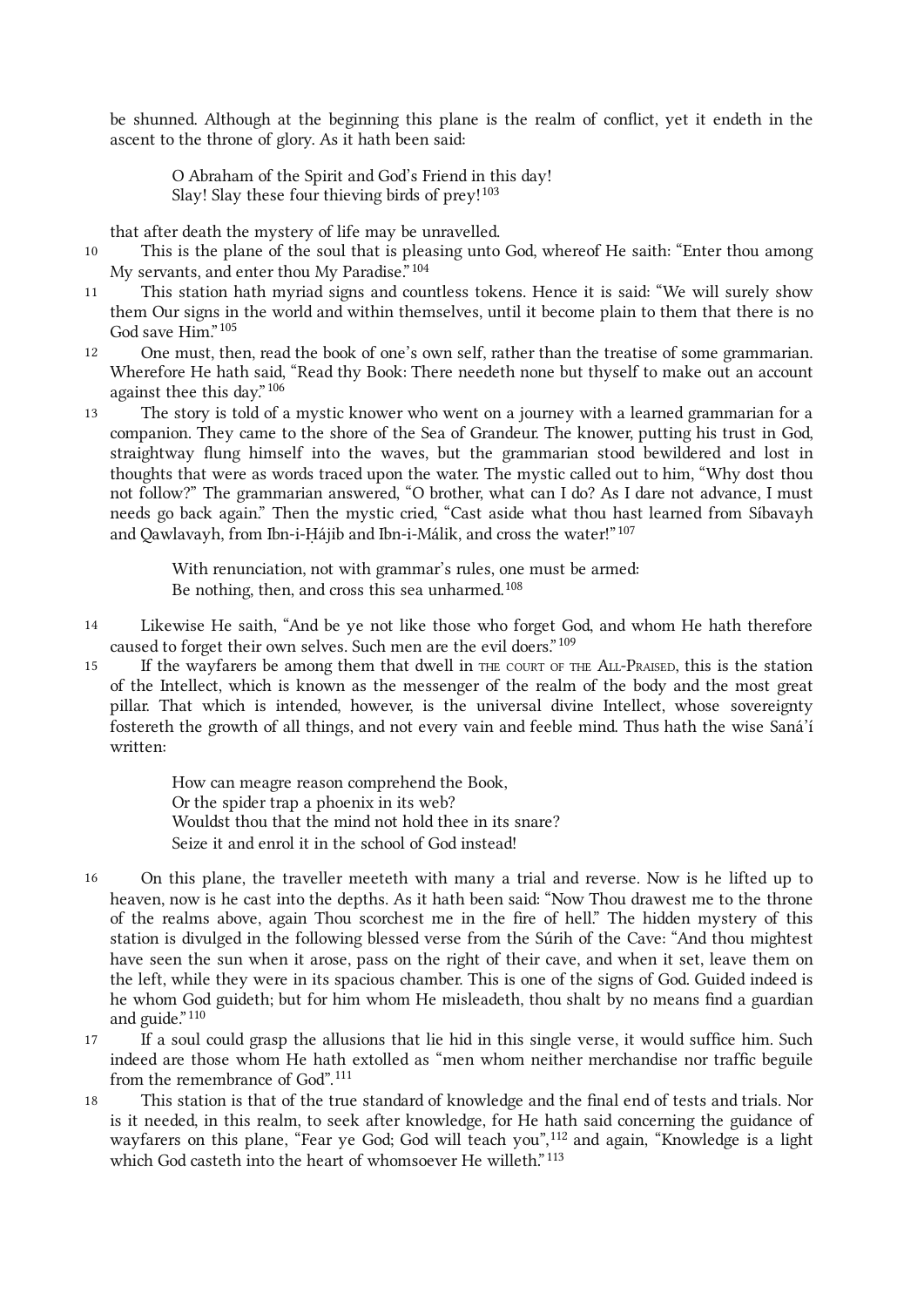be shunned. Although at the beginning this plane is the realm of conflict, yet it endeth in the ascent to the throne of glory. As it hath been said:

O Abraham of the Spirit and God's Friend in this day! Slay! Slay these four thieving birds of prey!<sup>[103](#page-32-24)</sup>

<span id="page-25-0"></span>that after death the mystery of life may be unravelled.

- This is the plane of the soul that is pleasing unto God, whereof He saith: "Enter thou among My servants, and enter thou My Paradise." [104](#page-32-25) 10
- <span id="page-25-1"></span>This station hath myriad signs and countless tokens. Hence it is said: "We will surely show them Our signs in the world and within themselves, until it become plain to them that there is no God save Him." [105](#page-32-26)
- <span id="page-25-2"></span>One must, then, read the book of one's own self, rather than the treatise of some grammarian. Wherefore He hath said, "Read thy Book: There needeth none but thyself to make out an account against thee this day." $106$ 12
- <span id="page-25-3"></span>The story is told of a mystic knower who went on a journey with a learned grammarian for a companion. They came to the shore of the Sea of Grandeur. The knower, putting his trust in God, straightway flung himself into the waves, but the grammarian stood bewildered and lost in thoughts that were as words traced upon the water. The mystic called out to him, "Why dost thou not follow?" The grammarian answered, "O brother, what can I do? As I dare not advance, I must needs go back again." Then the mystic cried, "Cast aside what thou hast learned from Síbavayh and Qawlavayh, from Ibn-i-Ḥájib and Ibn-i-Málik, and cross the water!" [107](#page-32-28) 13

With renunciation, not with grammar's rules, one must be armed: Be nothing, then, and cross this sea unharmed.<sup>[108](#page-32-29)</sup>

- <span id="page-25-4"></span>Likewise He saith, "And be ye not like those who forget God, and whom He hath therefore caused to forget their own selves. Such men are the evil doers."<sup>[109](#page-32-30)</sup>  $14$
- If the wayfarers be among them that dwell in the court of the ALL-Praised, this is the station of the Intellect, which is known as the messenger of the realm of the body and the most great pillar. That which is intended, however, is the universal divine Intellect, whose sovereignty fostereth the growth of all things, and not every vain and feeble mind. Thus hath the wise Saná'í written: 15

How can meagre reason comprehend the Book, Or the spider trap a phoenix in its web? Wouldst thou that the mind not hold thee in its snare? Seize it and enrol it in the school of God instead!

- <span id="page-25-5"></span>On this plane, the traveller meeteth with many a trial and reverse. Now is he lifted up to heaven, now is he cast into the depths. As it hath been said: "Now Thou drawest me to the throne of the realms above, again Thou scorchest me in the fire of hell." The hidden mystery of this station is divulged in the following blessed verse from the Súrih of the Cave: "And thou mightest have seen the sun when it arose, pass on the right of their cave, and when it set, leave them on the left, while they were in its spacious chamber. This is one of the signs of God. Guided indeed is he whom God guideth; but for him whom He misleadeth, thou shalt by no means find a guardian and guide." [110](#page-32-31) 16
- <span id="page-25-6"></span>If a soul could grasp the allusions that lie hid in this single verse, it would suffice him. Such indeed are those whom He hath extolled as "men whom neither merchandise nor traffic beguile from the remembrance of God".<sup>[111](#page-32-32)</sup> 17
- <span id="page-25-7"></span>This station is that of the true standard of knowledge and the final end of tests and trials. Nor is it needed, in this realm, to seek after knowledge, for He hath said concerning the guidance of wayfarers on this plane, "Fear ye God; God will teach you",<sup>[112](#page-32-33)</sup> and again, "Knowledge is a light which God casteth into the heart of whomsoever He willeth."<sup>[113](#page-32-34)</sup> 18

11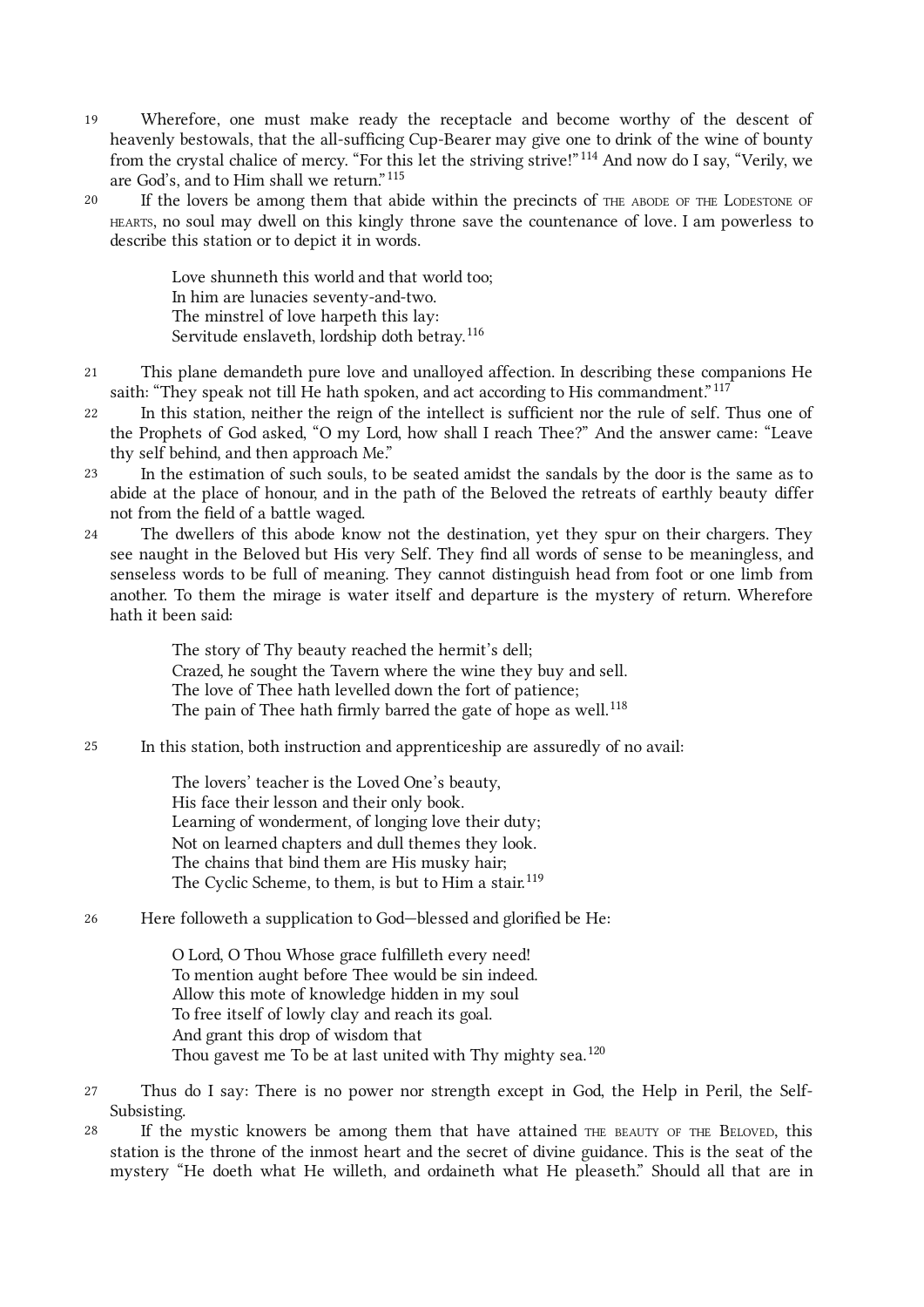- <span id="page-26-0"></span>Wherefore, one must make ready the receptacle and become worthy of the descent of heavenly bestowals, that the all-sufficing Cup-Bearer may give one to drink of the wine of bounty from the crystal chalice of mercy. "For this let the striving strive!"<sup>[114](#page-32-35)</sup> And now do I say, "Verily, we are God's, and to Him shall we return." [115](#page-32-36) 19
- <span id="page-26-1"></span>If the lovers be among them that abide within the precincts of THE ABODE OF THE LODESTONE OF hearts, no soul may dwell on this kingly throne save the countenance of love. I am powerless to describe this station or to depict it in words. 20

Love shunneth this world and that world too; In him are lunacies seventy-and-two. The minstrel of love harpeth this lay: Servitude enslaveth, lordship doth betray.<sup>[116](#page-32-37)</sup>

- <span id="page-26-2"></span>This plane demandeth pure love and unalloyed affection. In describing these companions He saith: "They speak not till He hath spoken, and act according to His commandment."<sup>[117](#page-32-38)</sup>  $21$
- In this station, neither the reign of the intellect is sufficient nor the rule of self. Thus one of the Prophets of God asked, "O my Lord, how shall I reach Thee?" And the answer came: "Leave thy self behind, and then approach Me." 22
- In the estimation of such souls, to be seated amidst the sandals by the door is the same as to abide at the place of honour, and in the path of the Beloved the retreats of earthly beauty differ not from the field of a battle waged. 23
- <span id="page-26-3"></span>The dwellers of this abode know not the destination, yet they spur on their chargers. They see naught in the Beloved but His very Self. They find all words of sense to be meaningless, and senseless words to be full of meaning. They cannot distinguish head from foot or one limb from another. To them the mirage is water itself and departure is the mystery of return. Wherefore hath it been said: 24

The story of Thy beauty reached the hermit's dell; Crazed, he sought the Tavern where the wine they buy and sell. The love of Thee hath levelled down the fort of patience; The pain of Thee hath firmly barred the gate of hope as well.<sup>[118](#page-32-39)</sup>

In this station, both instruction and apprenticeship are assuredly of no avail: 25

> <span id="page-26-4"></span>The lovers' teacher is the Loved One's beauty, His face their lesson and their only book. Learning of wonderment, of longing love their duty; Not on learned chapters and dull themes they look. The chains that bind them are His musky hair; The Cyclic Scheme, to them, is but to Him a stair.<sup>[119](#page-32-40)</sup>

Here followeth a supplication to God—blessed and glorified be He: 26

> <span id="page-26-5"></span>O Lord, O Thou Whose grace fulfilleth every need! To mention aught before Thee would be sin indeed. Allow this mote of knowledge hidden in my soul To free itself of lowly clay and reach its goal. And grant this drop of wisdom that Thou gavest me To be at last united with Thy mighty sea. $120$

- Thus do I say: There is no power nor strength except in God, the Help in Peril, the Self-Subsisting. 27
- <span id="page-26-6"></span>If the mystic knowers be among them that have attained the beauty of the Beloved, this station is the throne of the inmost heart and the secret of divine guidance. This is the seat of the mystery "He doeth what He willeth, and ordaineth what He pleaseth." Should all that are in 28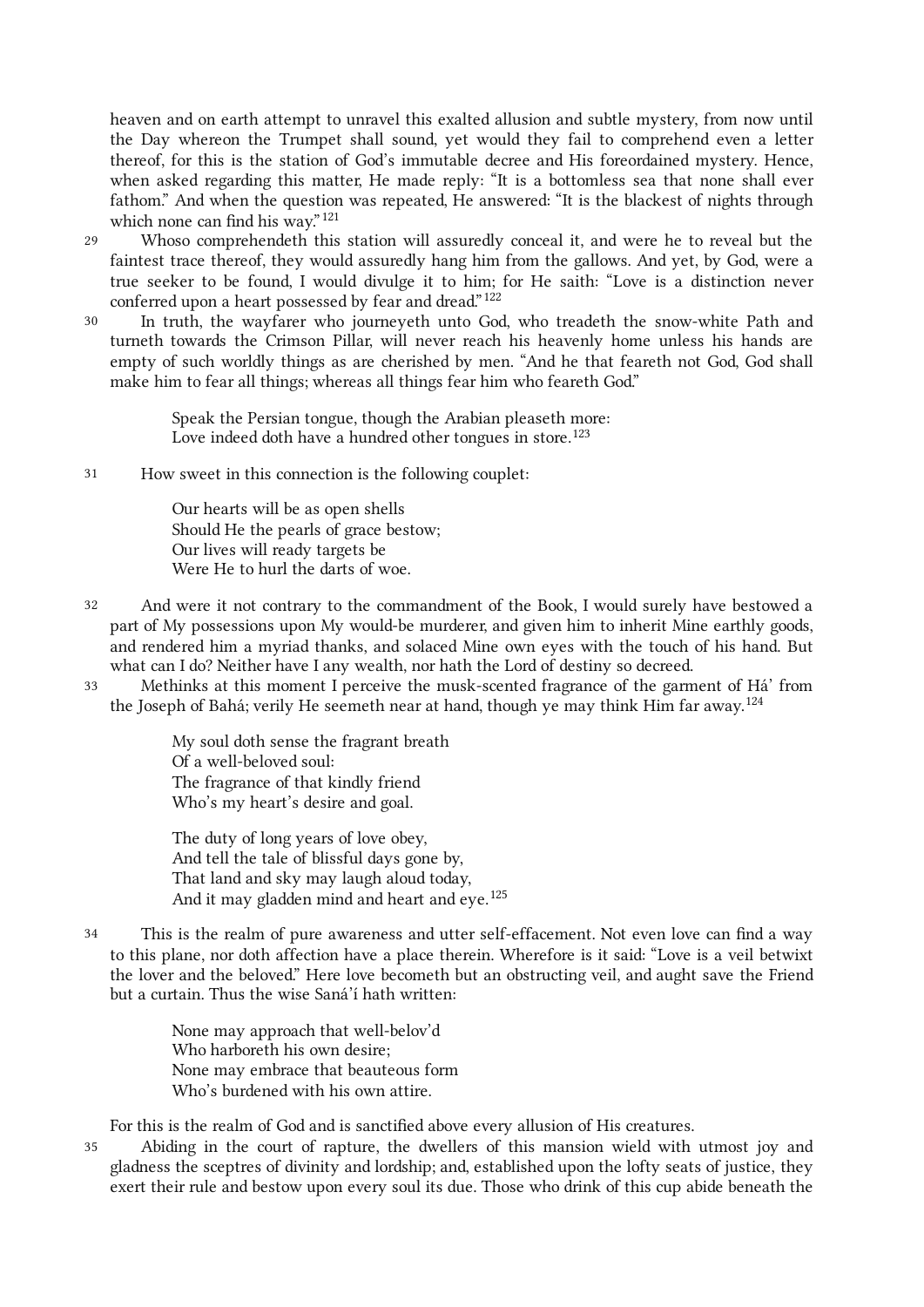heaven and on earth attempt to unravel this exalted allusion and subtle mystery, from now until the Day whereon the Trumpet shall sound, yet would they fail to comprehend even a letter thereof, for this is the station of God's immutable decree and His foreordained mystery. Hence, when asked regarding this matter, He made reply: "It is a bottomless sea that none shall ever fathom." And when the question was repeated, He answered: "It is the blackest of nights through which none can find his way."<sup>[121](#page-32-42)</sup>

- <span id="page-27-0"></span>Whoso comprehendeth this station will assuredly conceal it, and were he to reveal but the faintest trace thereof, they would assuredly hang him from the gallows. And yet, by God, were a true seeker to be found, I would divulge it to him; for He saith: "Love is a distinction never conferred upon a heart possessed by fear and dread."<sup>[122](#page-32-43)</sup> 29
- <span id="page-27-1"></span>In truth, the wayfarer who journeyeth unto God, who treadeth the snow-white Path and turneth towards the Crimson Pillar, will never reach his heavenly home unless his hands are empty of such worldly things as are cherished by men. "And he that feareth not God, God shall make him to fear all things; whereas all things fear him who feareth God." 30

Speak the Persian tongue, though the Arabian pleaseth more: Love indeed doth have a hundred other tongues in store.<sup>[123](#page-32-44)</sup>

How sweet in this connection is the following couplet: 31

> Our hearts will be as open shells Should He the pearls of grace bestow; Our lives will ready targets be Were He to hurl the darts of woe.

- And were it not contrary to the commandment of the Book, I would surely have bestowed a part of My possessions upon My would-be murderer, and given him to inherit Mine earthly goods, and rendered him a myriad thanks, and solaced Mine own eyes with the touch of his hand. But what can I do? Neither have I any wealth, nor hath the Lord of destiny so decreed. 32
- <span id="page-27-2"></span>Methinks at this moment I perceive the musk-scented fragrance of the garment of Há' from the Joseph of Bahá; verily He seemeth near at hand, though ye may think Him far away. [124](#page-32-45) 33

My soul doth sense the fragrant breath Of a well-beloved soul: The fragrance of that kindly friend Who's my heart's desire and goal.

The duty of long years of love obey, And tell the tale of blissful days gone by, That land and sky may laugh aloud today, And it may gladden mind and heart and eye.<sup>[125](#page-32-46)</sup>

This is the realm of pure awareness and utter self-effacement. Not even love can find a way to this plane, nor doth affection have a place therein. Wherefore is it said: "Love is a veil betwixt the lover and the beloved." Here love becometh but an obstructing veil, and aught save the Friend but a curtain. Thus the wise Saná'í hath written: 34

> None may approach that well-belov'd Who harboreth his own desire; None may embrace that beauteous form Who's burdened with his own attire.

For this is the realm of God and is sanctified above every allusion of His creatures.

35

<span id="page-27-3"></span>Abiding in the court of rapture, the dwellers of this mansion wield with utmost joy and gladness the sceptres of divinity and lordship; and, established upon the lofty seats of justice, they exert their rule and bestow upon every soul its due. Those who drink of this cup abide beneath the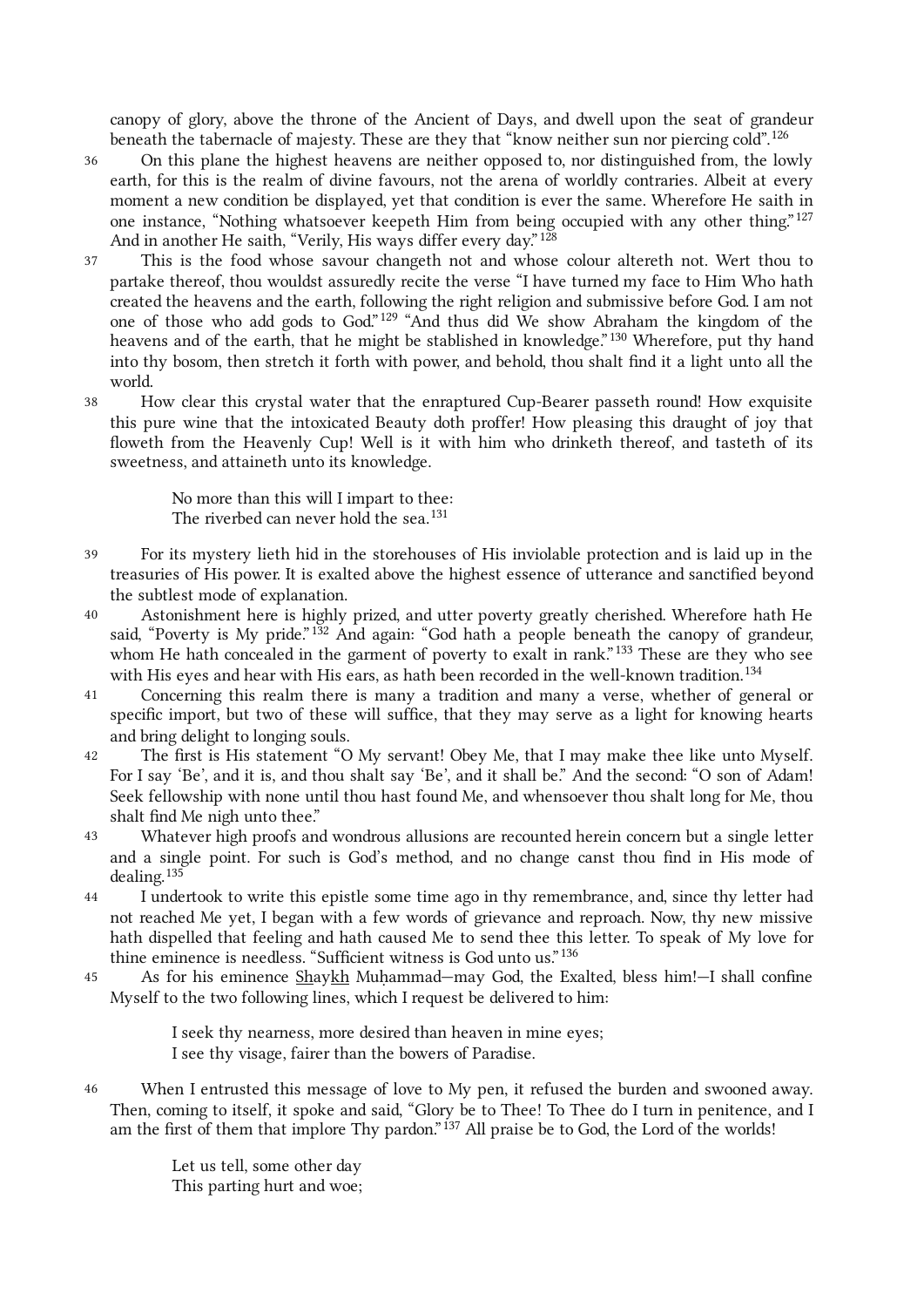<span id="page-28-0"></span>canopy of glory, above the throne of the Ancient of Days, and dwell upon the seat of grandeur beneath the tabernacle of majesty. These are they that "know neither sun nor piercing cold".<sup>[126](#page-32-47)</sup>

- On this plane the highest heavens are neither opposed to, nor distinguished from, the lowly earth, for this is the realm of divine favours, not the arena of worldly contraries. Albeit at every moment a new condition be displayed, yet that condition is ever the same. Wherefore He saith in one instance, "Nothing whatsoever keepeth Him from being occupied with any other thing."<sup>[127](#page-32-48)</sup> And in another He saith, "Verily, His ways differ every day."<sup>[128](#page-32-49)</sup> 36
- <span id="page-28-1"></span>This is the food whose savour changeth not and whose colour altereth not. Wert thou to partake thereof, thou wouldst assuredly recite the verse "I have turned my face to Him Who hath created the heavens and the earth, following the right religion and submissive before God. I am not one of those who add gods to God."<sup>[129](#page-33-0)</sup> "And thus did We show Abraham the kingdom of the heavens and of the earth, that he might be stablished in knowledge."<sup>[130](#page-33-1)</sup> Wherefore, put thy hand into thy bosom, then stretch it forth with power, and behold, thou shalt find it a light unto all the world. 37
- <span id="page-28-2"></span>How clear this crystal water that the enraptured Cup-Bearer passeth round! How exquisite this pure wine that the intoxicated Beauty doth proffer! How pleasing this draught of joy that floweth from the Heavenly Cup! Well is it with him who drinketh thereof, and tasteth of its sweetness, and attaineth unto its knowledge. 38

No more than this will I impart to thee: The riverbed can never hold the sea.<sup>[131](#page-33-2)</sup>

- For its mystery lieth hid in the storehouses of His inviolable protection and is laid up in the treasuries of His power. It is exalted above the highest essence of utterance and sanctified beyond the subtlest mode of explanation. 39
- <span id="page-28-3"></span>Astonishment here is highly prized, and utter poverty greatly cherished. Wherefore hath He said, "Poverty is My pride."<sup>[132](#page-33-3)</sup> And again: "God hath a people beneath the canopy of grandeur, whom He hath concealed in the garment of poverty to exalt in rank."<sup>[133](#page-33-4)</sup> These are they who see with His eyes and hear with His ears, as hath been recorded in the well-known tradition. [134](#page-33-5) 40
- Concerning this realm there is many a tradition and many a verse, whether of general or specific import, but two of these will suffice, that they may serve as a light for knowing hearts and bring delight to longing souls. 41
- The first is His statement "O My servant! Obey Me, that I may make thee like unto Myself. For I say 'Be', and it is, and thou shalt say 'Be', and it shall be." And the second: "O son of Adam! Seek fellowship with none until thou hast found Me, and whensoever thou shalt long for Me, thou shalt find Me nigh unto thee." 42
- <span id="page-28-4"></span>Whatever high proofs and wondrous allusions are recounted herein concern but a single letter and a single point. For such is God's method, and no change canst thou find in His mode of dealing. [135](#page-33-6) 43
- <span id="page-28-5"></span>I undertook to write this epistle some time ago in thy remembrance, and, since thy letter had not reached Me yet, I began with a few words of grievance and reproach. Now, thy new missive hath dispelled that feeling and hath caused Me to send thee this letter. To speak of My love for thine eminence is needless. "Sufficient witness is God unto us."<sup>[136](#page-33-7)</sup> 44
- As for his eminence Shaykh Muhammad—may God, the Exalted, bless him!—I shall confine Myself to the two following lines, which I request be delivered to him: 45

I seek thy nearness, more desired than heaven in mine eyes; I see thy visage, fairer than the bowers of Paradise.

<span id="page-28-6"></span>When I entrusted this message of love to My pen, it refused the burden and swooned away. Then, coming to itself, it spoke and said, "Glory be to Thee! To Thee do I turn in penitence, and I am the first of them that implore Thy pardon."<sup>[137](#page-33-8)</sup> All praise be to God, the Lord of the worlds! 46

> Let us tell, some other day This parting hurt and woe;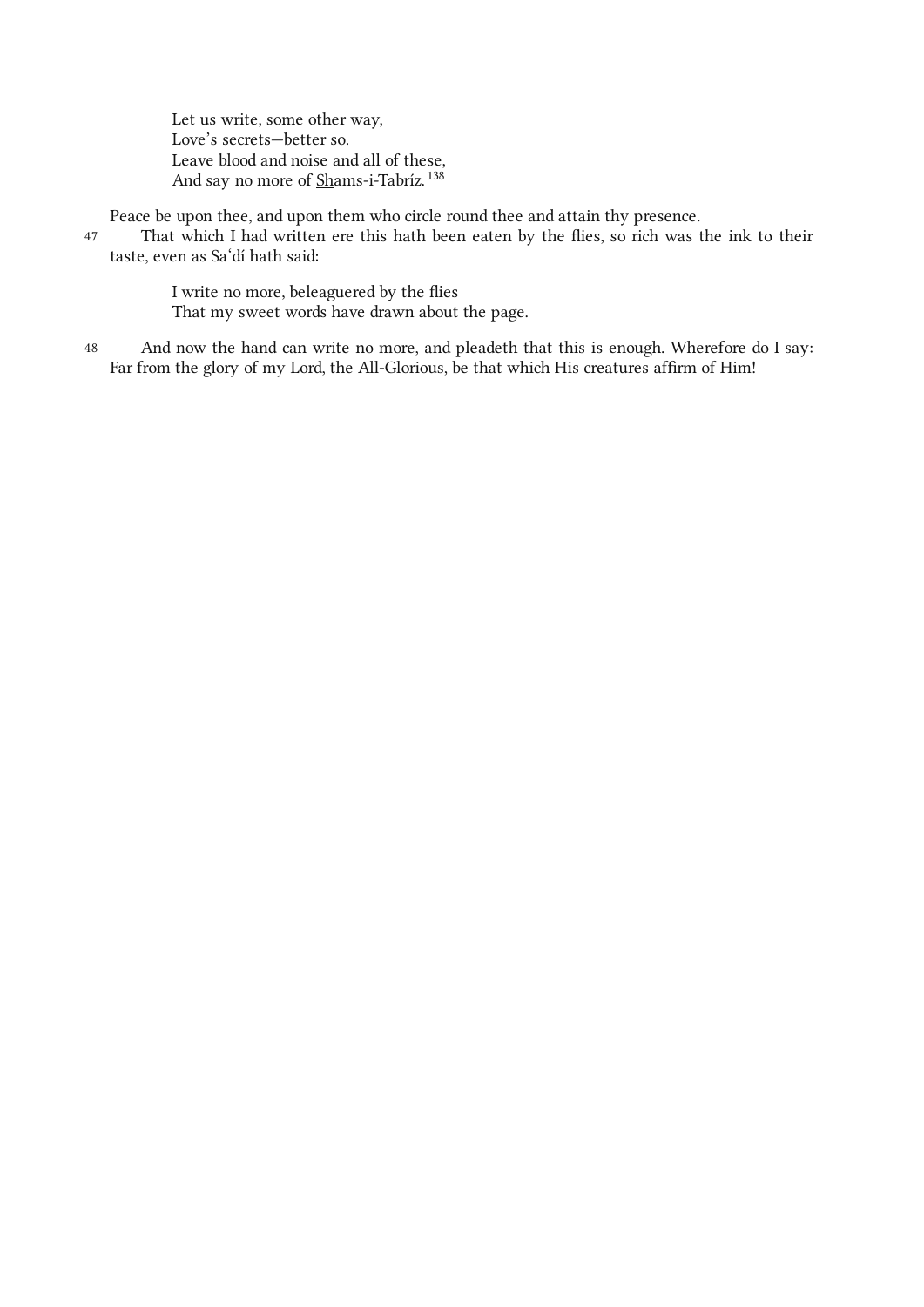Let us write, some other way, Love's secrets—better so. Leave blood and noise and all of these, And say no more of **Shams-i-Tabríz**.<sup>[138](#page-33-9)</sup>

Peace be upon thee, and upon them who circle round thee and attain thy presence.

That which I had written ere this hath been eaten by the flies, so rich was the ink to their taste, even as Sa'dí hath said: 47

> I write no more, beleaguered by the flies That my sweet words have drawn about the page.

And now the hand can write no more, and pleadeth that this is enough. Wherefore do I say: Far from the glory of my Lord, the All-Glorious, be that which His creatures affirm of Him! 48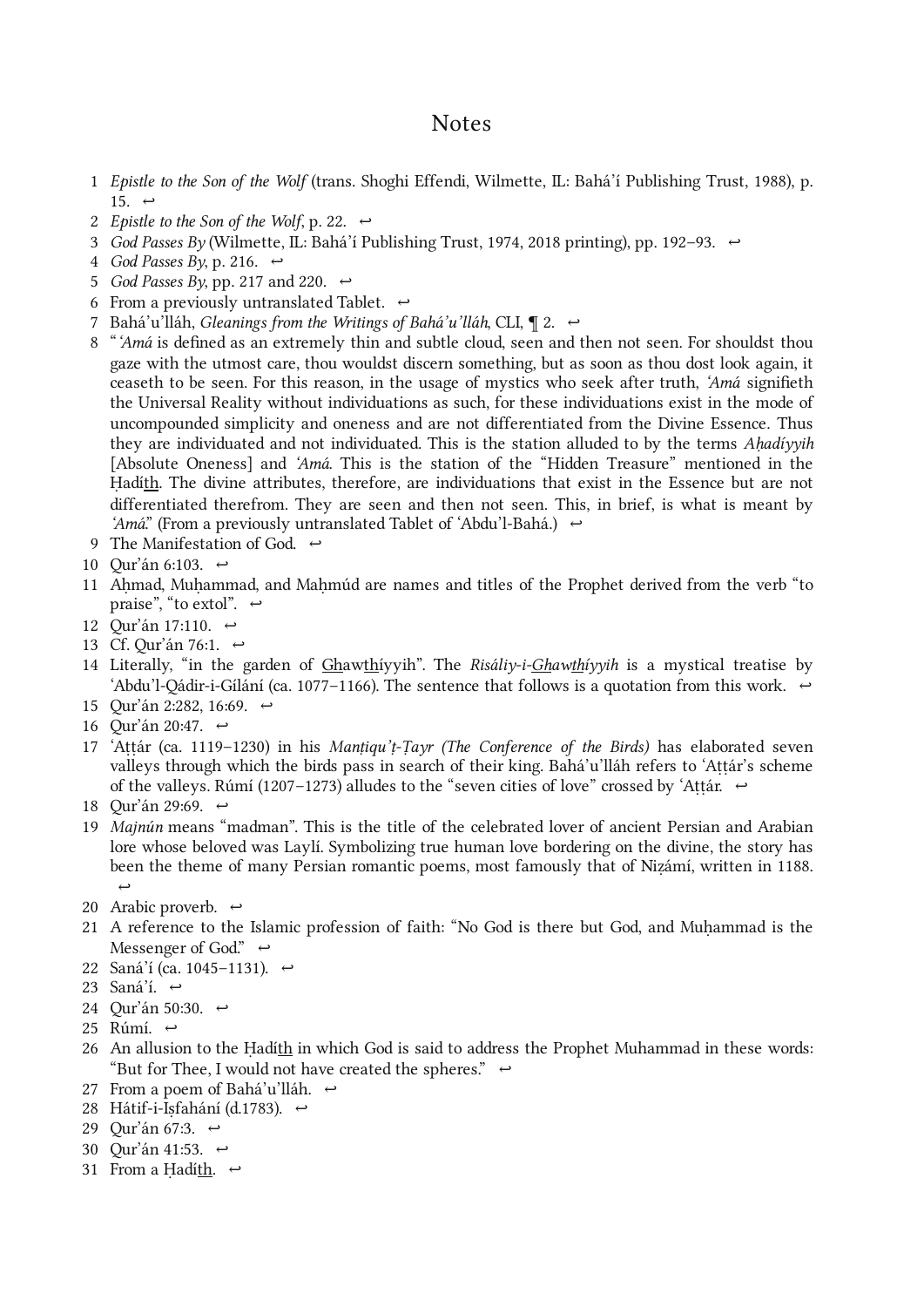### <span id="page-30-0"></span>Notes

- <span id="page-30-1"></span>1 Epistle to the Son of the Wolf (trans. Shoghi Effendi, Wilmette, IL: Bahá'í Publishing Trust, 1988), p. 15.  $\leftrightarrow$
- <span id="page-30-2"></span>2 Epistle to the Son of the Wolf, p. 22.  $\leftrightarrow$
- <span id="page-30-3"></span>3 God Passes By (Wilmette, IL: Bahá'í Publishing Trust, 1974, 2018 printing), pp. 192–93.  $\leftrightarrow$
- <span id="page-30-4"></span>4 God Passes By, p. 216.  $\leftrightarrow$
- <span id="page-30-5"></span>5 God Passes By, pp. 217 and 220.  $\leftrightarrow$
- <span id="page-30-6"></span>6 From a previously untranslated Tablet.  $\leftrightarrow$
- <span id="page-30-7"></span>7 Bahá'u'lláh, Gleanings from the Writings of Bahá'u'lláh, CLI,  $\P$  2.  $\leftrightarrow$
- <span id="page-30-8"></span>8 "'Amá is defined as an extremely thin and subtle cloud, seen and then not seen. For shouldst thou gaze with the utmost care, thou wouldst discern something, but as soon as thou dost look again, it ceaseth to be seen. For this reason, in the usage of mystics who seek after truth, 'Amá signifieth the Universal Reality without individuations as such, for these individuations exist in the mode of uncompounded simplicity and oneness and are not differentiated from the Divine Essence. Thus they are individuated and not individuated. This is the station alluded to by the terms Aḥadíyyih [Absolute Oneness] and 'Amá. This is the station of the "Hidden Treasure" mentioned in the Hadíth. The divine attributes, therefore, are individuations that exist in the Essence but are not differentiated therefrom. They are seen and then not seen. This, in brief, is what is meant by 'Amá." (From a previously untranslated Tablet of 'Abdu'l-Bahá.)  $\leftrightarrow$
- <span id="page-30-9"></span>9 The Manifestation of God.  $\leftrightarrow$
- <span id="page-30-10"></span>10 Qur'án 6:103.  $\leftrightarrow$
- <span id="page-30-11"></span>11 Aḥmad, Muḥammad, and Maḥmúd are names and titles of the Prophet derived from the verb "to praise", "to extol".  $\leftrightarrow$
- <span id="page-30-12"></span>12 Qur'án 17:110.  $\leftrightarrow$
- <span id="page-30-13"></span>13 Cf. Qur'án 76:1.  $\leftrightarrow$
- <span id="page-30-14"></span>14 Literally, "in the garden of <u>Gh</u>aw<u>th</u>íyyih". The *Risáliy-i-<u>Gh</u>aw<u>th</u>íyyih* is a mystical treatise by 'Abdu'l-Qádir-i-Gílání (ca. 1077–1166). The sentence that follows is a quotation from this work.  $\leftrightarrow$
- <span id="page-30-15"></span>15 Qur'án 2:282, 16:69. ←
- <span id="page-30-16"></span>16 Qur'án 20:47.  $\leftrightarrow$
- <span id="page-30-17"></span>17 'Aṭṭár (ca. 1119–1230) in his *Manṭiqu'ṭ-Ṭayr (The Conference of the Birds)* has elaborated seven valleys through which the birds pass in search of their king. Bahá'u'lláh refers to 'Aṭṭár's scheme of the valleys. Rúmí (1207–1273) alludes to the "seven cities of love" crossed by 'Aṭṭár.  $\leftrightarrow$
- <span id="page-30-18"></span>18 Qur'án 29:69.  $\leftrightarrow$
- <span id="page-30-19"></span>19 Majnún means "madman". This is the title of the celebrated lover of ancient Persian and Arabian lore whose beloved was Laylí. Symbolizing true human love bordering on the divine, the story has been the theme of many Persian romantic poems, most famously that of Niẓámí, written in 1188.  $\rightarrow$

- <span id="page-30-21"></span>A reference to the Islamic profession of faith: "No God is there but God, and Muḥammad is the 21 Messenger of God."  $\leftrightarrow$
- <span id="page-30-22"></span>22 Saná'í (ca. 1045–1131). ↔
- <span id="page-30-23"></span>Saná'í. [↩](#page-6-1) 23
- <span id="page-30-24"></span>24 Qur'án 50:30.  $\leftrightarrow$
- <span id="page-30-25"></span>Rúmí. [↩](#page-6-2) 25
- <span id="page-30-26"></span>26 An allusion to the Ḥadí<u>th</u> in which God is said to address the Prophet Muhammad in these words: "But for Thee, I would not have created the spheres."  $\leftrightarrow$
- <span id="page-30-27"></span>27 From a poem of Bahá'u'lláh. ↔
- <span id="page-30-28"></span>28 Hátif-i-Iṣfahání (d.1783). ↔
- <span id="page-30-29"></span>Qur'án 67:3. [↩](#page-7-0) 29
- <span id="page-30-30"></span>Qur'án 41:53. [↩](#page-7-0) 30
- <span id="page-30-31"></span>From a Ḥadíth. [↩](#page-7-1) 31

<span id="page-30-20"></span><sup>20</sup> Arabic proverb.  $\leftrightarrow$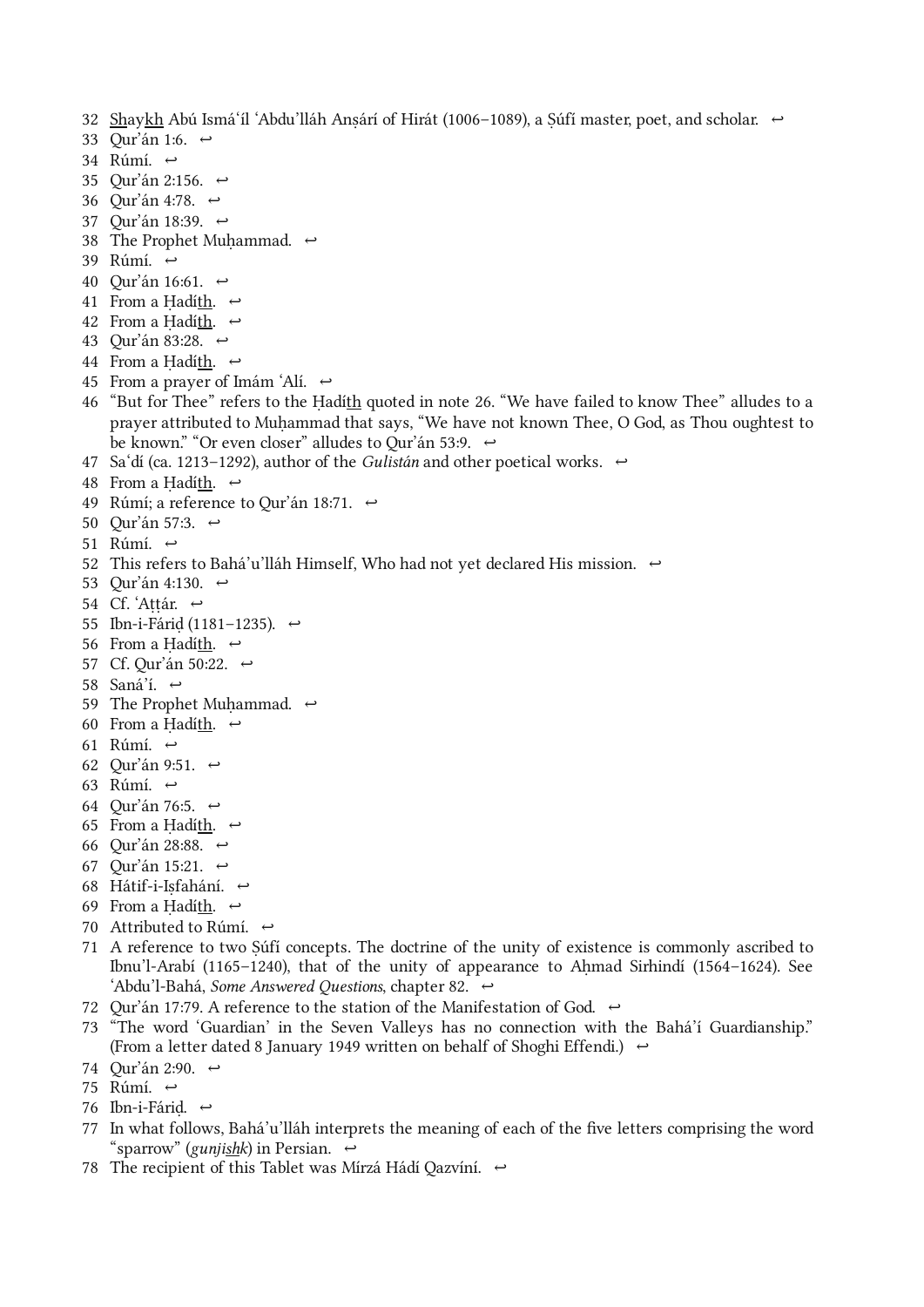<span id="page-31-0"></span>32 <u>Sh</u>ay<u>kh</u> Abú Ismá'íl 'Abdu'lláh Anṣárí of Hirát (1006–1089), a Ṣúfí master, poet, and scholar. ↔

- <span id="page-31-1"></span>Qur'án 1:6. [↩](#page-8-0)
- <span id="page-31-2"></span>Rúmí. [↩](#page-8-1)
- <span id="page-31-3"></span>Qur'án 2:156. [↩](#page-8-2)
- <span id="page-31-4"></span>Qur'án 4:78. [↩](#page-8-3)
- <span id="page-31-5"></span>37 Qur'án 18:39. ↔
- <span id="page-31-6"></span>38 The Prophet Muḥammad.  $\leftrightarrow$
- <span id="page-31-7"></span>Rúmí. [↩](#page-9-0)
- <span id="page-31-8"></span>Qur'án 16:61. [↩](#page-9-1)
- <span id="page-31-9"></span>From a Ḥadíth. [↩](#page-9-2)
- <span id="page-31-10"></span>From a Ḥadíth. [↩](#page-9-3)
- <span id="page-31-11"></span>Qur'án 83:28. [↩](#page-9-3)
- <span id="page-31-12"></span>From a Ḥadíth. [↩](#page-9-4)
- <span id="page-31-13"></span>45 From a prayer of Imám 'Alí.  $\leftrightarrow$
- <span id="page-31-14"></span>46 "But for Thee" refers to the Ḥadí<u>th</u> quoted in note 26. "We have failed to know Thee" alludes to a prayer attributed to Muhammad that says, "We have not known Thee, O God, as Thou oughtest to be known." "Or even closer" alludes to Qur'án 53:9.  $\leftrightarrow$
- <span id="page-31-15"></span>47 Sa'dí (ca. 1213–1292), author of the *Gulistán* and other poetical works.  $\leftrightarrow$
- <span id="page-31-16"></span>From a Ḥadíth. [↩](#page-10-1)
- <span id="page-31-17"></span>49 Rúmí; a reference to Qur'án 18:71. ↔
- <span id="page-31-18"></span>Qur'án 57:3. [↩](#page-10-3)
- <span id="page-31-19"></span>Rúmí. [↩](#page-11-0)
- <span id="page-31-20"></span>52 This refers to Bahá'u'lláh Himself, Who had not yet declared His mission.  $\leftrightarrow$
- <span id="page-31-21"></span>Qur'án 4:130. [↩](#page-11-2)
- <span id="page-31-22"></span>Cf. 'Aṭṭár. [↩](#page-11-3)
- <span id="page-31-23"></span>55 Ibn-i-Fáriḍ (1181–1235). ↔
- <span id="page-31-24"></span>From a Ḥadíth. [↩](#page-11-4)
- <span id="page-31-25"></span>57 Cf. Qur'án 50:22. ↔
- <span id="page-31-26"></span>Saná'í. [↩](#page-12-0)
- <span id="page-31-27"></span>59 The Prophet Muḥammad.  $\leftrightarrow$
- <span id="page-31-28"></span>From a Ḥadíth. [↩](#page-12-1)
- <span id="page-31-29"></span>61 Rúmí.  $\leftrightarrow$
- <span id="page-31-30"></span>Qur'án 9:51. [↩](#page-13-1)
- <span id="page-31-31"></span>Rúmí. [↩](#page-13-2)
- <span id="page-31-32"></span>Qur'án 76:5. [↩](#page-13-3)
- <span id="page-31-33"></span>From a Ḥadíth. [↩](#page-13-4)
- <span id="page-31-34"></span>Qur'án 28:88. [↩](#page-13-5)
- <span id="page-31-35"></span>Qur'án 15:21. [↩](#page-13-6)
- <span id="page-31-36"></span>Hátif-i-Iṣfahání. [↩](#page-14-0)
- <span id="page-31-37"></span>From a Ḥadíth. [↩](#page-14-1)
- <span id="page-31-38"></span>70 Attributed to Rúmí.  $\leftrightarrow$
- <span id="page-31-39"></span>A reference to two Ṣúfí concepts. The doctrine of the unity of existence is commonly ascribed to Ibnu'l-Arabí (1165–1240), that of the unity of appearance to Ahmad Sirhindí (1564–1624). See 'Abdu'l-Bahá, Some Answered Questions, chapter 82.  $\leftrightarrow$
- <span id="page-31-40"></span>72 Qur'án 17:79. A reference to the station of the Manifestation of God.  $\leftrightarrow$
- <span id="page-31-41"></span>"The word 'Guardian' in the Seven Valleys has no connection with the Bahá'í Guardianship." (From a letter dated 8 January 1949 written on behalf of Shoghi Effendi.)  $\leftrightarrow$
- <span id="page-31-42"></span>Qur'án 2:90. [↩](#page-14-4)
- <span id="page-31-43"></span>Rúmí. [↩](#page-14-5)
- <span id="page-31-44"></span>Ibn-i-Fáriḍ. [↩](#page-15-0)
- <span id="page-31-45"></span>In what follows, Bahá'u'lláh interprets the meaning of each of the five letters comprising the word "sparrow" (gunjishk) in Persian.  $\leftrightarrow$
- <span id="page-31-46"></span>78 The recipient of this Tablet was Mírzá Hádí Qazvíní.  $\leftrightarrow$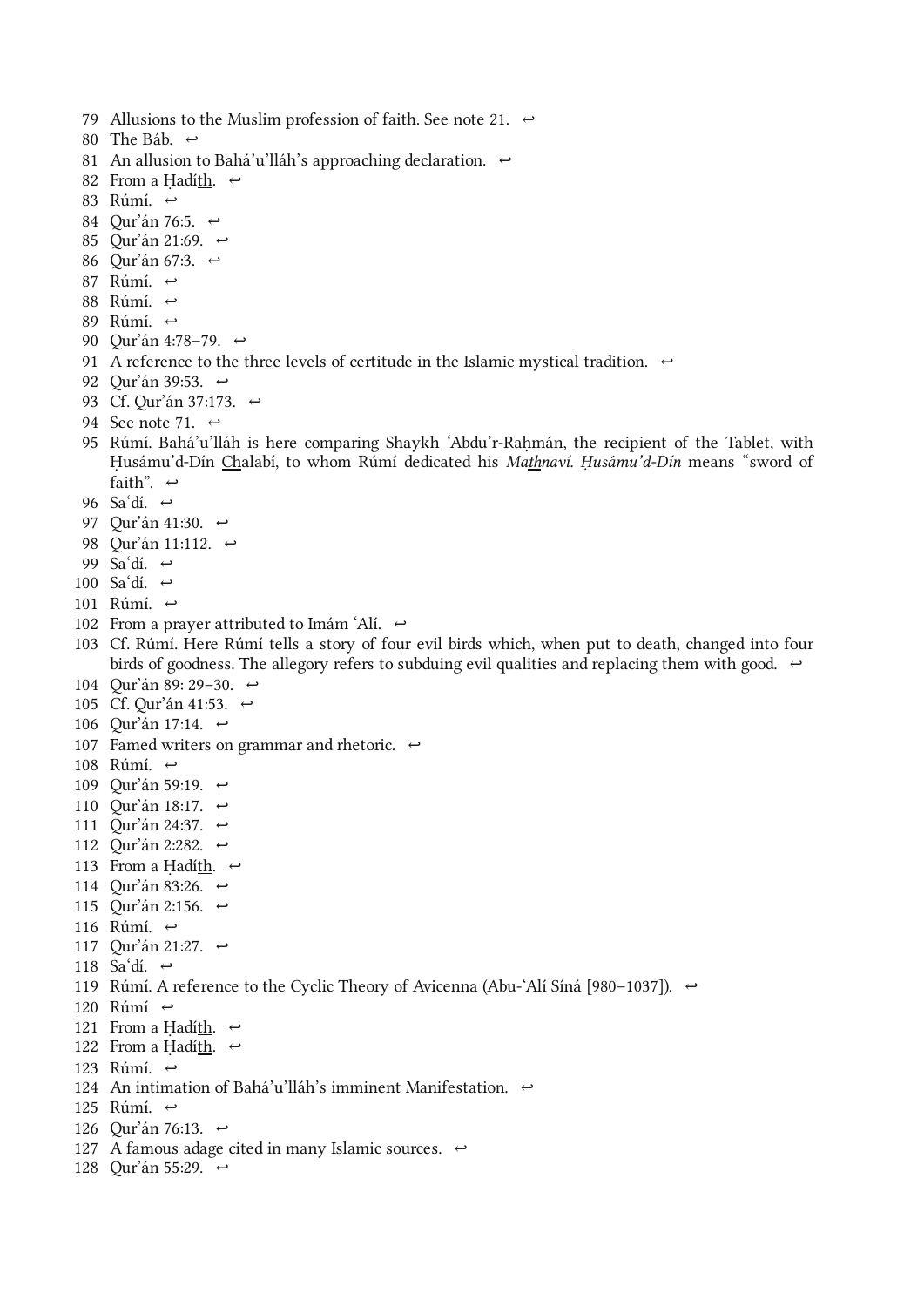<span id="page-32-49"></span><span id="page-32-48"></span><span id="page-32-47"></span><span id="page-32-46"></span><span id="page-32-45"></span><span id="page-32-44"></span><span id="page-32-43"></span><span id="page-32-42"></span><span id="page-32-41"></span><span id="page-32-40"></span><span id="page-32-39"></span><span id="page-32-38"></span><span id="page-32-37"></span><span id="page-32-36"></span><span id="page-32-35"></span><span id="page-32-34"></span><span id="page-32-33"></span><span id="page-32-32"></span><span id="page-32-31"></span><span id="page-32-30"></span><span id="page-32-29"></span><span id="page-32-28"></span><span id="page-32-27"></span><span id="page-32-26"></span><span id="page-32-25"></span><span id="page-32-24"></span><span id="page-32-23"></span><span id="page-32-22"></span><span id="page-32-21"></span><span id="page-32-20"></span><span id="page-32-19"></span><span id="page-32-18"></span><span id="page-32-17"></span><span id="page-32-16"></span><span id="page-32-15"></span><span id="page-32-14"></span><span id="page-32-13"></span><span id="page-32-12"></span><span id="page-32-11"></span><span id="page-32-10"></span><span id="page-32-9"></span><span id="page-32-8"></span><span id="page-32-7"></span><span id="page-32-6"></span><span id="page-32-5"></span><span id="page-32-4"></span><span id="page-32-3"></span>80 The Báb.  $\leftrightarrow$ 81 An allusion to Bahá'u'lláh's approaching declaration.  $\leftrightarrow$ From a Ḥadíth. [↩](#page-18-1) 82 Rúmí. [↩](#page-21-0) 83 Qur'án 76:5. [↩](#page-21-1) 84 85 Qur'án 21:69. ↔ Qur'án 67:3. [↩](#page-21-2) 86 Rúmí. [↩](#page-21-2) 87 Rúmí. [↩](#page-21-3) 88 Rúmí. [↩](#page-22-0) 89 90 Qur'án 4:78–79. ↔ 91 A reference to the three levels of certitude in the Islamic mystical tradition.  $\leftrightarrow$ Qur'án 39:53. [↩](#page-22-1) 92 93 Cf. Qur'án 37:173. ↔ 94 See note 71.  $\leftrightarrow$ 95 Rúmí. Bahá'u'lláh is here comparing <u>Sh</u>ay<u>kh</u> 'Abdu'r-Raḥmán, the recipient of the Tablet, with Ḥusámu'd-Dín Chalabí, to whom Rúmí dedicated his Mathnaví. Ḥusámu'd-Dín means "sword of faith".  $\leftrightarrow$ Sa'dí. [↩](#page-24-2) 96 97 Qur'án 41:30. ↔ 98 Qur'án 11:112. ↔ Sa'dí. [↩](#page-24-4) 99 Sa'dí. [↩](#page-24-5) 100 101 Rúmí.  $\leftrightarrow$ 102 From a prayer attributed to Imám 'Alí.  $\leftrightarrow$ 103 Cf. Rúmí. Here Rúmí tells a story of four evil birds which, when put to death, changed into four birds of goodness. The allegory refers to subduing evil qualities and replacing them with good.  $\leftrightarrow$ 104 Qur'án 89: 29–30. ↔ 105 Cf. Qur'án 41:53.  $\leftrightarrow$ 106 Qur'án 17:14. ← 107 Famed writers on grammar and rhetoric.  $\leftrightarrow$ Rúmí. [↩](#page-25-3) 108 109 Qur'án 59:19.  $\leftrightarrow$ 110 Qur'án 18:17.  $\leftrightarrow$ 111 Qur'án 24:37.  $\leftrightarrow$ 112 Qur'án 2:282.  $\leftrightarrow$ 113 From a Ḥadí<u>th</u>. <sup>[↩](#page-25-7)</sup> 114 Qur'án 83:26.  $\leftrightarrow$ 115 Qur'án 2:156.  $\leftrightarrow$ Rúmí. [↩](#page-26-1) 116 117 Qur'án 21:27.  $\leftrightarrow$ Sa'dí. [↩](#page-26-3) 118 119 Rúmí. A reference to the Cyclic Theory of Avicenna (Abu-'Alí Síná [980–1037]).  $\leftrightarrow$ 120 Rúmí  $\leftrightarrow$ 121 From a Hadíth.  $\leftrightarrow$ 122 From a Hadíth.  $\leftrightarrow$ Rúmí. [↩](#page-27-1) 123 124 An intimation of Bahá'u'lláh's imminent Manifestation.  $\leftrightarrow$ 125 Rúmí.  $\leftrightarrow$ 126 Qur'án 76:13.  $\leftrightarrow$ 127 A famous adage cited in many Islamic sources.  $\leftrightarrow$ 128 Qur'án 55:29.  $\leftrightarrow$ 

<span id="page-32-2"></span><span id="page-32-1"></span><span id="page-32-0"></span>79 Allusions to the Muslim profession of faith. See note 21.  $\leftrightarrow$